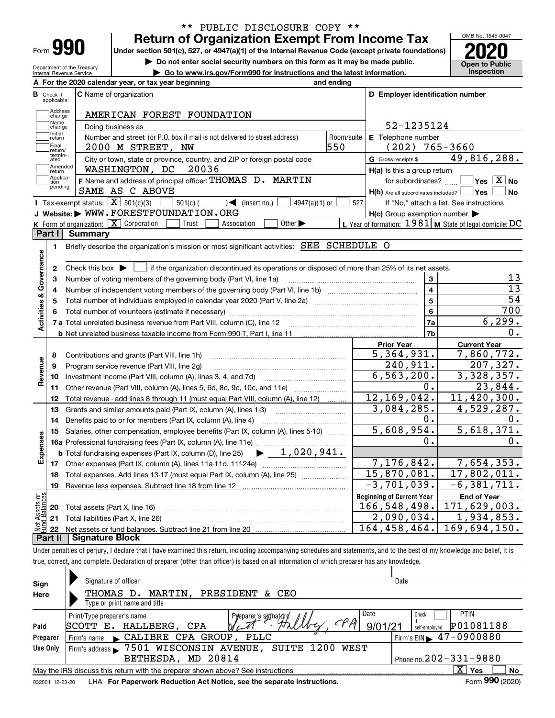| Form |  |
|------|--|

Department of the Treasury Internal Revenue Service

## **Return of Organization Exempt From Income Tax** \*\* PUBLIC DISCLOSURE COPY \*\*

**Under section 501(c), 527, or 4947(a)(1) of the Internal Revenue Code (except private foundations) 2020**

**| Do not enter social security numbers on this form as it may be made public.**

**| Go to www.irs.gov/Form990 for instructions and the latest information. Inspection**



|                         |                                  | A For the 2020 calendar year, or tax year beginning                                                                                     | and ending         |                                                                       |                                                                   |
|-------------------------|----------------------------------|-----------------------------------------------------------------------------------------------------------------------------------------|--------------------|-----------------------------------------------------------------------|-------------------------------------------------------------------|
|                         | <b>B</b> Check if<br>applicable: | <b>C</b> Name of organization                                                                                                           |                    | D Employer identification number                                      |                                                                   |
|                         | Address<br>Change                | AMERICAN FOREST FOUNDATION                                                                                                              |                    |                                                                       |                                                                   |
|                         | Name<br>change                   | Doing business as                                                                                                                       | 52-1235124         |                                                                       |                                                                   |
|                         | Initial<br>return                | Number and street (or P.O. box if mail is not delivered to street address)                                                              | E Telephone number |                                                                       |                                                                   |
|                         | Final<br>return/                 | 2000 M STREET, NW                                                                                                                       | 550                | (202)                                                                 | 765-3660                                                          |
|                         | termin-<br>ated<br>Amended       | City or town, state or province, country, and ZIP or foreign postal code                                                                |                    | G Gross receipts \$                                                   | 49,816,288.                                                       |
|                         | return<br>Applica-               | 20036<br>WASHINGTON, DC                                                                                                                 |                    | H(a) Is this a group return                                           |                                                                   |
|                         | tion<br>pending                  | F Name and address of principal officer: THOMAS D. MARTIN<br>SAME AS C ABOVE                                                            |                    | for subordinates?<br>$H(b)$ Are all subordinates included? $\Box$ Yes | $\overline{\mathsf{Yes}}$ $\overline{\mathsf{X}}$ No<br><b>No</b> |
|                         |                                  | Tax-exempt status: $\boxed{\mathbf{X}}$ 501(c)(3) [<br>$501(c)$ (<br>$\sqrt{\bullet}$ (insert no.)<br>$4947(a)(1)$ or                   | 527                |                                                                       | If "No," attach a list. See instructions                          |
|                         |                                  | J Website: WWW.FORESTFOUNDATION.ORG                                                                                                     |                    | $H(c)$ Group exemption number $\blacktriangleright$                   |                                                                   |
|                         |                                  | K Form of organization: $\boxed{\mathbf{X}}$ Corporation<br>Trust<br>Other $\blacktriangleright$<br>Association                         |                    |                                                                       | L Year of formation: 1981 M State of legal domicile: DC           |
|                         | Part I                           | <b>Summary</b>                                                                                                                          |                    |                                                                       |                                                                   |
|                         | 1.                               | Briefly describe the organization's mission or most significant activities: SEE SCHEDULE O                                              |                    |                                                                       |                                                                   |
| Activities & Governance |                                  |                                                                                                                                         |                    |                                                                       |                                                                   |
|                         | 2                                | if the organization discontinued its operations or disposed of more than 25% of its net assets.<br>Check this box $\blacktriangleright$ |                    |                                                                       |                                                                   |
|                         | з                                | Number of voting members of the governing body (Part VI, line 1a)                                                                       |                    | 3                                                                     | 13<br>$\overline{13}$                                             |
|                         | 4                                |                                                                                                                                         |                    | $\overline{\mathbf{4}}$                                               |                                                                   |
|                         | 5                                |                                                                                                                                         |                    | $\overline{\mathbf{5}}$                                               | 54                                                                |
|                         | 6                                |                                                                                                                                         |                    | 6                                                                     | 700                                                               |
|                         |                                  |                                                                                                                                         |                    | 7a                                                                    | 6, 299.<br>0.                                                     |
|                         |                                  |                                                                                                                                         |                    | 7 <sub>b</sub>                                                        |                                                                   |
|                         |                                  |                                                                                                                                         |                    | <b>Prior Year</b><br>5,364,931.                                       | <b>Current Year</b><br>7,860,772.                                 |
|                         | 8                                | Contributions and grants (Part VIII, line 1h)                                                                                           |                    | 240,911.                                                              | 207,327.                                                          |
| Revenue                 | 9                                | Program service revenue (Part VIII, line 2g)                                                                                            |                    | 6, 563, 200.                                                          | 3,328,357.                                                        |
|                         | 10                               | 11 Other revenue (Part VIII, column (A), lines 5, 6d, 8c, 9c, 10c, and 11e)                                                             |                    | 0.                                                                    | 23,844.                                                           |
|                         | 12                               | Total revenue - add lines 8 through 11 (must equal Part VIII, column (A), line 12)                                                      |                    | 12, 169, 042.                                                         | 11,420,300.                                                       |
|                         | 13                               | Grants and similar amounts paid (Part IX, column (A), lines 1-3)                                                                        |                    | 3,084,285.                                                            | 4,529,287.                                                        |
|                         | 14                               | Benefits paid to or for members (Part IX, column (A), line 4)                                                                           |                    | Ο.                                                                    | О.                                                                |
|                         | 15                               | Salaries, other compensation, employee benefits (Part IX, column (A), lines 5-10)                                                       |                    | 5,608,954.                                                            | 5,618,371.                                                        |
| Expenses                |                                  |                                                                                                                                         |                    | Ο.                                                                    | 0.                                                                |
|                         |                                  | $\blacktriangleright$ 1,020,941.<br><b>b</b> Total fundraising expenses (Part IX, column (D), line 25)                                  |                    |                                                                       |                                                                   |
|                         |                                  |                                                                                                                                         |                    | 7, 176, 842.                                                          | 7,654,353.                                                        |
|                         | 18                               | Total expenses. Add lines 13-17 (must equal Part IX, column (A), line 25)                                                               |                    | 15,870,081.                                                           | 17,802,011.                                                       |
|                         | 19                               | Revenue less expenses. Subtract line 18 from line 12 [11] [21] [12] [12] [13] Revenue less expenses. Subtract line 18 from line 12      |                    | $-3,701,039.$                                                         | $-6,381,711.$                                                     |
| ăğ                      |                                  |                                                                                                                                         |                    | <b>Beginning of Current Year</b>                                      | <b>End of Year</b>                                                |
| ssets                   |                                  | 20 Total assets (Part X, line 16)                                                                                                       |                    | 166,548,498.                                                          | 171,629,003.                                                      |
|                         |                                  | 21 Total liabilities (Part X, line 26)                                                                                                  |                    | 2,090,034.                                                            | 1,934,853.                                                        |
|                         |                                  |                                                                                                                                         |                    | 164, 458, 464.                                                        | 169,694,150.                                                      |
|                         | Part II                          | <b>Signature Block</b>                                                                                                                  |                    |                                                                       |                                                                   |

Under penalties of perjury, I declare that I have examined this return, including accompanying schedules and statements, and to the best of my knowledge and belief, it is true, correct, and complete. Declaration of preparer (other than officer) is based on all information of which preparer has any knowledge.

| Sign<br>Here                | Signature of officer<br>PRESIDENT<br>MARTIN,<br>THOMAS D.<br>& CEO<br>Type or print name and title                                                                                                                                            | Date                                                                                               |
|-----------------------------|-----------------------------------------------------------------------------------------------------------------------------------------------------------------------------------------------------------------------------------------------|----------------------------------------------------------------------------------------------------|
| Paid<br>Preparer            | Date<br>Print/Type preparer's name<br>Preparer's sconatore<br>HALLBERG, CPA<br>9/01<br>$E$ .<br>SCOTT<br>$\blacktriangleright$ CALIBRE CPA GROUP,<br>PLLC<br>Firm's name                                                                      | <b>PTIN</b><br>Check<br>P01081188<br>self-emploved<br>$I$ Firm's EIN $\triangleright$ 47 - 0900880 |
| Use Only<br>032001 12-23-20 | Firm's address > 7501 WISCONSIN AVENUE, SUITE 1200<br>WEST<br>BETHESDA, MD 20814<br>May the IRS discuss this return with the preparer shown above? See instructions<br>LHA For Paperwork Reduction Act Notice, see the separate instructions. | Phone no. $202 - 331 - 9880$<br>x<br>Yes<br><b>No</b><br>Form 990 (2020)                           |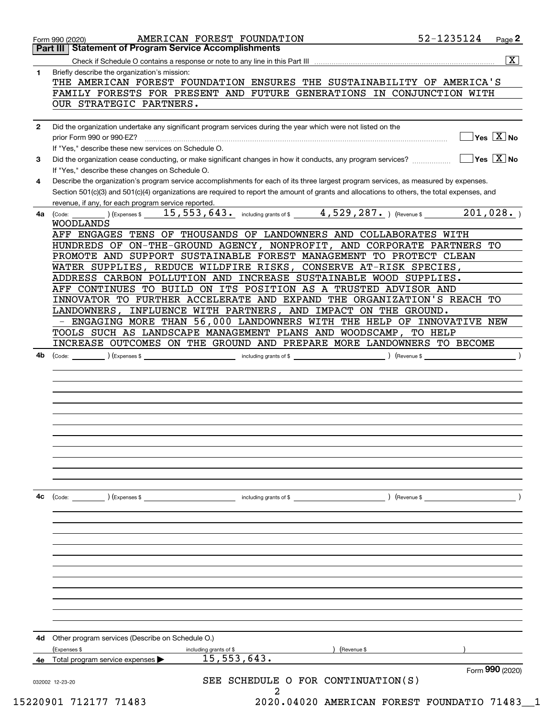| 1.<br>$\mathbf{2}$ | Briefly describe the organization's mission:         | THE AMERICAN FOREST FOUNDATION ENSURES THE SUSTAINABILITY OF AMERICA'S                                                                                      | $\boxed{\textbf{X}}$                     |
|--------------------|------------------------------------------------------|-------------------------------------------------------------------------------------------------------------------------------------------------------------|------------------------------------------|
|                    |                                                      |                                                                                                                                                             |                                          |
|                    |                                                      |                                                                                                                                                             |                                          |
|                    |                                                      |                                                                                                                                                             |                                          |
|                    |                                                      | FAMILY FORESTS FOR PRESENT AND FUTURE GENERATIONS IN CONJUNCTION WITH                                                                                       |                                          |
|                    | OUR STRATEGIC PARTNERS.                              |                                                                                                                                                             |                                          |
|                    |                                                      |                                                                                                                                                             |                                          |
|                    |                                                      | Did the organization undertake any significant program services during the year which were not listed on the                                                |                                          |
|                    | prior Form 990 or 990-EZ?                            |                                                                                                                                                             | $\blacksquare$ Yes $\boxed{\text{X}}$ No |
|                    | If "Yes," describe these new services on Schedule O. |                                                                                                                                                             |                                          |
| 3                  |                                                      |                                                                                                                                                             |                                          |
|                    | If "Yes," describe these changes on Schedule O.      |                                                                                                                                                             |                                          |
| 4                  |                                                      | Describe the organization's program service accomplishments for each of its three largest program services, as measured by expenses.                        |                                          |
|                    |                                                      | Section 501(c)(3) and 501(c)(4) organizations are required to report the amount of grants and allocations to others, the total expenses, and                |                                          |
|                    | revenue, if any, for each program service reported.  |                                                                                                                                                             |                                          |
|                    |                                                      | $(\text{Code: } \_\_\_\_\)$ (Expenses $\frac{15,553,643.}{15,553,643.}$ including grants of $\frac{4,529,287.}{15,287.}$ (Revenue $\frac{10,028.}{10,028.}$ |                                          |
| 4a -               | WOODLANDS                                            |                                                                                                                                                             |                                          |
|                    |                                                      | AFF ENGAGES TENS OF THOUSANDS OF LANDOWNERS AND COLLABORATES WITH                                                                                           |                                          |
|                    |                                                      | HUNDREDS OF ON-THE-GROUND AGENCY, NONPROFIT, AND CORPORATE PARTNERS TO                                                                                      |                                          |
|                    |                                                      |                                                                                                                                                             |                                          |
|                    |                                                      | PROMOTE AND SUPPORT SUSTAINABLE FOREST MANAGEMENT TO PROTECT CLEAN                                                                                          |                                          |
|                    |                                                      | WATER SUPPLIES, REDUCE WILDFIRE RISKS, CONSERVE AT-RISK SPECIES,                                                                                            |                                          |
|                    |                                                      | ADDRESS CARBON POLLUTION AND INCREASE SUSTAINABLE WOOD SUPPLIES.                                                                                            |                                          |
|                    |                                                      | AFF CONTINUES TO BUILD ON ITS POSITION AS A TRUSTED ADVISOR AND                                                                                             |                                          |
|                    |                                                      | INNOVATOR TO FURTHER ACCELERATE AND EXPAND THE ORGANIZATION'S REACH TO                                                                                      |                                          |
|                    |                                                      | LANDOWNERS, INFLUENCE WITH PARTNERS, AND IMPACT ON THE GROUND.                                                                                              |                                          |
|                    |                                                      | - ENGAGING MORE THAN 56,000 LANDOWNERS WITH THE HELP OF INNOVATIVE NEW                                                                                      |                                          |
|                    |                                                      | TOOLS SUCH AS LANDSCAPE MANAGEMENT PLANS AND WOODSCAMP, TO HELP                                                                                             |                                          |
|                    |                                                      | INCREASE OUTCOMES ON THE GROUND AND PREPARE MORE LANDOWNERS TO BECOME                                                                                       |                                          |
| 4b                 |                                                      |                                                                                                                                                             |                                          |
|                    |                                                      |                                                                                                                                                             |                                          |
|                    |                                                      |                                                                                                                                                             |                                          |
|                    |                                                      |                                                                                                                                                             |                                          |
|                    |                                                      |                                                                                                                                                             |                                          |
|                    |                                                      |                                                                                                                                                             |                                          |
|                    |                                                      |                                                                                                                                                             |                                          |
|                    |                                                      |                                                                                                                                                             |                                          |
|                    |                                                      |                                                                                                                                                             |                                          |
|                    |                                                      |                                                                                                                                                             |                                          |
|                    |                                                      |                                                                                                                                                             |                                          |
|                    |                                                      |                                                                                                                                                             |                                          |
|                    |                                                      |                                                                                                                                                             |                                          |
|                    |                                                      |                                                                                                                                                             |                                          |
| 4c                 | (Code:<br>) (Expenses \$                             | including grants of \$                                                                                                                                      | (Revenue \$                              |
|                    |                                                      |                                                                                                                                                             |                                          |
|                    |                                                      |                                                                                                                                                             |                                          |
|                    |                                                      |                                                                                                                                                             |                                          |
|                    |                                                      |                                                                                                                                                             |                                          |
|                    |                                                      |                                                                                                                                                             |                                          |
|                    |                                                      |                                                                                                                                                             |                                          |
|                    |                                                      |                                                                                                                                                             |                                          |
|                    |                                                      |                                                                                                                                                             |                                          |
|                    |                                                      |                                                                                                                                                             |                                          |
|                    |                                                      |                                                                                                                                                             |                                          |
|                    |                                                      |                                                                                                                                                             |                                          |
|                    |                                                      |                                                                                                                                                             |                                          |
| 4d                 | Other program services (Describe on Schedule O.)     |                                                                                                                                                             |                                          |
|                    | (Expenses \$                                         | including grants of \$<br>Revenue \$                                                                                                                        |                                          |
| 4е                 | Total program service expenses                       | 15, 553, 643.                                                                                                                                               |                                          |
|                    |                                                      |                                                                                                                                                             | Form 990 (2020)                          |
|                    |                                                      |                                                                                                                                                             |                                          |
|                    | 032002 12-23-20                                      | SEE SCHEDULE O FOR CONTINUATION(S)                                                                                                                          |                                          |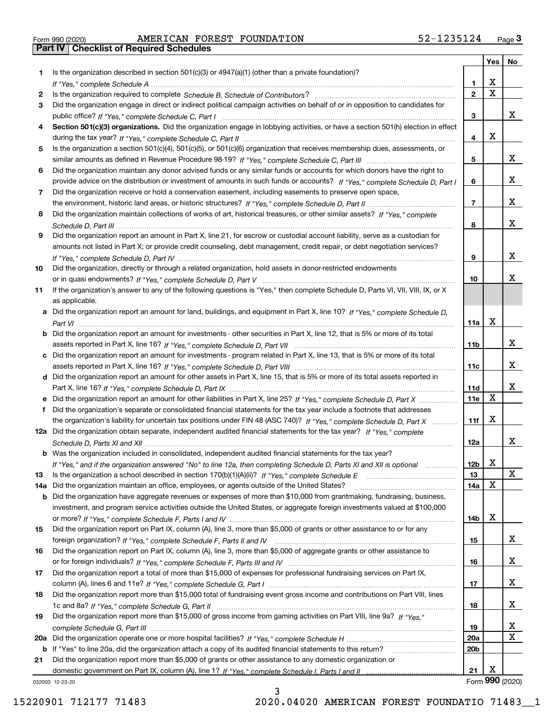|  | Form 990 (2020) |  |
|--|-----------------|--|

|     |                                                                                                                                  |                 | Yes   No                |                 |
|-----|----------------------------------------------------------------------------------------------------------------------------------|-----------------|-------------------------|-----------------|
| 1   | Is the organization described in section $501(c)(3)$ or $4947(a)(1)$ (other than a private foundation)?                          |                 |                         |                 |
|     |                                                                                                                                  | 1.              | X                       |                 |
| 2   |                                                                                                                                  | $\overline{2}$  | $\overline{\mathbf{x}}$ |                 |
| 3   | Did the organization engage in direct or indirect political campaign activities on behalf of or in opposition to candidates for  |                 |                         |                 |
|     |                                                                                                                                  | 3               |                         | x               |
| 4   | Section 501(c)(3) organizations. Did the organization engage in lobbying activities, or have a section 501(h) election in effect |                 |                         |                 |
|     |                                                                                                                                  | 4               | X                       |                 |
| 5   | Is the organization a section 501(c)(4), 501(c)(5), or 501(c)(6) organization that receives membership dues, assessments, or     |                 |                         |                 |
|     |                                                                                                                                  | 5               |                         | X               |
| 6   | Did the organization maintain any donor advised funds or any similar funds or accounts for which donors have the right to        |                 |                         | X               |
|     | provide advice on the distribution or investment of amounts in such funds or accounts? If "Yes," complete Schedule D, Part I     | 6               |                         |                 |
| 7   | Did the organization receive or hold a conservation easement, including easements to preserve open space,                        | $\overline{7}$  |                         | X               |
|     |                                                                                                                                  |                 |                         |                 |
| 8   | Did the organization maintain collections of works of art, historical treasures, or other similar assets? If "Yes," complete     | 8               |                         | X               |
| 9   | Did the organization report an amount in Part X, line 21, for escrow or custodial account liability, serve as a custodian for    |                 |                         |                 |
|     | amounts not listed in Part X; or provide credit counseling, debt management, credit repair, or debt negotiation services?        |                 |                         |                 |
|     |                                                                                                                                  | 9               |                         | X               |
| 10  | Did the organization, directly or through a related organization, hold assets in donor-restricted endowments                     |                 |                         |                 |
|     |                                                                                                                                  | 10              |                         | х               |
| 11  | If the organization's answer to any of the following questions is "Yes," then complete Schedule D, Parts VI, VII, VIII, IX, or X |                 |                         |                 |
|     | as applicable.                                                                                                                   |                 |                         |                 |
| a   | Did the organization report an amount for land, buildings, and equipment in Part X, line 10? If "Yes," complete Schedule D,      |                 |                         |                 |
|     |                                                                                                                                  | 11a             | X                       |                 |
| b   | Did the organization report an amount for investments - other securities in Part X, line 12, that is 5% or more of its total     |                 |                         |                 |
|     |                                                                                                                                  | 11 <sub>b</sub> |                         | x               |
|     | Did the organization report an amount for investments - program related in Part X, line 13, that is 5% or more of its total      |                 |                         |                 |
|     |                                                                                                                                  | 11c             |                         | x               |
|     | d Did the organization report an amount for other assets in Part X, line 15, that is 5% or more of its total assets reported in  |                 |                         |                 |
|     |                                                                                                                                  | 11d             |                         | X               |
|     | e Did the organization report an amount for other liabilities in Part X, line 25? If "Yes," complete Schedule D, Part X          | 11e             | X                       |                 |
| f   | Did the organization's separate or consolidated financial statements for the tax year include a footnote that addresses          |                 |                         |                 |
|     | the organization's liability for uncertain tax positions under FIN 48 (ASC 740)? If "Yes," complete Schedule D, Part X           | 11f             | X                       |                 |
|     | 12a Did the organization obtain separate, independent audited financial statements for the tax year? If "Yes," complete          |                 |                         |                 |
|     |                                                                                                                                  | 12a             |                         | x               |
|     | <b>b</b> Was the organization included in consolidated, independent audited financial statements for the tax year?               |                 |                         |                 |
|     | If "Yes," and if the organization answered "No" to line 12a, then completing Schedule D, Parts XI and XII is optional            | 12 <sub>b</sub> | Y<br>▵                  |                 |
| 13  |                                                                                                                                  | 13              |                         | $\mathbf X$     |
| 14a | Did the organization maintain an office, employees, or agents outside of the United States?                                      | 14a             | $\mathbf X$             |                 |
| b   | Did the organization have aggregate revenues or expenses of more than \$10,000 from grantmaking, fundraising, business,          |                 |                         |                 |
|     | investment, and program service activities outside the United States, or aggregate foreign investments valued at \$100,000       |                 |                         |                 |
|     |                                                                                                                                  | 14b             | X                       |                 |
| 15  | Did the organization report on Part IX, column (A), line 3, more than \$5,000 of grants or other assistance to or for any        |                 |                         |                 |
|     |                                                                                                                                  | 15              |                         | x               |
| 16  | Did the organization report on Part IX, column (A), line 3, more than \$5,000 of aggregate grants or other assistance to         |                 |                         |                 |
|     |                                                                                                                                  | 16              |                         | X               |
| 17  | Did the organization report a total of more than \$15,000 of expenses for professional fundraising services on Part IX,          |                 |                         |                 |
|     |                                                                                                                                  | 17              |                         | X               |
| 18  | Did the organization report more than \$15,000 total of fundraising event gross income and contributions on Part VIII, lines     |                 |                         |                 |
|     |                                                                                                                                  | 18              |                         | X               |
| 19  | Did the organization report more than \$15,000 of gross income from gaming activities on Part VIII, line 9a? If "Yes."           |                 |                         |                 |
|     |                                                                                                                                  | 19              |                         | х               |
| 20a |                                                                                                                                  | 20a             |                         | $\mathbf x$     |
|     | b If "Yes" to line 20a, did the organization attach a copy of its audited financial statements to this return?                   | 20 <sub>b</sub> |                         |                 |
| 21  | Did the organization report more than \$5,000 of grants or other assistance to any domestic organization or                      |                 |                         |                 |
|     |                                                                                                                                  | 21              | X                       |                 |
|     | 032003 12-23-20                                                                                                                  |                 |                         | Form 990 (2020) |

032003 12-23-20

3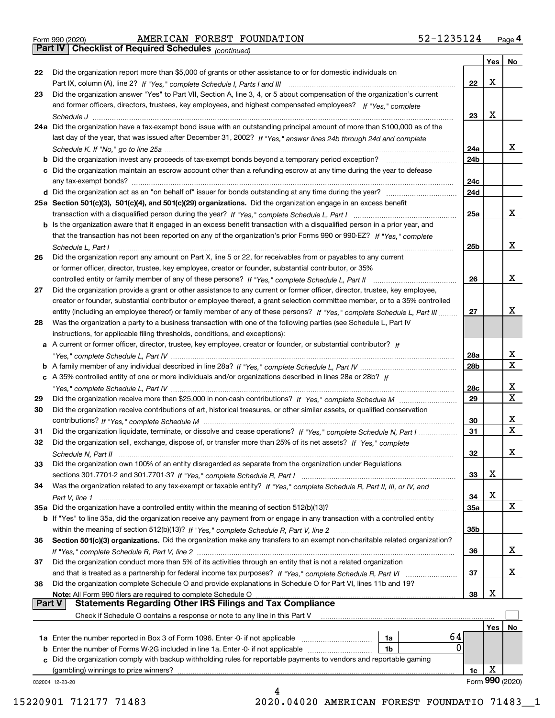*(continued)*

|               |                                                                                                                                    |                 | Yes | No              |
|---------------|------------------------------------------------------------------------------------------------------------------------------------|-----------------|-----|-----------------|
| 22            | Did the organization report more than \$5,000 of grants or other assistance to or for domestic individuals on                      |                 |     |                 |
|               |                                                                                                                                    | 22              | х   |                 |
| 23            | Did the organization answer "Yes" to Part VII, Section A, line 3, 4, or 5 about compensation of the organization's current         |                 |     |                 |
|               | and former officers, directors, trustees, key employees, and highest compensated employees? If "Yes," complete                     |                 |     |                 |
|               |                                                                                                                                    | 23              | х   |                 |
|               | 24a Did the organization have a tax-exempt bond issue with an outstanding principal amount of more than \$100,000 as of the        |                 |     |                 |
|               | last day of the year, that was issued after December 31, 2002? If "Yes," answer lines 24b through 24d and complete                 |                 |     |                 |
|               |                                                                                                                                    | 24a             |     | x               |
|               |                                                                                                                                    | 24 <sub>b</sub> |     |                 |
|               | c Did the organization maintain an escrow account other than a refunding escrow at any time during the year to defease             |                 |     |                 |
|               |                                                                                                                                    | 24c             |     |                 |
|               |                                                                                                                                    | 24d             |     |                 |
|               | 25a Section 501(c)(3), 501(c)(4), and 501(c)(29) organizations. Did the organization engage in an excess benefit                   |                 |     |                 |
|               |                                                                                                                                    | 25a             |     | x               |
|               | b Is the organization aware that it engaged in an excess benefit transaction with a disqualified person in a prior year, and       |                 |     |                 |
|               | that the transaction has not been reported on any of the organization's prior Forms 990 or 990-EZ? If "Yes," complete              |                 |     |                 |
|               | Schedule L, Part I                                                                                                                 | 25 <sub>b</sub> |     | x               |
| 26            | Did the organization report any amount on Part X, line 5 or 22, for receivables from or payables to any current                    |                 |     |                 |
|               | or former officer, director, trustee, key employee, creator or founder, substantial contributor, or 35%                            |                 |     |                 |
|               |                                                                                                                                    | 26              |     | x               |
|               |                                                                                                                                    |                 |     |                 |
| 27            | Did the organization provide a grant or other assistance to any current or former officer, director, trustee, key employee,        |                 |     |                 |
|               | creator or founder, substantial contributor or employee thereof, a grant selection committee member, or to a 35% controlled        |                 |     | х               |
|               | entity (including an employee thereof) or family member of any of these persons? If "Yes," complete Schedule L, Part III           | 27              |     |                 |
| 28            | Was the organization a party to a business transaction with one of the following parties (see Schedule L, Part IV                  |                 |     |                 |
|               | instructions, for applicable filing thresholds, conditions, and exceptions):                                                       |                 |     |                 |
|               | a A current or former officer, director, trustee, key employee, creator or founder, or substantial contributor? If                 |                 |     | х               |
|               |                                                                                                                                    | 28a             |     | X.              |
|               |                                                                                                                                    | 28 <sub>b</sub> |     |                 |
|               | c A 35% controlled entity of one or more individuals and/or organizations described in lines 28a or 28b? If                        |                 |     | х               |
|               |                                                                                                                                    | 28c             |     | X               |
| 29            |                                                                                                                                    | 29              |     |                 |
| 30            | Did the organization receive contributions of art, historical treasures, or other similar assets, or qualified conservation        |                 |     | х               |
|               |                                                                                                                                    | 30              |     | x               |
| 31            | Did the organization liquidate, terminate, or dissolve and cease operations? If "Yes," complete Schedule N, Part I                 | 31              |     |                 |
| 32            | Did the organization sell, exchange, dispose of, or transfer more than 25% of its net assets? If "Yes," complete                   |                 |     |                 |
|               | Schedule N, Part II                                                                                                                | 32              |     | х               |
| 33            | Did the organization own 100% of an entity disregarded as separate from the organization under Regulations                         |                 |     |                 |
|               |                                                                                                                                    | 33              | х   |                 |
| 34            | Was the organization related to any tax-exempt or taxable entity? If "Yes," complete Schedule R, Part II, III, or IV, and          |                 |     |                 |
|               |                                                                                                                                    | 34              | х   |                 |
|               | 35a Did the organization have a controlled entity within the meaning of section 512(b)(13)?                                        | 35a             |     | x               |
|               | <b>b</b> If "Yes" to line 35a, did the organization receive any payment from or engage in any transaction with a controlled entity |                 |     |                 |
|               |                                                                                                                                    | 35b             |     |                 |
| 36            | Section 501(c)(3) organizations. Did the organization make any transfers to an exempt non-charitable related organization?         |                 |     |                 |
|               |                                                                                                                                    | 36              |     | x               |
| 37            | Did the organization conduct more than 5% of its activities through an entity that is not a related organization                   |                 |     |                 |
|               |                                                                                                                                    | 37              |     | X.              |
| 38            | Did the organization complete Schedule O and provide explanations in Schedule O for Part VI, lines 11b and 19?                     |                 |     |                 |
| <b>Part V</b> | Note: All Form 990 filers are required to complete Schedule O<br><b>Statements Regarding Other IRS Filings and Tax Compliance</b>  | 38              | х   |                 |
|               |                                                                                                                                    |                 |     |                 |
|               | Check if Schedule O contains a response or note to any line in this Part V                                                         |                 |     |                 |
|               | 64                                                                                                                                 |                 | Yes | No              |
|               | 1a<br>0<br>Enter the number of Forms W-2G included in line 1a. Enter -0- if not applicable www.communities.<br>1b                  |                 |     |                 |
| b             | c Did the organization comply with backup withholding rules for reportable payments to vendors and reportable gaming               |                 |     |                 |
|               | (gambling) winnings to prize winners?                                                                                              | 1c              | х   |                 |
|               | 032004 12-23-20                                                                                                                    |                 |     | Form 990 (2020) |
|               | 4                                                                                                                                  |                 |     |                 |

15220901 712177 71483 2020.04020 AMERICAN FOREST FOUNDATIO 71483\_\_1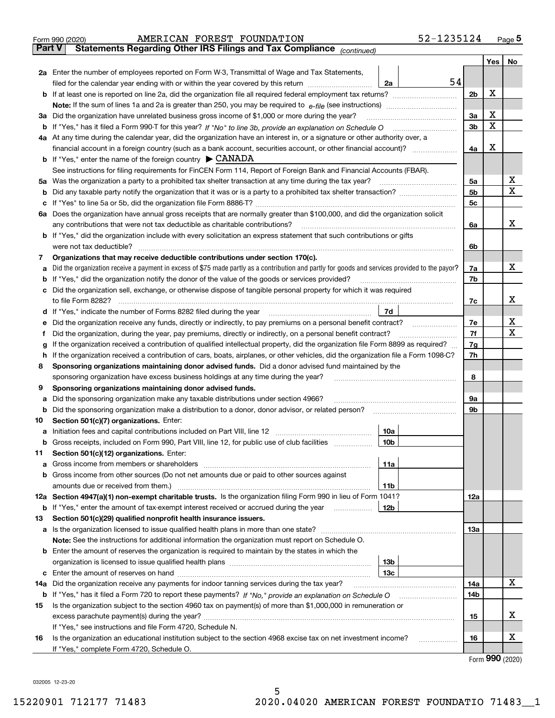|               | 52-1235124<br>AMERICAN FOREST FOUNDATION<br>Form 990 (2020)                                                                                                                                 |                |     | $_{\text{Page}}$ 5 |
|---------------|---------------------------------------------------------------------------------------------------------------------------------------------------------------------------------------------|----------------|-----|--------------------|
| <b>Part V</b> | Statements Regarding Other IRS Filings and Tax Compliance (continued)                                                                                                                       |                |     |                    |
|               |                                                                                                                                                                                             |                | Yes | No                 |
|               | 2a Enter the number of employees reported on Form W-3, Transmittal of Wage and Tax Statements,                                                                                              |                |     |                    |
|               | 54<br>filed for the calendar year ending with or within the year covered by this return<br>2a                                                                                               |                |     |                    |
|               |                                                                                                                                                                                             | 2b             | х   |                    |
|               |                                                                                                                                                                                             |                |     |                    |
|               | 3a Did the organization have unrelated business gross income of \$1,000 or more during the year?                                                                                            | 3a             | х   |                    |
|               |                                                                                                                                                                                             | 3b             | X   |                    |
|               | 4a At any time during the calendar year, did the organization have an interest in, or a signature or other authority over, a                                                                |                |     |                    |
|               |                                                                                                                                                                                             | 4a             | х   |                    |
|               | <b>b</b> If "Yes," enter the name of the foreign country $\triangleright$ CANADA                                                                                                            |                |     |                    |
|               | See instructions for filing requirements for FinCEN Form 114, Report of Foreign Bank and Financial Accounts (FBAR).                                                                         |                |     |                    |
|               |                                                                                                                                                                                             | 5a             |     | х                  |
| b             |                                                                                                                                                                                             | 5 <sub>b</sub> |     | x                  |
| c             |                                                                                                                                                                                             | 5c             |     |                    |
|               | 6a Does the organization have annual gross receipts that are normally greater than \$100,000, and did the organization solicit                                                              |                |     |                    |
|               | any contributions that were not tax deductible as charitable contributions?                                                                                                                 | 6a             |     | x                  |
|               | <b>b</b> If "Yes," did the organization include with every solicitation an express statement that such contributions or gifts                                                               |                |     |                    |
|               | were not tax deductible?                                                                                                                                                                    | 6b             |     |                    |
| 7             | Organizations that may receive deductible contributions under section 170(c).                                                                                                               |                |     |                    |
| а             | Did the organization receive a payment in excess of \$75 made partly as a contribution and partly for goods and services provided to the payor?                                             | 7a             |     | х                  |
| b             | If "Yes," did the organization notify the donor of the value of the goods or services provided?                                                                                             | 7b             |     |                    |
|               | c Did the organization sell, exchange, or otherwise dispose of tangible personal property for which it was required                                                                         |                |     |                    |
|               |                                                                                                                                                                                             | 7c             |     | х                  |
|               | 7d                                                                                                                                                                                          |                |     |                    |
| е             |                                                                                                                                                                                             | 7e             |     | х                  |
| f             | Did the organization, during the year, pay premiums, directly or indirectly, on a personal benefit contract?                                                                                | 7f             |     | х                  |
| g             | If the organization received a contribution of qualified intellectual property, did the organization file Form 8899 as required?                                                            | 7g             |     |                    |
| h.            | If the organization received a contribution of cars, boats, airplanes, or other vehicles, did the organization file a Form 1098-C?                                                          | 7h             |     |                    |
| 8             | Sponsoring organizations maintaining donor advised funds. Did a donor advised fund maintained by the                                                                                        |                |     |                    |
|               | sponsoring organization have excess business holdings at any time during the year?                                                                                                          | 8              |     |                    |
| 9             | Sponsoring organizations maintaining donor advised funds.                                                                                                                                   |                |     |                    |
| а             | Did the sponsoring organization make any taxable distributions under section 4966?                                                                                                          | 9а             |     |                    |
| b             | Did the sponsoring organization make a distribution to a donor, donor advisor, or related person? [[[[[[[[[[[                                                                               | 9b             |     |                    |
| 10            | Section 501(c)(7) organizations. Enter:                                                                                                                                                     |                |     |                    |
|               | 10a                                                                                                                                                                                         |                |     |                    |
|               | 10 <sub>b</sub>  <br>Gross receipts, included on Form 990, Part VIII, line 12, for public use of club facilities                                                                            |                |     |                    |
| 11            | Section 501(c)(12) organizations. Enter:                                                                                                                                                    |                |     |                    |
| a             | 11a                                                                                                                                                                                         |                |     |                    |
|               | b Gross income from other sources (Do not net amounts due or paid to other sources against                                                                                                  |                |     |                    |
|               | 11b                                                                                                                                                                                         |                |     |                    |
|               | 12a Section 4947(a)(1) non-exempt charitable trusts. Is the organization filing Form 990 in lieu of Form 1041?                                                                              | <b>12a</b>     |     |                    |
|               | 12b<br><b>b</b> If "Yes," enter the amount of tax-exempt interest received or accrued during the year                                                                                       |                |     |                    |
| 13            | Section 501(c)(29) qualified nonprofit health insurance issuers.                                                                                                                            | <b>13a</b>     |     |                    |
|               | a Is the organization licensed to issue qualified health plans in more than one state?<br>Note: See the instructions for additional information the organization must report on Schedule O. |                |     |                    |
|               | <b>b</b> Enter the amount of reserves the organization is required to maintain by the states in which the                                                                                   |                |     |                    |
|               | 13b                                                                                                                                                                                         |                |     |                    |
|               | 13с                                                                                                                                                                                         |                |     |                    |
| 14a           | Did the organization receive any payments for indoor tanning services during the tax year?                                                                                                  | 14a            |     | x                  |
| b             | If "Yes," has it filed a Form 720 to report these payments? If "No," provide an explanation on Schedule O                                                                                   | 14b            |     |                    |
| 15            | Is the organization subject to the section 4960 tax on payment(s) of more than \$1,000,000 in remuneration or                                                                               |                |     |                    |
|               |                                                                                                                                                                                             | 15             |     | x                  |
|               | If "Yes," see instructions and file Form 4720, Schedule N.                                                                                                                                  |                |     |                    |
| 16            | Is the organization an educational institution subject to the section 4968 excise tax on net investment income?                                                                             | 16             |     | х                  |
|               | If "Yes," complete Form 4720, Schedule O.                                                                                                                                                   |                |     |                    |
|               |                                                                                                                                                                                             |                |     |                    |

Form (2020) **990**

032005 12-23-20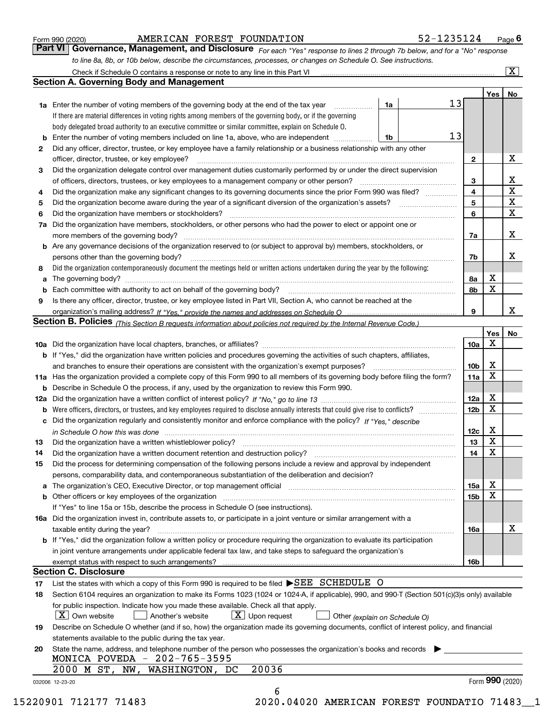|  | Form 990 (2020) |
|--|-----------------|
|  |                 |

### AMERICAN FOREST FOUNDATION 52-1235124

*For each "Yes" response to lines 2 through 7b below, and for a "No" response to line 8a, 8b, or 10b below, describe the circumstances, processes, or changes on Schedule O. See instructions.* Form 990 (2020) **AMERICAN FOREST FOUNDATION** 52-1235124 Page 6<br>**Part VI Governance, Management, and Disclosure** For each "Yes" response to lines 2 through 7b below, and for a "No" response Check if Schedule O contains a response or note to any line in this Part VI

|    |                                                                                                                                                                               |                               |    |                         | Yes             | No                      |  |  |
|----|-------------------------------------------------------------------------------------------------------------------------------------------------------------------------------|-------------------------------|----|-------------------------|-----------------|-------------------------|--|--|
|    | <b>1a</b> Enter the number of voting members of the governing body at the end of the tax year                                                                                 | 1a                            | 13 |                         |                 |                         |  |  |
|    | If there are material differences in voting rights among members of the governing body, or if the governing                                                                   |                               |    |                         |                 |                         |  |  |
|    | body delegated broad authority to an executive committee or similar committee, explain on Schedule O.                                                                         |                               |    |                         |                 |                         |  |  |
|    | 13<br>1b                                                                                                                                                                      |                               |    |                         |                 |                         |  |  |
| 2  | Did any officer, director, trustee, or key employee have a family relationship or a business relationship with any other                                                      |                               |    |                         |                 |                         |  |  |
|    | officer, director, trustee, or key employee?                                                                                                                                  |                               |    | $\mathbf{2}$            |                 | X                       |  |  |
| 3  | Did the organization delegate control over management duties customarily performed by or under the direct supervision                                                         |                               |    |                         |                 |                         |  |  |
|    |                                                                                                                                                                               |                               |    | 3                       |                 | X                       |  |  |
| 4  | Did the organization make any significant changes to its governing documents since the prior Form 990 was filed?                                                              |                               |    | $\overline{\mathbf{4}}$ |                 | $\overline{\textbf{X}}$ |  |  |
| 5  |                                                                                                                                                                               |                               |    | 5                       |                 | $\mathbf X$             |  |  |
| 6  | Did the organization have members or stockholders?                                                                                                                            |                               |    | 6                       |                 | $\mathbf x$             |  |  |
|    | 7a Did the organization have members, stockholders, or other persons who had the power to elect or appoint one or                                                             |                               |    |                         |                 |                         |  |  |
|    |                                                                                                                                                                               |                               |    | 7a                      |                 | x                       |  |  |
|    | <b>b</b> Are any governance decisions of the organization reserved to (or subject to approval by) members, stockholders, or                                                   |                               |    |                         |                 |                         |  |  |
|    | persons other than the governing body?                                                                                                                                        |                               |    | 7b                      |                 | х                       |  |  |
| 8  | Did the organization contemporaneously document the meetings held or written actions undertaken during the year by the following:                                             |                               |    |                         |                 |                         |  |  |
| a  |                                                                                                                                                                               |                               |    | 8a                      | X               |                         |  |  |
|    |                                                                                                                                                                               |                               |    | 8b                      | X               |                         |  |  |
| 9  | Is there any officer, director, trustee, or key employee listed in Part VII, Section A, who cannot be reached at the                                                          |                               |    |                         |                 |                         |  |  |
|    |                                                                                                                                                                               |                               |    | 9                       |                 | х                       |  |  |
|    | Section B. Policies (This Section B requests information about policies not required by the Internal Revenue Code.)                                                           |                               |    |                         |                 |                         |  |  |
|    |                                                                                                                                                                               |                               |    |                         | Yes             | No                      |  |  |
|    |                                                                                                                                                                               |                               |    | 10a                     | Χ               |                         |  |  |
|    | <b>b</b> If "Yes," did the organization have written policies and procedures governing the activities of such chapters, affiliates,                                           |                               |    |                         |                 |                         |  |  |
|    |                                                                                                                                                                               |                               |    | 10 <sub>b</sub>         | Х               |                         |  |  |
|    | 11a Has the organization provided a complete copy of this Form 990 to all members of its governing body before filing the form?                                               |                               |    | 11a                     | X               |                         |  |  |
|    | <b>b</b> Describe in Schedule O the process, if any, used by the organization to review this Form 990.                                                                        |                               |    |                         |                 |                         |  |  |
|    |                                                                                                                                                                               |                               |    | 12a                     | X               |                         |  |  |
| b  |                                                                                                                                                                               |                               |    | 12b                     | X               |                         |  |  |
|    | c Did the organization regularly and consistently monitor and enforce compliance with the policy? If "Yes," describe                                                          |                               |    |                         |                 |                         |  |  |
|    | in Schedule O how this was done manufactured and continuum control of the Schedule O how this was done manufactured and continuum control of the Schedule O how this was done |                               |    | 12c                     | х               |                         |  |  |
| 13 |                                                                                                                                                                               |                               |    | 13                      | X               |                         |  |  |
| 14 | Did the organization have a written document retention and destruction policy? manufactured and the organization have a written document retention and destruction policy?    |                               |    | 14                      | X               |                         |  |  |
| 15 | Did the process for determining compensation of the following persons include a review and approval by independent                                                            |                               |    |                         |                 |                         |  |  |
|    | persons, comparability data, and contemporaneous substantiation of the deliberation and decision?                                                                             |                               |    |                         |                 |                         |  |  |
|    |                                                                                                                                                                               |                               |    | 15a                     | X               |                         |  |  |
|    |                                                                                                                                                                               |                               |    | 15b                     | X               |                         |  |  |
|    | If "Yes" to line 15a or 15b, describe the process in Schedule O (see instructions).                                                                                           |                               |    |                         |                 |                         |  |  |
|    | 16a Did the organization invest in, contribute assets to, or participate in a joint venture or similar arrangement with a                                                     |                               |    |                         |                 |                         |  |  |
|    |                                                                                                                                                                               |                               |    | 16a                     |                 | X                       |  |  |
|    | taxable entity during the year?<br><b>b</b> If "Yes," did the organization follow a written policy or procedure requiring the organization to evaluate its participation      |                               |    |                         |                 |                         |  |  |
|    | in joint venture arrangements under applicable federal tax law, and take steps to safequard the organization's                                                                |                               |    |                         |                 |                         |  |  |
|    |                                                                                                                                                                               |                               |    |                         |                 |                         |  |  |
|    | <b>Section C. Disclosure</b>                                                                                                                                                  |                               |    | 16b                     |                 |                         |  |  |
|    |                                                                                                                                                                               |                               |    |                         |                 |                         |  |  |
| 17 | List the states with which a copy of this Form 990 is required to be filed $\blacktriangleright$ SEE SCHEDULE O                                                               |                               |    |                         |                 |                         |  |  |
| 18 | Section 6104 requires an organization to make its Forms 1023 (1024 or 1024-A, if applicable), 990, and 990-T (Section 501(c)(3)s only) available                              |                               |    |                         |                 |                         |  |  |
|    | for public inspection. Indicate how you made these available. Check all that apply.                                                                                           |                               |    |                         |                 |                         |  |  |
|    | $\lfloor X \rfloor$ Own website<br>$X$ Upon request<br>Another's website                                                                                                      | Other (explain on Schedule O) |    |                         |                 |                         |  |  |
| 19 | Describe on Schedule O whether (and if so, how) the organization made its governing documents, conflict of interest policy, and financial                                     |                               |    |                         |                 |                         |  |  |
|    | statements available to the public during the tax year.                                                                                                                       |                               |    |                         |                 |                         |  |  |
| 20 | State the name, address, and telephone number of the person who possesses the organization's books and records                                                                |                               |    |                         |                 |                         |  |  |
|    | MONICA POVEDA - 202-765-3595                                                                                                                                                  |                               |    |                         |                 |                         |  |  |
|    | 20036<br>2000 M ST, NW, WASHINGTON, DC                                                                                                                                        |                               |    |                         |                 |                         |  |  |
|    | 032006 12-23-20                                                                                                                                                               |                               |    |                         | Form 990 (2020) |                         |  |  |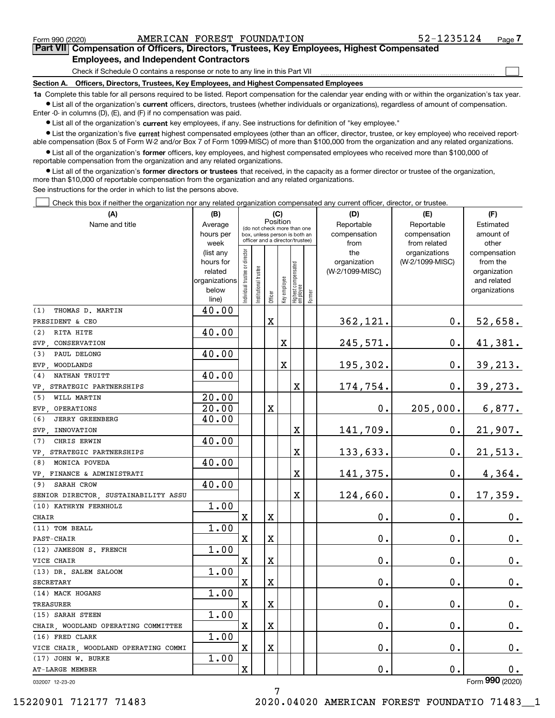$\mathcal{L}^{\text{max}}$ 

# **7Part VII Compensation of Officers, Directors, Trustees, Key Employees, Highest Compensated Employees, and Independent Contractors**

Check if Schedule O contains a response or note to any line in this Part VII

**Section A. Officers, Directors, Trustees, Key Employees, and Highest Compensated Employees**

**1a**  Complete this table for all persons required to be listed. Report compensation for the calendar year ending with or within the organization's tax year. **•** List all of the organization's current officers, directors, trustees (whether individuals or organizations), regardless of amount of compensation.

Enter -0- in columns (D), (E), and (F) if no compensation was paid.

 $\bullet$  List all of the organization's  $\,$ current key employees, if any. See instructions for definition of "key employee."

**•** List the organization's five current highest compensated employees (other than an officer, director, trustee, or key employee) who received reportable compensation (Box 5 of Form W-2 and/or Box 7 of Form 1099-MISC) of more than \$100,000 from the organization and any related organizations.

**•** List all of the organization's former officers, key employees, and highest compensated employees who received more than \$100,000 of reportable compensation from the organization and any related organizations.

**former directors or trustees**  ¥ List all of the organization's that received, in the capacity as a former director or trustee of the organization, more than \$10,000 of reportable compensation from the organization and any related organizations.

See instructions for the order in which to list the persons above.

Check this box if neither the organization nor any related organization compensated any current officer, director, or trustee.  $\mathcal{L}^{\text{max}}$ 

| (A)                                  | (C)<br>(B)             |                                         |                                                                  |                         |              |                                   |        | (D)                             | (E)                              | (F)                      |
|--------------------------------------|------------------------|-----------------------------------------|------------------------------------------------------------------|-------------------------|--------------|-----------------------------------|--------|---------------------------------|----------------------------------|--------------------------|
| Name and title                       | Average                | Position<br>(do not check more than one |                                                                  |                         |              |                                   |        | Reportable                      | Reportable                       | Estimated                |
|                                      | hours per              |                                         | box, unless person is both an<br>officer and a director/trustee) |                         |              |                                   |        | compensation                    | compensation                     | amount of                |
|                                      | week                   |                                         |                                                                  |                         |              |                                   |        | from                            | from related                     | other                    |
|                                      | (list any<br>hours for |                                         |                                                                  |                         |              |                                   |        | the                             | organizations<br>(W-2/1099-MISC) | compensation<br>from the |
|                                      | related                |                                         |                                                                  |                         |              |                                   |        | organization<br>(W-2/1099-MISC) |                                  | organization             |
|                                      | organizations          |                                         |                                                                  |                         |              |                                   |        |                                 |                                  | and related              |
|                                      | below                  | ndividual trustee or director           | nstitutional trustee                                             |                         | Key employee |                                   |        |                                 |                                  | organizations            |
|                                      | line)                  |                                         |                                                                  | Officer                 |              | Highest compensated<br>  employee | Former |                                 |                                  |                          |
| (1)<br>THOMAS D. MARTIN              | 40.00                  |                                         |                                                                  |                         |              |                                   |        |                                 |                                  |                          |
| PRESIDENT & CEO                      |                        |                                         |                                                                  | $\mathbf X$             |              |                                   |        | 362,121.                        | 0.                               | 52,658.                  |
| RITA HITE<br>(2)                     | 40.00                  |                                         |                                                                  |                         |              |                                   |        |                                 |                                  |                          |
| SVP<br>CONSERVATION                  |                        |                                         |                                                                  |                         | Χ            |                                   |        | 245,571.                        | 0.                               | 41,381.                  |
| PAUL DELONG<br>(3)                   | 40.00                  |                                         |                                                                  |                         |              |                                   |        |                                 |                                  |                          |
| EVP, WOODLANDS                       |                        |                                         |                                                                  |                         | $\mathbf X$  |                                   |        | 195,302.                        | $0$ .                            | 39,213.                  |
| NATHAN TRUITT<br>(4)                 | 40.00                  |                                         |                                                                  |                         |              |                                   |        |                                 |                                  |                          |
| STRATEGIC PARTNERSHIPS<br>VP.        |                        |                                         |                                                                  |                         |              | X                                 |        | 174,754.                        | $0$ .                            | 39,273.                  |
| WILL MARTIN<br>(5)                   | 20.00                  |                                         |                                                                  |                         |              |                                   |        |                                 |                                  |                          |
| OPERATIONS<br>EVP.                   | 20.00                  |                                         |                                                                  | X                       |              |                                   |        | $\mathbf 0$ .                   | 205,000.                         | 6,877.                   |
| <b>JERRY GREENBERG</b><br>(6)        | 40.00                  |                                         |                                                                  |                         |              |                                   |        |                                 |                                  |                          |
| INNOVATION<br>SVP                    |                        |                                         |                                                                  |                         |              | X                                 |        | 141,709.                        | $0$ .                            | 21,907.                  |
| (7)<br>CHRIS ERWIN                   | 40.00                  |                                         |                                                                  |                         |              |                                   |        |                                 |                                  |                          |
| VP STRATEGIC PARTNERSHIPS            |                        |                                         |                                                                  |                         |              | $\overline{\textbf{X}}$           |        | 133,633.                        | 0.                               | 21,513.                  |
| MONICA POVEDA<br>(8)                 | 40.00                  |                                         |                                                                  |                         |              |                                   |        |                                 |                                  |                          |
| VP FINANCE & ADMINISTRATI            |                        |                                         |                                                                  |                         |              | X                                 |        | 141,375.                        | $\mathbf 0$ .                    | 4,364.                   |
| SARAH CROW<br>(9)                    | 40.00                  |                                         |                                                                  |                         |              |                                   |        |                                 |                                  |                          |
| SENIOR DIRECTOR, SUSTAINABILITY ASSU |                        |                                         |                                                                  |                         |              | X                                 |        | 124,660.                        | $\mathbf 0$ .                    | 17,359.                  |
| (10) KATHRYN FERNHOLZ                | 1.00                   |                                         |                                                                  |                         |              |                                   |        |                                 |                                  |                          |
| CHAIR                                |                        | $\overline{\textbf{X}}$                 |                                                                  | $\overline{\textbf{X}}$ |              |                                   |        | $\mathbf 0$ .                   | 0.                               | 0.                       |
| (11) TOM BEALL                       | 1.00                   |                                         |                                                                  |                         |              |                                   |        |                                 |                                  |                          |
| PAST-CHAIR                           |                        | X                                       |                                                                  | $\mathbf X$             |              |                                   |        | $\mathbf 0$ .                   | 0.                               | 0.                       |
| (12) JAMESON S. FRENCH               | 1.00                   |                                         |                                                                  |                         |              |                                   |        |                                 |                                  |                          |
| VICE CHAIR                           |                        | $\mathbf x$                             |                                                                  | X                       |              |                                   |        | $\mathbf 0$ .                   | 0.                               | 0.                       |
| (13) DR. SALEM SALOOM                | 1.00                   |                                         |                                                                  |                         |              |                                   |        |                                 |                                  |                          |
| <b>SECRETARY</b>                     |                        | $\mathbf x$                             |                                                                  | X                       |              |                                   |        | $\mathbf 0$ .                   | 0.                               | $\mathbf 0$ .            |
| (14) MACK HOGANS                     | 1.00                   |                                         |                                                                  |                         |              |                                   |        |                                 |                                  |                          |
| <b>TREASURER</b>                     |                        | X                                       |                                                                  | X                       |              |                                   |        | $\mathbf 0$ .                   | 0.                               | $0_{.}$                  |
| (15) SARAH STEEN                     | 1.00                   |                                         |                                                                  |                         |              |                                   |        |                                 |                                  |                          |
| CHAIR, WOODLAND OPERATING COMMITTEE  |                        | $\mathbf x$                             |                                                                  | $\mathbf X$             |              |                                   |        | $\mathbf 0$ .                   | 0.                               | $0_{.}$                  |
| (16) FRED CLARK                      | 1.00                   |                                         |                                                                  |                         |              |                                   |        |                                 |                                  |                          |
| VICE CHAIR, WOODLAND OPERATING COMMI |                        | $\overline{\text{X}}$                   |                                                                  | X                       |              |                                   |        | $\mathbf 0$ .                   | 0.                               | 0.                       |
| (17) JOHN W. BURKE                   | 1.00                   |                                         |                                                                  |                         |              |                                   |        |                                 |                                  |                          |
| <b>AT-LARGE MEMBER</b>               |                        | X                                       |                                                                  |                         |              |                                   |        | $\mathbf 0$ .                   | 0.                               | 0.                       |

7

032007 12-23-20

Form (2020) **990**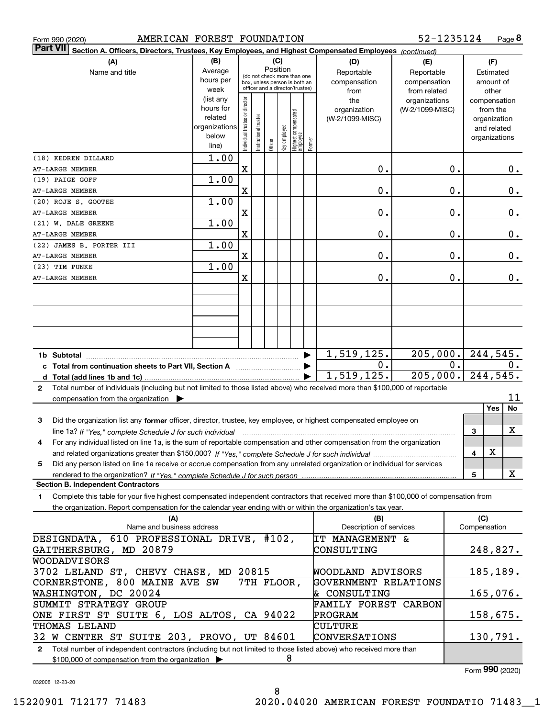| AMERICAN FOREST FOUNDATION<br>Form 990 (2020)                                                                                                                                                                                                                       |                        |                                |                       |         |              |                                   |                       |                                 | 52-1235124      |    |                        |           | Page 8 |
|---------------------------------------------------------------------------------------------------------------------------------------------------------------------------------------------------------------------------------------------------------------------|------------------------|--------------------------------|-----------------------|---------|--------------|-----------------------------------|-----------------------|---------------------------------|-----------------|----|------------------------|-----------|--------|
| <b>Part VII</b><br>Section A. Officers, Directors, Trustees, Key Employees, and Highest Compensated Employees (continued)                                                                                                                                           |                        |                                |                       |         |              |                                   |                       |                                 |                 |    |                        |           |        |
| (A)                                                                                                                                                                                                                                                                 | (B)                    |                                |                       |         | (C)          |                                   |                       | (D)                             | (E)             |    |                        | (F)       |        |
| Name and title                                                                                                                                                                                                                                                      | Average                |                                |                       |         | Position     | (do not check more than one       |                       | Reportable                      | Reportable      |    |                        | Estimated |        |
|                                                                                                                                                                                                                                                                     | hours per              |                                |                       |         |              | box, unless person is both an     |                       | compensation<br>compensation    |                 |    |                        | amount of |        |
|                                                                                                                                                                                                                                                                     | week                   |                                |                       |         |              | officer and a director/trustee)   |                       | from                            | from related    |    |                        | other     |        |
|                                                                                                                                                                                                                                                                     | (list any<br>hours for |                                |                       |         |              |                                   |                       | the                             | organizations   |    | compensation           |           |        |
|                                                                                                                                                                                                                                                                     | related                |                                |                       |         |              |                                   |                       | organization<br>(W-2/1099-MISC) | (W-2/1099-MISC) |    | organization           | from the  |        |
|                                                                                                                                                                                                                                                                     | organizations          |                                |                       |         |              |                                   |                       |                                 |                 |    | and related            |           |        |
|                                                                                                                                                                                                                                                                     | below                  |                                |                       |         |              |                                   |                       |                                 |                 |    | organizations          |           |        |
|                                                                                                                                                                                                                                                                     | line)                  | Individual trustee or director | Institutional trustee | Officer | Key employee | Highest compensated<br>  employee | Former                |                                 |                 |    |                        |           |        |
| (18) KEDREN DILLARD                                                                                                                                                                                                                                                 | 1.00                   |                                |                       |         |              |                                   |                       |                                 |                 |    |                        |           |        |
| AT-LARGE MEMBER                                                                                                                                                                                                                                                     |                        | $\mathbf X$                    |                       |         |              |                                   |                       | 0.                              |                 | 0. |                        |           | 0.     |
| (19) PAIGE GOFF                                                                                                                                                                                                                                                     | 1.00                   |                                |                       |         |              |                                   |                       |                                 |                 |    |                        |           |        |
| AT-LARGE MEMBER                                                                                                                                                                                                                                                     |                        | $\mathbf X$                    |                       |         |              |                                   |                       | 0.                              |                 | 0. |                        |           | 0.     |
| (20) ROJE S. GOOTEE                                                                                                                                                                                                                                                 | 1.00                   |                                |                       |         |              |                                   |                       |                                 |                 |    |                        |           |        |
| AT-LARGE MEMBER                                                                                                                                                                                                                                                     |                        | $\mathbf X$                    |                       |         |              |                                   |                       | 0.                              |                 | 0. |                        |           | 0.     |
| (21) W. DALE GREENE                                                                                                                                                                                                                                                 | 1.00                   |                                |                       |         |              |                                   |                       |                                 |                 |    |                        |           |        |
| AT-LARGE MEMBER                                                                                                                                                                                                                                                     |                        | $\mathbf X$                    |                       |         |              |                                   |                       | 0.                              |                 | 0. |                        |           | 0.     |
| (22) JAMES B. PORTER III                                                                                                                                                                                                                                            | 1.00                   |                                |                       |         |              |                                   |                       |                                 |                 |    |                        |           |        |
| AT-LARGE MEMBER                                                                                                                                                                                                                                                     |                        | $\mathbf X$                    |                       |         |              |                                   |                       | 0.                              |                 | 0. |                        |           | 0.     |
| (23) TIM PUNKE                                                                                                                                                                                                                                                      | 1.00                   |                                |                       |         |              |                                   |                       |                                 |                 |    |                        |           |        |
| AT-LARGE MEMBER                                                                                                                                                                                                                                                     |                        | X                              |                       |         |              |                                   |                       | 0.                              |                 | 0. |                        |           | $0$ .  |
|                                                                                                                                                                                                                                                                     |                        |                                |                       |         |              |                                   |                       |                                 |                 |    |                        |           |        |
|                                                                                                                                                                                                                                                                     |                        |                                |                       |         |              |                                   |                       |                                 |                 |    |                        |           |        |
|                                                                                                                                                                                                                                                                     |                        |                                |                       |         |              |                                   |                       |                                 |                 |    |                        |           |        |
|                                                                                                                                                                                                                                                                     |                        |                                |                       |         |              |                                   |                       |                                 |                 |    |                        |           |        |
|                                                                                                                                                                                                                                                                     |                        |                                |                       |         |              |                                   |                       |                                 |                 |    |                        |           |        |
|                                                                                                                                                                                                                                                                     |                        |                                |                       |         |              |                                   |                       | 1,519,125.                      | 205,000.        |    | $\overline{244,545}$ . |           |        |
|                                                                                                                                                                                                                                                                     |                        |                                |                       |         |              |                                   | $\blacktriangleright$ | 0.                              |                 | 0. |                        |           |        |
|                                                                                                                                                                                                                                                                     |                        |                                |                       |         |              |                                   |                       | 1,519,125.                      | 205,000.        |    | 244,545.               |           | 0.     |
|                                                                                                                                                                                                                                                                     |                        |                                |                       |         |              |                                   |                       |                                 |                 |    |                        |           |        |
| Total number of individuals (including but not limited to those listed above) who received more than \$100,000 of reportable<br>$\mathbf{2}$                                                                                                                        |                        |                                |                       |         |              |                                   |                       |                                 |                 |    |                        |           | 11     |
| compensation from the organization $\blacktriangleright$                                                                                                                                                                                                            |                        |                                |                       |         |              |                                   |                       |                                 |                 |    |                        | Yes       | No     |
| 3<br>Did the organization list any former officer, director, trustee, key employee, or highest compensated employee on                                                                                                                                              |                        |                                |                       |         |              |                                   |                       |                                 |                 |    |                        |           |        |
|                                                                                                                                                                                                                                                                     |                        |                                |                       |         |              |                                   |                       |                                 |                 |    | 3                      |           | X      |
| line 1a? If "Yes," complete Schedule J for such individual manufactured contained and the Ves," complete Schedule J for such individual<br>For any individual listed on line 1a, is the sum of reportable compensation and other compensation from the organization |                        |                                |                       |         |              |                                   |                       |                                 |                 |    |                        |           |        |
|                                                                                                                                                                                                                                                                     |                        |                                |                       |         |              |                                   |                       |                                 |                 |    | 4                      | X         |        |
| Did any person listed on line 1a receive or accrue compensation from any unrelated organization or individual for services<br>5                                                                                                                                     |                        |                                |                       |         |              |                                   |                       |                                 |                 |    |                        |           |        |
|                                                                                                                                                                                                                                                                     |                        |                                |                       |         |              |                                   |                       |                                 |                 |    | 5                      |           | X      |
| <b>Section B. Independent Contractors</b>                                                                                                                                                                                                                           |                        |                                |                       |         |              |                                   |                       |                                 |                 |    |                        |           |        |
| Complete this table for your five highest compensated independent contractors that received more than \$100,000 of compensation from<br>1.                                                                                                                          |                        |                                |                       |         |              |                                   |                       |                                 |                 |    |                        |           |        |
| the organization. Report compensation for the calendar year ending with or within the organization's tax year.                                                                                                                                                      |                        |                                |                       |         |              |                                   |                       |                                 |                 |    |                        |           |        |
| (A)                                                                                                                                                                                                                                                                 |                        |                                |                       |         |              |                                   |                       | (B)                             |                 |    | (C)                    |           |        |
| Name and business address                                                                                                                                                                                                                                           |                        |                                |                       |         |              |                                   |                       | Description of services         |                 |    | Compensation           |           |        |
| DESIGNDATA, 610 PROFESSIONAL DRIVE, #102,                                                                                                                                                                                                                           |                        |                                |                       |         |              |                                   |                       | IT MANAGEMENT &                 |                 |    |                        |           |        |
| GAITHERSBURG, MD 20879                                                                                                                                                                                                                                              |                        |                                |                       |         |              |                                   |                       | CONSULTING                      |                 |    | 248,827.               |           |        |
| WOODADVISORS                                                                                                                                                                                                                                                        |                        |                                |                       |         |              |                                   |                       |                                 |                 |    |                        |           |        |
| 3702 LELAND ST, CHEVY CHASE, MD 20815                                                                                                                                                                                                                               |                        |                                |                       |         |              |                                   |                       | WOODLAND ADVISORS               |                 |    | 185,189.               |           |        |
| CORNERSTONE, 800 MAINE AVE SW                                                                                                                                                                                                                                       |                        |                                | 7TH FLOOR,            |         |              |                                   |                       | GOVERNMENT RELATIONS            |                 |    |                        |           |        |
| WASHINGTON, DC 20024                                                                                                                                                                                                                                                |                        |                                |                       |         |              |                                   |                       | & CONSULTING                    |                 |    | 165,076.               |           |        |
| SUMMIT STRATEGY GROUP                                                                                                                                                                                                                                               |                        |                                |                       |         |              |                                   |                       | FAMILY FOREST CARBON            |                 |    |                        |           |        |
| ONE FIRST ST SUITE 6, LOS ALTOS, CA 94022                                                                                                                                                                                                                           |                        |                                |                       |         |              |                                   |                       | PROGRAM                         |                 |    | 158,675.               |           |        |
| THOMAS LELAND                                                                                                                                                                                                                                                       |                        |                                |                       |         |              |                                   |                       | CULTURE                         |                 |    |                        |           |        |
| 32 W CENTER ST SUITE 203, PROVO, UT 84601                                                                                                                                                                                                                           |                        |                                |                       |         |              |                                   |                       | CONVERSATIONS                   |                 |    | 130, 791.              |           |        |
| Dependence of independent contractors (including but not limited to those listed above) who resolved more than                                                                                                                                                      |                        |                                |                       |         |              |                                   |                       |                                 |                 |    |                        |           |        |

**2**Total number of independent contractors (including but not limited to those listed above) who received more than 8

\$100,000 of compensation from the organization

Form (2020) **990**

032008 12-23-20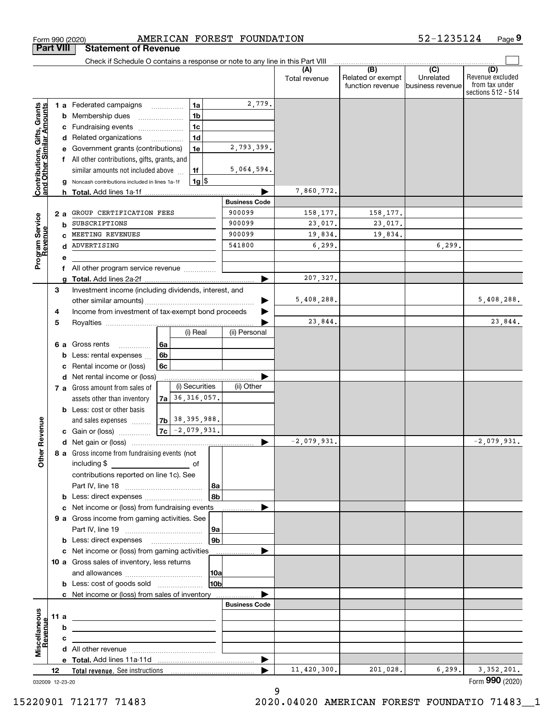| Form 990 (2020)                                           |      |        |                                                                                                                                                                                                                                                      |          |                      |                      | AMERICAN FOREST FOUNDATION |               |                                       | 52-1235124                    | Page 9                                                   |
|-----------------------------------------------------------|------|--------|------------------------------------------------------------------------------------------------------------------------------------------------------------------------------------------------------------------------------------------------------|----------|----------------------|----------------------|----------------------------|---------------|---------------------------------------|-------------------------------|----------------------------------------------------------|
| <b>Part VIII</b>                                          |      |        | <b>Statement of Revenue</b>                                                                                                                                                                                                                          |          |                      |                      |                            |               |                                       |                               |                                                          |
|                                                           |      |        | Check if Schedule O contains a response or note to any line in this Part VIII                                                                                                                                                                        |          |                      |                      |                            | (A)           | (B)                                   | $\overline{C}$                | (D)                                                      |
|                                                           |      |        |                                                                                                                                                                                                                                                      |          |                      |                      |                            | Total revenue | Related or exempt<br>function revenue | Unrelated<br>business revenue | Revenue excluded<br>from tax under<br>sections 512 - 514 |
|                                                           |      |        | <b>1 a</b> Federated campaigns                                                                                                                                                                                                                       |          | 1a                   |                      | 2,779.                     |               |                                       |                               |                                                          |
|                                                           |      | b      | Membership dues                                                                                                                                                                                                                                      |          | 1 <sub>b</sub>       |                      |                            |               |                                       |                               |                                                          |
|                                                           |      |        | Fundraising events                                                                                                                                                                                                                                   |          | 1 <sub>c</sub>       |                      |                            |               |                                       |                               |                                                          |
|                                                           |      |        | d Related organizations                                                                                                                                                                                                                              | .        | 1 <sub>d</sub>       |                      |                            |               |                                       |                               |                                                          |
|                                                           |      |        | e Government grants (contributions)                                                                                                                                                                                                                  |          | 1e                   |                      | 2,793,399.                 |               |                                       |                               |                                                          |
|                                                           |      |        | f All other contributions, gifts, grants, and                                                                                                                                                                                                        |          |                      |                      |                            |               |                                       |                               |                                                          |
|                                                           |      |        | similar amounts not included above                                                                                                                                                                                                                   |          | 1f                   |                      | 5,064,594.                 |               |                                       |                               |                                                          |
| Contributions, Gifts, Grants<br>and Other Similar Amounts |      | g      | Noncash contributions included in lines 1a-1f                                                                                                                                                                                                        |          | $1g$ \$              |                      |                            |               |                                       |                               |                                                          |
|                                                           |      |        | <b>h</b> Total. Add lines 1a-1f                                                                                                                                                                                                                      |          |                      |                      | <b>Business Code</b>       | 7,860,772.    |                                       |                               |                                                          |
|                                                           |      |        | GROUP CERTIFICATION FEES                                                                                                                                                                                                                             |          |                      |                      | 900099                     | 158,177.      | 158,177.                              |                               |                                                          |
| Program Service<br>Revenue                                | 2 a  |        | SUBSCRIPTIONS                                                                                                                                                                                                                                        |          |                      |                      | 900099                     | 23,017.       | 23,017.                               |                               |                                                          |
|                                                           |      |        | MEETING REVENUES                                                                                                                                                                                                                                     |          |                      |                      | 900099                     | 19,834.       | 19,834.                               |                               |                                                          |
|                                                           |      |        | ADVERTISING                                                                                                                                                                                                                                          |          |                      |                      | 541800                     | 6, 299.       |                                       | 6, 299.                       |                                                          |
|                                                           |      |        |                                                                                                                                                                                                                                                      |          |                      |                      |                            |               |                                       |                               |                                                          |
|                                                           |      |        | All other program service revenue <i></i>                                                                                                                                                                                                            |          |                      |                      |                            |               |                                       |                               |                                                          |
|                                                           |      |        |                                                                                                                                                                                                                                                      |          |                      |                      |                            | 207,327.      |                                       |                               |                                                          |
|                                                           | 3    |        | Investment income (including dividends, interest, and                                                                                                                                                                                                |          |                      |                      |                            |               |                                       |                               |                                                          |
|                                                           |      |        |                                                                                                                                                                                                                                                      |          |                      |                      |                            | 5,408,288.    |                                       |                               | 5,408,288.                                               |
|                                                           | 4    |        | Income from investment of tax-exempt bond proceeds                                                                                                                                                                                                   |          |                      |                      |                            |               |                                       |                               |                                                          |
|                                                           | 5    |        |                                                                                                                                                                                                                                                      |          |                      |                      |                            | 23,844.       |                                       |                               | 23,844.                                                  |
|                                                           |      |        |                                                                                                                                                                                                                                                      |          | (i) Real             |                      | (ii) Personal              |               |                                       |                               |                                                          |
|                                                           |      |        | 6 a Gross rents<br>.                                                                                                                                                                                                                                 | 6a<br>6b |                      |                      |                            |               |                                       |                               |                                                          |
|                                                           |      |        | Less: rental expenses<br>Rental income or (loss)                                                                                                                                                                                                     | 6c       |                      |                      |                            |               |                                       |                               |                                                          |
|                                                           |      | d      | Net rental income or (loss)                                                                                                                                                                                                                          |          |                      |                      |                            |               |                                       |                               |                                                          |
|                                                           |      |        | 7 a Gross amount from sales of                                                                                                                                                                                                                       |          | (i) Securities       |                      | (ii) Other                 |               |                                       |                               |                                                          |
|                                                           |      |        | assets other than inventory                                                                                                                                                                                                                          |          | $7a$ 36, 316, 057.   |                      |                            |               |                                       |                               |                                                          |
|                                                           |      |        | <b>b</b> Less: cost or other basis                                                                                                                                                                                                                   |          |                      |                      |                            |               |                                       |                               |                                                          |
|                                                           |      |        | and sales expenses                                                                                                                                                                                                                                   |          | $ 7b $ 38, 395, 988. |                      |                            |               |                                       |                               |                                                          |
| evenue                                                    |      |        | c Gain or (loss)                                                                                                                                                                                                                                     | 7c       | $-2,079,931.$        |                      |                            |               |                                       |                               |                                                          |
| Œ                                                         |      |        |                                                                                                                                                                                                                                                      |          |                      |                      |                            | $-2,079,931.$ |                                       |                               | $-2,079,931.$                                            |
| Other                                                     |      |        | 8 a Gross income from fundraising events (not                                                                                                                                                                                                        |          |                      |                      |                            |               |                                       |                               |                                                          |
|                                                           |      |        | including \$<br><u>na mga mga sangangang sa mga sangang sa mga sangang sa mga sangang sa mga sangang sa mga sangang sa mga sangang sa mga sangang sa mga sangang sa mga sangang sa mga sangang sa mga sangang sa mga sangang sa mga sangang sa m</u> |          |                      |                      |                            |               |                                       |                               |                                                          |
|                                                           |      |        | contributions reported on line 1c). See                                                                                                                                                                                                              |          |                      |                      |                            |               |                                       |                               |                                                          |
|                                                           |      |        |                                                                                                                                                                                                                                                      |          |                      | 8a<br>8 <sub>b</sub> |                            |               |                                       |                               |                                                          |
|                                                           |      | b<br>с | Net income or (loss) from fundraising events                                                                                                                                                                                                         |          |                      |                      |                            |               |                                       |                               |                                                          |
|                                                           |      |        | 9 a Gross income from gaming activities. See                                                                                                                                                                                                         |          |                      |                      |                            |               |                                       |                               |                                                          |
|                                                           |      |        |                                                                                                                                                                                                                                                      |          |                      | 9a                   |                            |               |                                       |                               |                                                          |
|                                                           |      |        |                                                                                                                                                                                                                                                      |          |                      | 9 <sub>b</sub>       |                            |               |                                       |                               |                                                          |
|                                                           |      |        | c Net income or (loss) from gaming activities ______________                                                                                                                                                                                         |          |                      |                      |                            |               |                                       |                               |                                                          |
|                                                           |      |        | 10 a Gross sales of inventory, less returns                                                                                                                                                                                                          |          |                      |                      |                            |               |                                       |                               |                                                          |
|                                                           |      |        |                                                                                                                                                                                                                                                      |          |                      | 10a                  |                            |               |                                       |                               |                                                          |
|                                                           |      |        | <b>b</b> Less: cost of goods sold                                                                                                                                                                                                                    |          |                      | 10 <sub>b</sub>      |                            |               |                                       |                               |                                                          |
|                                                           |      |        | <b>c</b> Net income or (loss) from sales of inventory                                                                                                                                                                                                |          |                      |                      |                            |               |                                       |                               |                                                          |
|                                                           |      |        |                                                                                                                                                                                                                                                      |          |                      |                      | <b>Business Code</b>       |               |                                       |                               |                                                          |
|                                                           | 11 a |        |                                                                                                                                                                                                                                                      |          |                      |                      |                            |               |                                       |                               |                                                          |
| Revenue                                                   |      | b      |                                                                                                                                                                                                                                                      |          |                      |                      |                            |               |                                       |                               |                                                          |
| Miscellaneous                                             |      | c      |                                                                                                                                                                                                                                                      |          |                      |                      |                            |               |                                       |                               |                                                          |
|                                                           |      |        |                                                                                                                                                                                                                                                      |          |                      |                      | ▶                          |               |                                       |                               |                                                          |
|                                                           | 12   |        |                                                                                                                                                                                                                                                      |          |                      |                      |                            | 11,420,300.   | 201,028.                              | 6, 299.                       | 3, 352, 201.                                             |
| 032009 12-23-20                                           |      |        |                                                                                                                                                                                                                                                      |          |                      |                      |                            |               |                                       |                               | Form 990 (2020)                                          |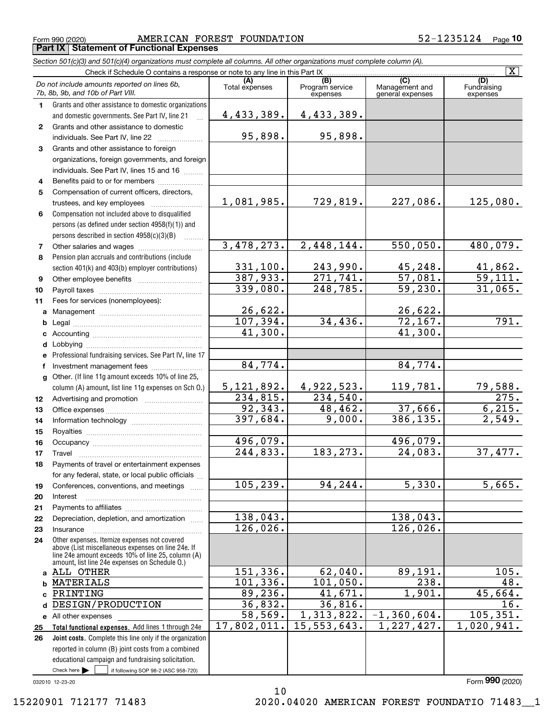Form 990 (2020) Page **Part IX Statement of Functional Expenses** AMERICAN FOREST FOUNDATION 52-1235124

*Section 501(c)(3) and 501(c)(4) organizations must complete all columns. All other organizations must complete column (A).*

|              |                                                                                                                                                                                                            |                        |                                    |                                           | x                              |
|--------------|------------------------------------------------------------------------------------------------------------------------------------------------------------------------------------------------------------|------------------------|------------------------------------|-------------------------------------------|--------------------------------|
|              | Do not include amounts reported on lines 6b,<br>7b, 8b, 9b, and 10b of Part VIII.                                                                                                                          | (A)<br>Total expenses  | (B)<br>Program service<br>expenses | (C)<br>Management and<br>general expenses | (D)<br>Fundraising<br>expenses |
| 1.           | Grants and other assistance to domestic organizations                                                                                                                                                      |                        |                                    |                                           |                                |
|              | and domestic governments. See Part IV, line 21                                                                                                                                                             | 4,433,389.             | 4,433,389.                         |                                           |                                |
| $\mathbf{2}$ | Grants and other assistance to domestic                                                                                                                                                                    |                        |                                    |                                           |                                |
|              | individuals. See Part IV, line 22                                                                                                                                                                          | 95,898.                | 95,898.                            |                                           |                                |
| 3            | Grants and other assistance to foreign                                                                                                                                                                     |                        |                                    |                                           |                                |
|              | organizations, foreign governments, and foreign                                                                                                                                                            |                        |                                    |                                           |                                |
|              | individuals. See Part IV, lines 15 and 16                                                                                                                                                                  |                        |                                    |                                           |                                |
| 4            | Benefits paid to or for members                                                                                                                                                                            |                        |                                    |                                           |                                |
| 5            | Compensation of current officers, directors,                                                                                                                                                               |                        |                                    |                                           |                                |
|              | trustees, and key employees                                                                                                                                                                                | 1,081,985.             | 729,819.                           | 227,086.                                  | 125,080.                       |
| 6            | Compensation not included above to disqualified                                                                                                                                                            |                        |                                    |                                           |                                |
|              | persons (as defined under section 4958(f)(1)) and                                                                                                                                                          |                        |                                    |                                           |                                |
|              | persons described in section 4958(c)(3)(B)                                                                                                                                                                 |                        |                                    |                                           |                                |
| 7            |                                                                                                                                                                                                            | 3,478,273.             | 2,448,144.                         | 550,050.                                  | 480,079.                       |
| 8            | Pension plan accruals and contributions (include                                                                                                                                                           |                        |                                    |                                           |                                |
|              | section 401(k) and 403(b) employer contributions)                                                                                                                                                          | 331,100.               | 243,990.                           | 45, 248.                                  | 41,862.                        |
| 9            |                                                                                                                                                                                                            | 387,933.               | 271, 741.                          | $\overline{57,081}$ .                     | $\overline{59,111.}$           |
| 10           |                                                                                                                                                                                                            | 339,080.               | 248, 785.                          | 59,230.                                   | 31,065.                        |
| 11           | Fees for services (nonemployees):                                                                                                                                                                          |                        |                                    |                                           |                                |
|              |                                                                                                                                                                                                            | 26,622.                |                                    | 26,622.                                   |                                |
|              |                                                                                                                                                                                                            | 107,394.               | 34,436.                            | 72,167.                                   | $\overline{791.}$              |
|              |                                                                                                                                                                                                            | 41,300.                |                                    | 41,300.                                   |                                |
|              |                                                                                                                                                                                                            |                        |                                    |                                           |                                |
|              | e Professional fundraising services. See Part IV, line 17                                                                                                                                                  |                        |                                    |                                           |                                |
| f            | Investment management fees                                                                                                                                                                                 | 84,774.                |                                    | 84,774.                                   |                                |
|              | g Other. (If line 11g amount exceeds 10% of line 25,                                                                                                                                                       |                        |                                    |                                           |                                |
|              | column (A) amount, list line 11g expenses on Sch O.)                                                                                                                                                       | 5, 121, 892.           | 4,922,523.                         | 119,781.                                  | 79,588.                        |
| 12           |                                                                                                                                                                                                            | 234,815.               | $\overline{234,540}$ .             |                                           | 275.                           |
| 13           |                                                                                                                                                                                                            | 92, 343.               | 48,462.                            | 37,666.                                   | 6,215.                         |
| 14           |                                                                                                                                                                                                            | 397,684.               | 9,000.                             | 386, 135.                                 | 2,549.                         |
| 15           |                                                                                                                                                                                                            |                        |                                    |                                           |                                |
| 16           |                                                                                                                                                                                                            | 496,079.               |                                    | 496,079.                                  |                                |
| 17           | Travel                                                                                                                                                                                                     | $\overline{244,833}$ . | 183, 273.                          | 24,083.                                   | 37,477.                        |
| 18           | Payments of travel or entertainment expenses                                                                                                                                                               |                        |                                    |                                           |                                |
|              | for any federal, state, or local public officials                                                                                                                                                          |                        |                                    |                                           |                                |
| 19           | Conferences, conventions, and meetings                                                                                                                                                                     | 105, 239.              | 94,244.                            | $\overline{5,330}$ .                      | 5,665.                         |
| 20           | Interest                                                                                                                                                                                                   |                        |                                    |                                           |                                |
| 21           |                                                                                                                                                                                                            |                        |                                    |                                           |                                |
| 22           | Depreciation, depletion, and amortization                                                                                                                                                                  | 138,043.               |                                    | 138,043.                                  |                                |
| 23           | Insurance                                                                                                                                                                                                  | 126,026.               |                                    | 126,026.                                  |                                |
| 24           | Other expenses. Itemize expenses not covered<br>above (List miscellaneous expenses on line 24e. If<br>line 24e amount exceeds 10% of line 25, column (A)<br>amount, list line 24e expenses on Schedule 0.) |                        |                                    |                                           |                                |
| a            | ALL OTHER                                                                                                                                                                                                  | 151,336.               | 62,040.                            | 89,191.                                   | 105.                           |
| b            | MATERIALS                                                                                                                                                                                                  | 101, 336.              | 101,050.                           | 238.                                      | 48.                            |
| c            | PRINTING                                                                                                                                                                                                   | 89, 236.               | 41,671.                            | 1,901.                                    | 45,664.                        |
| d            | DESIGN/PRODUCTION                                                                                                                                                                                          | 36,832.                | 36,816.                            |                                           | 16.                            |
|              | e All other expenses                                                                                                                                                                                       | 58,569.                | 1,313,822.                         | $-1, 360, 604.$                           | 105, 351.                      |
| 25           | Total functional expenses. Add lines 1 through 24e                                                                                                                                                         | 17,802,011.            | 15,553,643.                        | 1,227,427.                                | 1,020,941.                     |
| 26           | Joint costs. Complete this line only if the organization                                                                                                                                                   |                        |                                    |                                           |                                |
|              | reported in column (B) joint costs from a combined                                                                                                                                                         |                        |                                    |                                           |                                |
|              | educational campaign and fundraising solicitation.                                                                                                                                                         |                        |                                    |                                           |                                |
|              | Check here $\blacktriangleright$<br>if following SOP 98-2 (ASC 958-720)                                                                                                                                    |                        |                                    |                                           |                                |

10

032010 12-23-20

15220901 712177 71483 2020.04020 AMERICAN FOREST FOUNDATIO 71483\_\_1

Form (2020) **990**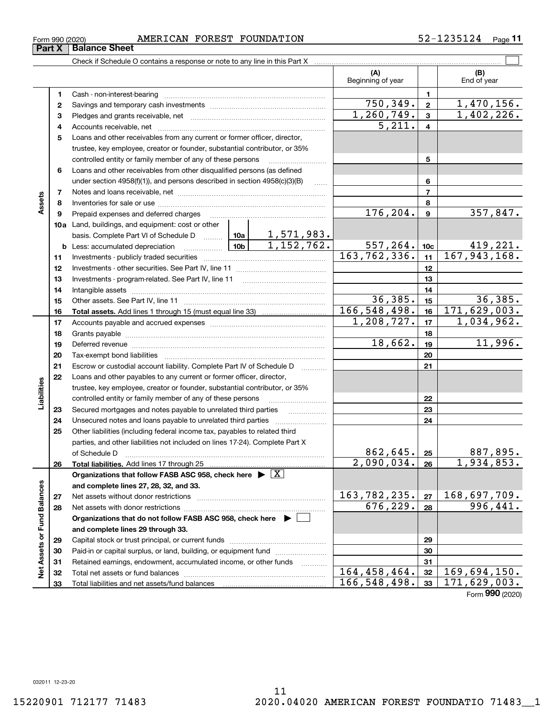#### $_{\rm Form}$  990 (2020) AMERICAN FOREST FOUNDATION 52-1235124 Page

**(A) (B) 1234**Check if Schedule O contains a response or note to any line in this Part X Beginning of year | | End of year  $\mathcal{L}^{\text{max}}$  $(B)$ <br>End of year 5,211. 1,260,749. 1,402,226. 750,349. 1,470,156.

**Part X Balance Sheet**

|                             | 1  |                                                                                                                                                                                                                                |         |            |                          | 1.           |                             |
|-----------------------------|----|--------------------------------------------------------------------------------------------------------------------------------------------------------------------------------------------------------------------------------|---------|------------|--------------------------|--------------|-----------------------------|
|                             | 2  |                                                                                                                                                                                                                                |         |            | 750, 349.                | $\mathbf{2}$ | 1,470,156.                  |
|                             | 3  |                                                                                                                                                                                                                                |         |            | $\overline{1,260,749}$ . | 3            | 1,402,226.                  |
|                             | 4  |                                                                                                                                                                                                                                |         |            | 5,211.                   | 4            |                             |
|                             | 5  | Loans and other receivables from any current or former officer, director,                                                                                                                                                      |         |            |                          |              |                             |
|                             |    | trustee, key employee, creator or founder, substantial contributor, or 35%                                                                                                                                                     |         |            |                          |              |                             |
|                             |    | controlled entity or family member of any of these persons                                                                                                                                                                     |         |            |                          | 5            |                             |
|                             | 6  | Loans and other receivables from other disqualified persons (as defined                                                                                                                                                        |         |            |                          |              |                             |
|                             |    | under section $4958(f)(1)$ , and persons described in section $4958(c)(3)(B)$                                                                                                                                                  |         |            |                          | 6            |                             |
|                             | 7  |                                                                                                                                                                                                                                |         |            |                          | 7            |                             |
| Assets                      | 8  |                                                                                                                                                                                                                                |         |            |                          | 8            |                             |
|                             | 9  |                                                                                                                                                                                                                                |         |            | 176,204.                 | 9            | 357,847.                    |
|                             |    | <b>10a</b> Land, buildings, and equipment: cost or other                                                                                                                                                                       |         |            |                          |              |                             |
|                             |    | basis. Complete Part VI of Schedule D $\frac{10a}{10a}$ 1, 571, 983.                                                                                                                                                           |         |            |                          |              |                             |
|                             |    |                                                                                                                                                                                                                                |         | 1,152,762. | 557, 264.                | 10c          | 419,221.                    |
|                             | 11 |                                                                                                                                                                                                                                |         |            | 163, 762, 336.           | 11           | 167,943,168.                |
|                             | 12 |                                                                                                                                                                                                                                |         |            |                          | 12           |                             |
|                             | 13 |                                                                                                                                                                                                                                |         | 13         |                          |              |                             |
|                             | 14 | Intangible assets with an architecture and all an architecture assets with an architecture and all an architecture and architecture and architecture and architecture and architecture and architecture and architecture and a |         | 14         |                          |              |                             |
|                             | 15 |                                                                                                                                                                                                                                | 36,385. | 15         | 36,385.                  |              |                             |
|                             | 16 |                                                                                                                                                                                                                                |         |            | 166,548,498.             | 16           | 171,629,003.                |
|                             | 17 |                                                                                                                                                                                                                                |         |            | 1,208,727.               | 17           | $1,034,962$ .               |
|                             | 18 |                                                                                                                                                                                                                                |         |            |                          | 18           |                             |
|                             | 19 | Deferred revenue manufacture contracts and contracts are contracted revenue of the contract of the contract of                                                                                                                 | 18,662. | 19         | 11,996.                  |              |                             |
|                             | 20 |                                                                                                                                                                                                                                |         | 20         |                          |              |                             |
|                             | 21 | Escrow or custodial account liability. Complete Part IV of Schedule D                                                                                                                                                          |         |            | 21                       |              |                             |
|                             | 22 | Loans and other payables to any current or former officer, director,                                                                                                                                                           |         |            |                          |              |                             |
| Liabilities                 |    | trustee, key employee, creator or founder, substantial contributor, or 35%                                                                                                                                                     |         |            |                          |              |                             |
|                             |    | controlled entity or family member of any of these persons                                                                                                                                                                     |         |            |                          | 22           |                             |
|                             | 23 | Secured mortgages and notes payable to unrelated third parties                                                                                                                                                                 |         |            |                          | 23           |                             |
|                             | 24 |                                                                                                                                                                                                                                |         |            |                          | 24           |                             |
|                             | 25 | Other liabilities (including federal income tax, payables to related third                                                                                                                                                     |         |            |                          |              |                             |
|                             |    | parties, and other liabilities not included on lines 17-24). Complete Part X                                                                                                                                                   |         |            |                          |              |                             |
|                             |    | of Schedule D                                                                                                                                                                                                                  |         |            | 862,645.                 | 25           | 887,895.                    |
|                             | 26 | Total liabilities. Add lines 17 through 25                                                                                                                                                                                     |         |            | $\overline{2,090},034.$  | 26           | 1,934,853.                  |
|                             |    | Organizations that follow FASB ASC 958, check here $\blacktriangleright \lfloor X \rfloor$                                                                                                                                     |         |            |                          |              |                             |
|                             |    | and complete lines 27, 28, 32, and 33.                                                                                                                                                                                         |         |            |                          |              |                             |
|                             | 27 | Net assets without donor restrictions                                                                                                                                                                                          |         |            | $163, 782, 235$ . 27     |              | 168,697,709.                |
|                             | 28 |                                                                                                                                                                                                                                |         |            | 676,229.                 | 28           | 996,441.                    |
|                             |    | Organizations that do not follow FASB ASC 958, check here $\blacktriangleright$                                                                                                                                                |         |            |                          |              |                             |
|                             |    | and complete lines 29 through 33.                                                                                                                                                                                              |         |            |                          |              |                             |
|                             | 29 |                                                                                                                                                                                                                                |         |            |                          | 29           |                             |
|                             | 30 | Paid-in or capital surplus, or land, building, or equipment fund                                                                                                                                                               |         |            |                          | 30           |                             |
| Net Assets or Fund Balances | 31 | Retained earnings, endowment, accumulated income, or other funds                                                                                                                                                               |         | .          | 164,458,464.             | 31           | 169,694,150.                |
|                             | 32 |                                                                                                                                                                                                                                |         |            | 166,548,498.             | 32<br>33     | 171,629,003.                |
|                             | 33 |                                                                                                                                                                                                                                |         |            |                          |              | $F_{\text{orm}}$ 990 (2020) |

Form (2020) **990**

032011 12-23-20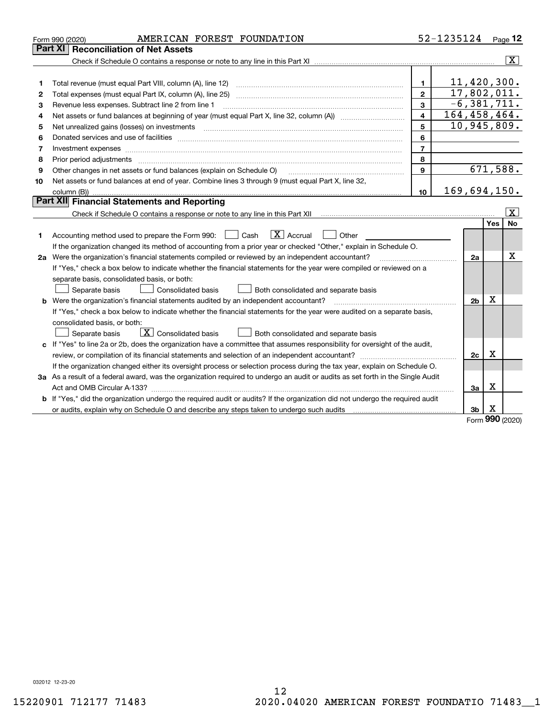|    | AMERICAN FOREST FOUNDATION<br>Form 990 (2020)                                                                                   |                         | 52-1235124 Page 12 |          |                         |
|----|---------------------------------------------------------------------------------------------------------------------------------|-------------------------|--------------------|----------|-------------------------|
|    | <b>Reconciliation of Net Assets</b><br>Part XI                                                                                  |                         |                    |          |                         |
|    |                                                                                                                                 |                         |                    |          | $ \mathbf{X} $          |
|    |                                                                                                                                 |                         |                    |          |                         |
| 1  | Total revenue (must equal Part VIII, column (A), line 12)                                                                       | 1.                      | 11,420,300.        |          |                         |
| 2  |                                                                                                                                 | $\mathbf{2}$            | 17,802,011.        |          |                         |
| 3  | Revenue less expenses. Subtract line 2 from line 1                                                                              | 3                       | $-6, 381, 711.$    |          |                         |
| 4  |                                                                                                                                 | $\overline{\mathbf{4}}$ | 164,458,464.       |          |                         |
| 5  | Net unrealized gains (losses) on investments                                                                                    | 5                       | 10,945,809.        |          |                         |
| 6  |                                                                                                                                 | 6                       |                    |          |                         |
| 7  |                                                                                                                                 | $\overline{7}$          |                    |          |                         |
| 8  | Prior period adjustments                                                                                                        | 8                       |                    |          |                         |
| 9  | Other changes in net assets or fund balances (explain on Schedule O)                                                            | 9                       |                    | 671,588. |                         |
| 10 | Net assets or fund balances at end of year. Combine lines 3 through 9 (must equal Part X, line 32,                              |                         |                    |          |                         |
|    |                                                                                                                                 | 10                      | 169,694,150.       |          |                         |
|    | Part XII Financial Statements and Reporting                                                                                     |                         |                    |          |                         |
|    |                                                                                                                                 |                         |                    |          | $\overline{\mathbf{x}}$ |
|    |                                                                                                                                 |                         |                    | Yes      | No                      |
| 1  | $\boxed{\mathbf{X}}$ Accrual<br>Accounting method used to prepare the Form 990: <u>June</u> Cash<br>Other                       |                         |                    |          |                         |
|    | If the organization changed its method of accounting from a prior year or checked "Other," explain in Schedule O.               |                         |                    |          |                         |
|    | 2a Were the organization's financial statements compiled or reviewed by an independent accountant?                              |                         | 2a                 |          | х                       |
|    | If "Yes," check a box below to indicate whether the financial statements for the year were compiled or reviewed on a            |                         |                    |          |                         |
|    | separate basis, consolidated basis, or both:                                                                                    |                         |                    |          |                         |
|    | Separate basis<br><b>Consolidated basis</b><br>Both consolidated and separate basis                                             |                         |                    | X        |                         |
|    | <b>b</b> Were the organization's financial statements audited by an independent accountant?                                     |                         | 2 <sub>b</sub>     |          |                         |
|    | If "Yes," check a box below to indicate whether the financial statements for the year were audited on a separate basis,         |                         |                    |          |                         |
|    | consolidated basis, or both:                                                                                                    |                         |                    |          |                         |
|    | $\lceil \overline{\mathrm{X}} \rceil$ Consolidated basis<br>Separate basis<br>Both consolidated and separate basis              |                         |                    |          |                         |
|    | c If "Yes" to line 2a or 2b, does the organization have a committee that assumes responsibility for oversight of the audit,     |                         |                    | х        |                         |
|    |                                                                                                                                 |                         | 2c                 |          |                         |
|    | If the organization changed either its oversight process or selection process during the tax year, explain on Schedule O.       |                         |                    |          |                         |
|    | 3a As a result of a federal award, was the organization required to undergo an audit or audits as set forth in the Single Audit |                         |                    | X        |                         |
|    |                                                                                                                                 |                         | За                 |          |                         |
|    | b If "Yes," did the organization undergo the required audit or audits? If the organization did not undergo the required audit   |                         |                    | x        |                         |
|    | or audits, explain why on Schedule O and describe any steps taken to undergo such audits                                        |                         | 3b                 | מחה      |                         |

Form (2020) **990**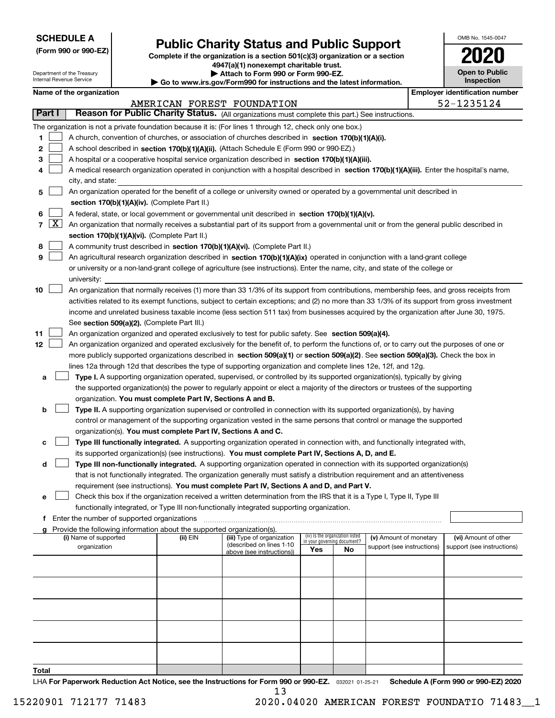| <b>SCHEDULE A</b> |
|-------------------|
|-------------------|

Department of the Treasury Internal Revenue Service

**(Form 990 or 990-EZ)**

# **Public Charity Status and Public Support**

**Complete if the organization is a section 501(c)(3) organization or a section 4947(a)(1) nonexempt charitable trust. | Attach to Form 990 or Form 990-EZ.** 

| <b>P</b> Allach to Form 330 or Form 330-LZ.                              |  |
|--------------------------------------------------------------------------|--|
| ► Go to www.irs.gov/Form990 for instructions and the latest information. |  |
|                                                                          |  |

| OMB No. 1545-0047                   |
|-------------------------------------|
|                                     |
| <b>Open to Public</b><br>Inspection |

 $\mathbf{I}$ 

|        |                                                                                                  |                                                                                                                                                         | Name of the organization                                                                                                                     |          |                                                       |                                                                |    |                            |  | <b>Employer identification number</b> |
|--------|--------------------------------------------------------------------------------------------------|---------------------------------------------------------------------------------------------------------------------------------------------------------|----------------------------------------------------------------------------------------------------------------------------------------------|----------|-------------------------------------------------------|----------------------------------------------------------------|----|----------------------------|--|---------------------------------------|
|        |                                                                                                  |                                                                                                                                                         |                                                                                                                                              |          | AMERICAN FOREST FOUNDATION                            |                                                                |    |                            |  | 52-1235124                            |
| Part I |                                                                                                  |                                                                                                                                                         | Reason for Public Charity Status. (All organizations must complete this part.) See instructions.                                             |          |                                                       |                                                                |    |                            |  |                                       |
|        |                                                                                                  |                                                                                                                                                         | The organization is not a private foundation because it is: (For lines 1 through 12, check only one box.)                                    |          |                                                       |                                                                |    |                            |  |                                       |
| 1      |                                                                                                  |                                                                                                                                                         | A church, convention of churches, or association of churches described in section 170(b)(1)(A)(i).                                           |          |                                                       |                                                                |    |                            |  |                                       |
| 2      |                                                                                                  |                                                                                                                                                         | A school described in section 170(b)(1)(A)(ii). (Attach Schedule E (Form 990 or 990-EZ).)                                                    |          |                                                       |                                                                |    |                            |  |                                       |
| 3      |                                                                                                  |                                                                                                                                                         | A hospital or a cooperative hospital service organization described in section $170(b)(1)(A)(iii)$ .                                         |          |                                                       |                                                                |    |                            |  |                                       |
| 4      |                                                                                                  |                                                                                                                                                         | A medical research organization operated in conjunction with a hospital described in section 170(b)(1)(A)(iii). Enter the hospital's name,   |          |                                                       |                                                                |    |                            |  |                                       |
|        |                                                                                                  |                                                                                                                                                         | city, and state:                                                                                                                             |          |                                                       |                                                                |    |                            |  |                                       |
| 5      |                                                                                                  |                                                                                                                                                         | An organization operated for the benefit of a college or university owned or operated by a governmental unit described in                    |          |                                                       |                                                                |    |                            |  |                                       |
|        |                                                                                                  |                                                                                                                                                         | section 170(b)(1)(A)(iv). (Complete Part II.)                                                                                                |          |                                                       |                                                                |    |                            |  |                                       |
| 6      | A federal, state, or local government or governmental unit described in section 170(b)(1)(A)(v). |                                                                                                                                                         |                                                                                                                                              |          |                                                       |                                                                |    |                            |  |                                       |
|        |                                                                                                  | $7 \times$<br>An organization that normally receives a substantial part of its support from a governmental unit or from the general public described in |                                                                                                                                              |          |                                                       |                                                                |    |                            |  |                                       |
|        |                                                                                                  |                                                                                                                                                         | section 170(b)(1)(A)(vi). (Complete Part II.)                                                                                                |          |                                                       |                                                                |    |                            |  |                                       |
| 8      |                                                                                                  |                                                                                                                                                         | A community trust described in section 170(b)(1)(A)(vi). (Complete Part II.)                                                                 |          |                                                       |                                                                |    |                            |  |                                       |
| 9      |                                                                                                  |                                                                                                                                                         | An agricultural research organization described in section 170(b)(1)(A)(ix) operated in conjunction with a land-grant college                |          |                                                       |                                                                |    |                            |  |                                       |
|        |                                                                                                  |                                                                                                                                                         | or university or a non-land-grant college of agriculture (see instructions). Enter the name, city, and state of the college or               |          |                                                       |                                                                |    |                            |  |                                       |
|        |                                                                                                  |                                                                                                                                                         | university:                                                                                                                                  |          |                                                       |                                                                |    |                            |  |                                       |
| 10     |                                                                                                  |                                                                                                                                                         | An organization that normally receives (1) more than 33 1/3% of its support from contributions, membership fees, and gross receipts from     |          |                                                       |                                                                |    |                            |  |                                       |
|        |                                                                                                  |                                                                                                                                                         | activities related to its exempt functions, subject to certain exceptions; and (2) no more than 33 1/3% of its support from gross investment |          |                                                       |                                                                |    |                            |  |                                       |
|        |                                                                                                  |                                                                                                                                                         | income and unrelated business taxable income (less section 511 tax) from businesses acquired by the organization after June 30, 1975.        |          |                                                       |                                                                |    |                            |  |                                       |
|        |                                                                                                  |                                                                                                                                                         | See section 509(a)(2). (Complete Part III.)                                                                                                  |          |                                                       |                                                                |    |                            |  |                                       |
| 11     |                                                                                                  |                                                                                                                                                         | An organization organized and operated exclusively to test for public safety. See section 509(a)(4).                                         |          |                                                       |                                                                |    |                            |  |                                       |
| 12     |                                                                                                  |                                                                                                                                                         | An organization organized and operated exclusively for the benefit of, to perform the functions of, or to carry out the purposes of one or   |          |                                                       |                                                                |    |                            |  |                                       |
|        |                                                                                                  |                                                                                                                                                         | more publicly supported organizations described in section 509(a)(1) or section 509(a)(2). See section 509(a)(3). Check the box in           |          |                                                       |                                                                |    |                            |  |                                       |
|        |                                                                                                  |                                                                                                                                                         | lines 12a through 12d that describes the type of supporting organization and complete lines 12e, 12f, and 12g.                               |          |                                                       |                                                                |    |                            |  |                                       |
| а      |                                                                                                  |                                                                                                                                                         | Type I. A supporting organization operated, supervised, or controlled by its supported organization(s), typically by giving                  |          |                                                       |                                                                |    |                            |  |                                       |
|        |                                                                                                  |                                                                                                                                                         | the supported organization(s) the power to regularly appoint or elect a majority of the directors or trustees of the supporting              |          |                                                       |                                                                |    |                            |  |                                       |
|        |                                                                                                  |                                                                                                                                                         | organization. You must complete Part IV, Sections A and B.                                                                                   |          |                                                       |                                                                |    |                            |  |                                       |
| b      |                                                                                                  |                                                                                                                                                         | Type II. A supporting organization supervised or controlled in connection with its supported organization(s), by having                      |          |                                                       |                                                                |    |                            |  |                                       |
|        |                                                                                                  |                                                                                                                                                         | control or management of the supporting organization vested in the same persons that control or manage the supported                         |          |                                                       |                                                                |    |                            |  |                                       |
|        |                                                                                                  |                                                                                                                                                         | organization(s). You must complete Part IV, Sections A and C.                                                                                |          |                                                       |                                                                |    |                            |  |                                       |
| с      |                                                                                                  |                                                                                                                                                         | Type III functionally integrated. A supporting organization operated in connection with, and functionally integrated with,                   |          |                                                       |                                                                |    |                            |  |                                       |
|        |                                                                                                  |                                                                                                                                                         | its supported organization(s) (see instructions). You must complete Part IV, Sections A, D, and E.                                           |          |                                                       |                                                                |    |                            |  |                                       |
| d      |                                                                                                  |                                                                                                                                                         | Type III non-functionally integrated. A supporting organization operated in connection with its supported organization(s)                    |          |                                                       |                                                                |    |                            |  |                                       |
|        |                                                                                                  |                                                                                                                                                         | that is not functionally integrated. The organization generally must satisfy a distribution requirement and an attentiveness                 |          |                                                       |                                                                |    |                            |  |                                       |
|        |                                                                                                  |                                                                                                                                                         | requirement (see instructions). You must complete Part IV, Sections A and D, and Part V.                                                     |          |                                                       |                                                                |    |                            |  |                                       |
|        |                                                                                                  |                                                                                                                                                         | Check this box if the organization received a written determination from the IRS that it is a Type I, Type II, Type III                      |          |                                                       |                                                                |    |                            |  |                                       |
|        |                                                                                                  |                                                                                                                                                         | functionally integrated, or Type III non-functionally integrated supporting organization.                                                    |          |                                                       |                                                                |    |                            |  |                                       |
|        |                                                                                                  |                                                                                                                                                         | f Enter the number of supported organizations                                                                                                |          |                                                       |                                                                |    |                            |  |                                       |
|        |                                                                                                  |                                                                                                                                                         | g Provide the following information about the supported organization(s).                                                                     |          |                                                       |                                                                |    |                            |  |                                       |
|        |                                                                                                  |                                                                                                                                                         | (i) Name of supported                                                                                                                        | (ii) EIN | (iii) Type of organization                            | (iv) Is the organization listed<br>in your governing document? |    | (v) Amount of monetary     |  | (vi) Amount of other                  |
|        |                                                                                                  |                                                                                                                                                         | organization                                                                                                                                 |          | (described on lines 1-10<br>above (see instructions)) | Yes                                                            | No | support (see instructions) |  | support (see instructions)            |
|        |                                                                                                  |                                                                                                                                                         |                                                                                                                                              |          |                                                       |                                                                |    |                            |  |                                       |
|        |                                                                                                  |                                                                                                                                                         |                                                                                                                                              |          |                                                       |                                                                |    |                            |  |                                       |
|        |                                                                                                  |                                                                                                                                                         |                                                                                                                                              |          |                                                       |                                                                |    |                            |  |                                       |
|        |                                                                                                  |                                                                                                                                                         |                                                                                                                                              |          |                                                       |                                                                |    |                            |  |                                       |
|        |                                                                                                  |                                                                                                                                                         |                                                                                                                                              |          |                                                       |                                                                |    |                            |  |                                       |
|        |                                                                                                  |                                                                                                                                                         |                                                                                                                                              |          |                                                       |                                                                |    |                            |  |                                       |
|        |                                                                                                  |                                                                                                                                                         |                                                                                                                                              |          |                                                       |                                                                |    |                            |  |                                       |
|        |                                                                                                  |                                                                                                                                                         |                                                                                                                                              |          |                                                       |                                                                |    |                            |  |                                       |
|        |                                                                                                  |                                                                                                                                                         |                                                                                                                                              |          |                                                       |                                                                |    |                            |  |                                       |
|        |                                                                                                  |                                                                                                                                                         |                                                                                                                                              |          |                                                       |                                                                |    |                            |  |                                       |
| Total  |                                                                                                  |                                                                                                                                                         |                                                                                                                                              |          |                                                       |                                                                |    |                            |  |                                       |

LHA For Paperwork Reduction Act Notice, see the Instructions for Form 990 or 990-EZ. <sub>032021</sub> o1-25-21 Schedule A (Form 990 or 990-EZ) 2020 13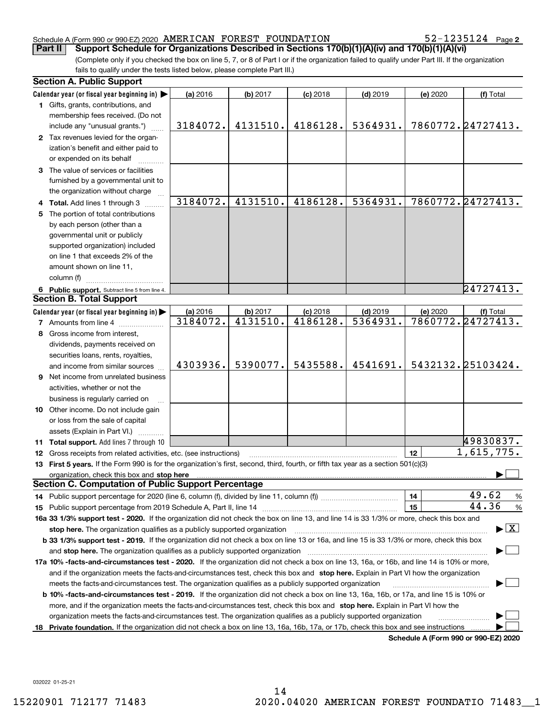#### Schedule A (Form 990 or 990-EZ) 2020  $\,$   $\rm AMERICAN$   $\,$   $\rm FOREST$   $\,$   $\rm FOUNDATION$   $\,$   $\,$   $\,$   $\,$   $\,$   $\rm 52-1235124$   $\,$   $\,$   $\rm Page$

52-1235124 Page 2

(Complete only if you checked the box on line 5, 7, or 8 of Part I or if the organization failed to qualify under Part III. If the organization fails to qualify under the tests listed below, please complete Part III.) **Part II** Support Schedule for Organizations Described in Sections 170(b)(1)(A)(iv) and 170(b)(1)(A)(vi)

|    | <b>Section A. Public Support</b>                                                                                                                                                                                               |          |          |            |                        |          |                                          |
|----|--------------------------------------------------------------------------------------------------------------------------------------------------------------------------------------------------------------------------------|----------|----------|------------|------------------------|----------|------------------------------------------|
|    | Calendar year (or fiscal year beginning in)                                                                                                                                                                                    | (a) 2016 | (b) 2017 | $(c)$ 2018 | $(d)$ 2019             | (e) 2020 | (f) Total                                |
|    | 1 Gifts, grants, contributions, and                                                                                                                                                                                            |          |          |            |                        |          |                                          |
|    | membership fees received. (Do not                                                                                                                                                                                              |          |          |            |                        |          |                                          |
|    | include any "unusual grants.")                                                                                                                                                                                                 | 3184072. | 4131510. | 4186128.   | 5364931.               |          | 7860772.24727413.                        |
|    | 2 Tax revenues levied for the organ-                                                                                                                                                                                           |          |          |            |                        |          |                                          |
|    | ization's benefit and either paid to                                                                                                                                                                                           |          |          |            |                        |          |                                          |
|    | or expended on its behalf                                                                                                                                                                                                      |          |          |            |                        |          |                                          |
|    | 3 The value of services or facilities                                                                                                                                                                                          |          |          |            |                        |          |                                          |
|    | furnished by a governmental unit to                                                                                                                                                                                            |          |          |            |                        |          |                                          |
|    | the organization without charge                                                                                                                                                                                                |          |          |            |                        |          |                                          |
|    | 4 Total. Add lines 1 through 3                                                                                                                                                                                                 | 3184072. | 4131510. | 4186128.   | 5364931.               |          | 7860772.24727413.                        |
|    | 5 The portion of total contributions                                                                                                                                                                                           |          |          |            |                        |          |                                          |
|    | by each person (other than a                                                                                                                                                                                                   |          |          |            |                        |          |                                          |
|    | governmental unit or publicly                                                                                                                                                                                                  |          |          |            |                        |          |                                          |
|    | supported organization) included                                                                                                                                                                                               |          |          |            |                        |          |                                          |
|    | on line 1 that exceeds 2% of the                                                                                                                                                                                               |          |          |            |                        |          |                                          |
|    | amount shown on line 11,                                                                                                                                                                                                       |          |          |            |                        |          |                                          |
|    | column (f)                                                                                                                                                                                                                     |          |          |            |                        |          |                                          |
|    | 6 Public support. Subtract line 5 from line 4.                                                                                                                                                                                 |          |          |            |                        |          | 24727413.                                |
|    | <b>Section B. Total Support</b>                                                                                                                                                                                                |          |          |            |                        |          |                                          |
|    | Calendar year (or fiscal year beginning in)                                                                                                                                                                                    | (a) 2016 | (b) 2017 | $(c)$ 2018 | $(d)$ 2019             | (e) 2020 | (f) Total                                |
|    | <b>7</b> Amounts from line 4                                                                                                                                                                                                   | 3184072. | 4131510. | 4186128.   | $\overline{5364931}$ . |          | 7860772.24727413.                        |
|    | 8 Gross income from interest,                                                                                                                                                                                                  |          |          |            |                        |          |                                          |
|    | dividends, payments received on                                                                                                                                                                                                |          |          |            |                        |          |                                          |
|    |                                                                                                                                                                                                                                |          |          |            |                        |          |                                          |
|    | securities loans, rents, royalties,                                                                                                                                                                                            | 4303936. | 5390077. | 5435588.   | 4541691.               |          | 5432132.25103424.                        |
|    | and income from similar sources                                                                                                                                                                                                |          |          |            |                        |          |                                          |
|    | <b>9</b> Net income from unrelated business                                                                                                                                                                                    |          |          |            |                        |          |                                          |
|    | activities, whether or not the                                                                                                                                                                                                 |          |          |            |                        |          |                                          |
|    | business is regularly carried on                                                                                                                                                                                               |          |          |            |                        |          |                                          |
|    | 10 Other income. Do not include gain                                                                                                                                                                                           |          |          |            |                        |          |                                          |
|    | or loss from the sale of capital                                                                                                                                                                                               |          |          |            |                        |          |                                          |
|    |                                                                                                                                                                                                                                |          |          |            |                        |          |                                          |
|    | 11 Total support. Add lines 7 through 10                                                                                                                                                                                       |          |          |            |                        |          | 49830837.                                |
|    | 12 Gross receipts from related activities, etc. (see instructions)                                                                                                                                                             |          |          |            |                        | 12       | 1,615,775.                               |
|    | 13 First 5 years. If the Form 990 is for the organization's first, second, third, fourth, or fifth tax year as a section 501(c)(3)                                                                                             |          |          |            |                        |          |                                          |
|    | organization, check this box and stop here manufactured and according to the state of the state of the state of the state of the state of the state of the state of the state of the state of the state of the state of the st |          |          |            |                        |          |                                          |
|    | Section C. Computation of Public Support Percentage                                                                                                                                                                            |          |          |            |                        |          |                                          |
|    |                                                                                                                                                                                                                                |          |          |            |                        | 14       | 49.62<br>%                               |
|    |                                                                                                                                                                                                                                |          |          |            |                        | 15       | 44.36<br>$\%$                            |
|    | 16a 33 1/3% support test - 2020. If the organization did not check the box on line 13, and line 14 is 33 1/3% or more, check this box and                                                                                      |          |          |            |                        |          |                                          |
|    | stop here. The organization qualifies as a publicly supported organization                                                                                                                                                     |          |          |            |                        |          | $\blacktriangleright$ $\boxed{\text{X}}$ |
|    | b 33 1/3% support test - 2019. If the organization did not check a box on line 13 or 16a, and line 15 is 33 1/3% or more, check this box                                                                                       |          |          |            |                        |          |                                          |
|    | and stop here. The organization qualifies as a publicly supported organization                                                                                                                                                 |          |          |            |                        |          |                                          |
|    | 17a 10% -facts-and-circumstances test - 2020. If the organization did not check a box on line 13, 16a, or 16b, and line 14 is 10% or more,                                                                                     |          |          |            |                        |          |                                          |
|    | and if the organization meets the facts-and-circumstances test, check this box and stop here. Explain in Part VI how the organization                                                                                          |          |          |            |                        |          |                                          |
|    | meets the facts-and-circumstances test. The organization qualifies as a publicly supported organization                                                                                                                        |          |          |            |                        |          |                                          |
|    | <b>b 10% -facts-and-circumstances test - 2019.</b> If the organization did not check a box on line 13, 16a, 16b, or 17a, and line 15 is 10% or                                                                                 |          |          |            |                        |          |                                          |
|    | more, and if the organization meets the facts-and-circumstances test, check this box and stop here. Explain in Part VI how the                                                                                                 |          |          |            |                        |          |                                          |
|    | organization meets the facts-and-circumstances test. The organization qualifies as a publicly supported organization                                                                                                           |          |          |            |                        |          |                                          |
| 18 | Private foundation. If the organization did not check a box on line 13, 16a, 16b, 17a, or 17b, check this box and see instructions                                                                                             |          |          |            |                        |          |                                          |
|    |                                                                                                                                                                                                                                |          |          |            |                        |          | Schedule A (Form 990 or 990-F7) 2020     |

**Schedule A (Form 990 or 990-EZ) 2020**

032022 01-25-21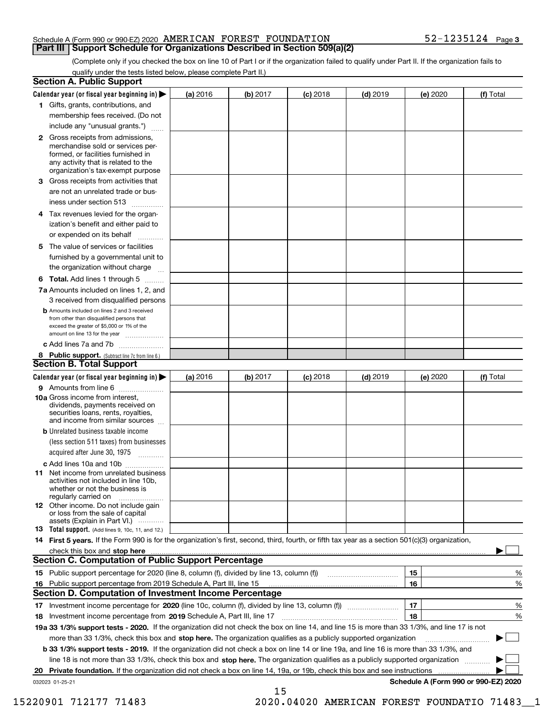#### Schedule A (Form 990 or 990-EZ) 2020  $\,$   $\rm AMERICAN$   $\,$   $\rm FOREST$   $\,$   $\rm FOUNDATION$   $\,$   $\,$   $\,$   $\,$   $\,$   $\rm 52-1235124$   $\,$   $\,$   $\rm Page$ **Part III | Support Schedule for Organizations Described in Section 509(a)(2)**

(Complete only if you checked the box on line 10 of Part I or if the organization failed to qualify under Part II. If the organization fails to qualify under the tests listed below, please complete Part II.)

|    | <b>Section A. Public Support</b>                                                                                                                 |          |          |            |            |          |                                      |
|----|--------------------------------------------------------------------------------------------------------------------------------------------------|----------|----------|------------|------------|----------|--------------------------------------|
|    | Calendar year (or fiscal year beginning in) $\blacktriangleright$                                                                                | (a) 2016 | (b) 2017 | $(c)$ 2018 | $(d)$ 2019 | (e) 2020 | (f) Total                            |
|    | 1 Gifts, grants, contributions, and                                                                                                              |          |          |            |            |          |                                      |
|    | membership fees received. (Do not                                                                                                                |          |          |            |            |          |                                      |
|    | include any "unusual grants.")                                                                                                                   |          |          |            |            |          |                                      |
|    | <b>2</b> Gross receipts from admissions,                                                                                                         |          |          |            |            |          |                                      |
|    | merchandise sold or services per-                                                                                                                |          |          |            |            |          |                                      |
|    | formed, or facilities furnished in<br>any activity that is related to the                                                                        |          |          |            |            |          |                                      |
|    | organization's tax-exempt purpose                                                                                                                |          |          |            |            |          |                                      |
| З  | Gross receipts from activities that                                                                                                              |          |          |            |            |          |                                      |
|    | are not an unrelated trade or bus-                                                                                                               |          |          |            |            |          |                                      |
|    | iness under section 513                                                                                                                          |          |          |            |            |          |                                      |
|    | 4 Tax revenues levied for the organ-                                                                                                             |          |          |            |            |          |                                      |
|    | ization's benefit and either paid to                                                                                                             |          |          |            |            |          |                                      |
|    | or expended on its behalf                                                                                                                        |          |          |            |            |          |                                      |
| 5. | The value of services or facilities                                                                                                              |          |          |            |            |          |                                      |
|    | furnished by a governmental unit to                                                                                                              |          |          |            |            |          |                                      |
|    | the organization without charge                                                                                                                  |          |          |            |            |          |                                      |
|    | <b>6 Total.</b> Add lines 1 through 5                                                                                                            |          |          |            |            |          |                                      |
|    | 7a Amounts included on lines 1, 2, and                                                                                                           |          |          |            |            |          |                                      |
|    | 3 received from disqualified persons                                                                                                             |          |          |            |            |          |                                      |
|    | <b>b</b> Amounts included on lines 2 and 3 received                                                                                              |          |          |            |            |          |                                      |
|    | from other than disqualified persons that<br>exceed the greater of \$5,000 or 1% of the                                                          |          |          |            |            |          |                                      |
|    | amount on line 13 for the year                                                                                                                   |          |          |            |            |          |                                      |
|    | c Add lines 7a and 7b                                                                                                                            |          |          |            |            |          |                                      |
|    | 8 Public support. (Subtract line 7c from line 6.)                                                                                                |          |          |            |            |          |                                      |
|    | <b>Section B. Total Support</b>                                                                                                                  |          |          |            |            |          |                                      |
|    | Calendar year (or fiscal year beginning in) $\blacktriangleright$                                                                                | (a) 2016 | (b) 2017 | $(c)$ 2018 | $(d)$ 2019 | (e) 2020 | (f) Total                            |
|    | 9 Amounts from line 6<br>.                                                                                                                       |          |          |            |            |          |                                      |
|    | <b>10a</b> Gross income from interest,                                                                                                           |          |          |            |            |          |                                      |
|    | dividends, payments received on<br>securities loans, rents, royalties,                                                                           |          |          |            |            |          |                                      |
|    | and income from similar sources                                                                                                                  |          |          |            |            |          |                                      |
|    | <b>b</b> Unrelated business taxable income                                                                                                       |          |          |            |            |          |                                      |
|    | (less section 511 taxes) from businesses                                                                                                         |          |          |            |            |          |                                      |
|    | acquired after June 30, 1975                                                                                                                     |          |          |            |            |          |                                      |
|    | c Add lines 10a and 10b                                                                                                                          |          |          |            |            |          |                                      |
|    | 11 Net income from unrelated business                                                                                                            |          |          |            |            |          |                                      |
|    | activities not included in line 10b.<br>whether or not the business is                                                                           |          |          |            |            |          |                                      |
|    | regularly carried on                                                                                                                             |          |          |            |            |          |                                      |
|    | 12 Other income. Do not include gain                                                                                                             |          |          |            |            |          |                                      |
|    | or loss from the sale of capital<br>assets (Explain in Part VI.)                                                                                 |          |          |            |            |          |                                      |
|    | 13 Total support. (Add lines 9, 10c, 11, and 12.)                                                                                                |          |          |            |            |          |                                      |
|    | 14 First 5 years. If the Form 990 is for the organization's first, second, third, fourth, or fifth tax year as a section 501(c)(3) organization, |          |          |            |            |          |                                      |
|    | check this box and stop here                                                                                                                     |          |          |            |            |          |                                      |
|    | <b>Section C. Computation of Public Support Percentage</b>                                                                                       |          |          |            |            |          |                                      |
|    |                                                                                                                                                  |          |          |            |            | 15       | %                                    |
|    | 16 Public support percentage from 2019 Schedule A, Part III, line 15                                                                             |          |          |            |            | 16       | %                                    |
|    | Section D. Computation of Investment Income Percentage                                                                                           |          |          |            |            |          |                                      |
|    |                                                                                                                                                  |          |          |            |            | 17       | %                                    |
|    | 18 Investment income percentage from 2019 Schedule A, Part III, line 17                                                                          |          |          |            |            | 18       | %                                    |
|    | 19a 33 1/3% support tests - 2020. If the organization did not check the box on line 14, and line 15 is more than 33 1/3%, and line 17 is not     |          |          |            |            |          |                                      |
|    | more than 33 1/3%, check this box and stop here. The organization qualifies as a publicly supported organization                                 |          |          |            |            |          |                                      |
|    | b 33 1/3% support tests - 2019. If the organization did not check a box on line 14 or line 19a, and line 16 is more than 33 1/3%, and            |          |          |            |            |          |                                      |
|    | line 18 is not more than 33 1/3%, check this box and stop here. The organization qualifies as a publicly supported organization                  |          |          |            |            |          |                                      |
| 20 | Private foundation. If the organization did not check a box on line 14, 19a, or 19b, check this box and see instructions                         |          |          |            |            |          |                                      |
|    | 032023 01-25-21                                                                                                                                  |          | 15       |            |            |          | Schedule A (Form 990 or 990-EZ) 2020 |
|    |                                                                                                                                                  |          |          |            |            |          |                                      |

15220901 712177 71483 2020.04020 AMERICAN FOREST FOUNDATIO 71483\_\_1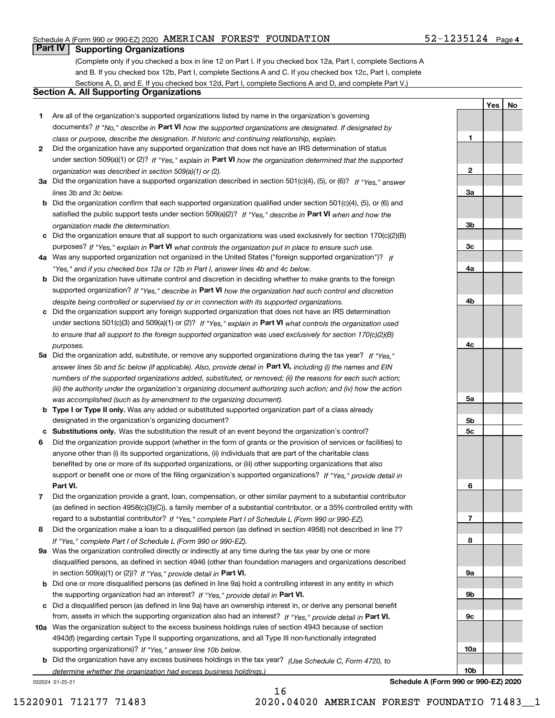### Schedule A (Form 990 or 990-EZ) 2020  $\,$   $\rm AMERICAN$   $\,$   $\rm FOREST$   $\,$   $\rm FOUNDATION$   $\,$   $\,$   $\,$   $\,$   $\,$   $\rm 52-1235124$   $\,$   $\,$   $\rm Page$

## **Part IV Supporting Organizations**

(Complete only if you checked a box in line 12 on Part I. If you checked box 12a, Part I, complete Sections A and B. If you checked box 12b, Part I, complete Sections A and C. If you checked box 12c, Part I, complete Sections A, D, and E. If you checked box 12d, Part I, complete Sections A and D, and complete Part V.)

### **Section A. All Supporting Organizations**

- **1** Are all of the organization's supported organizations listed by name in the organization's governing documents? If "No," describe in **Part VI** how the supported organizations are designated. If designated by *class or purpose, describe the designation. If historic and continuing relationship, explain.*
- **2** Did the organization have any supported organization that does not have an IRS determination of status under section 509(a)(1) or (2)? If "Yes," explain in Part VI how the organization determined that the supported *organization was described in section 509(a)(1) or (2).*
- **3a** Did the organization have a supported organization described in section 501(c)(4), (5), or (6)? If "Yes," answer *lines 3b and 3c below.*
- **b** Did the organization confirm that each supported organization qualified under section 501(c)(4), (5), or (6) and satisfied the public support tests under section 509(a)(2)? If "Yes," describe in **Part VI** when and how the *organization made the determination.*
- **c**Did the organization ensure that all support to such organizations was used exclusively for section 170(c)(2)(B) purposes? If "Yes," explain in **Part VI** what controls the organization put in place to ensure such use.
- **4a***If* Was any supported organization not organized in the United States ("foreign supported organization")? *"Yes," and if you checked box 12a or 12b in Part I, answer lines 4b and 4c below.*
- **b** Did the organization have ultimate control and discretion in deciding whether to make grants to the foreign supported organization? If "Yes," describe in **Part VI** how the organization had such control and discretion *despite being controlled or supervised by or in connection with its supported organizations.*
- **c** Did the organization support any foreign supported organization that does not have an IRS determination under sections 501(c)(3) and 509(a)(1) or (2)? If "Yes," explain in **Part VI** what controls the organization used *to ensure that all support to the foreign supported organization was used exclusively for section 170(c)(2)(B) purposes.*
- **5a** Did the organization add, substitute, or remove any supported organizations during the tax year? If "Yes," answer lines 5b and 5c below (if applicable). Also, provide detail in **Part VI,** including (i) the names and EIN *numbers of the supported organizations added, substituted, or removed; (ii) the reasons for each such action; (iii) the authority under the organization's organizing document authorizing such action; and (iv) how the action was accomplished (such as by amendment to the organizing document).*
- **b** Type I or Type II only. Was any added or substituted supported organization part of a class already designated in the organization's organizing document?
- **cSubstitutions only.**  Was the substitution the result of an event beyond the organization's control?
- **6** Did the organization provide support (whether in the form of grants or the provision of services or facilities) to **Part VI.** *If "Yes," provide detail in* support or benefit one or more of the filing organization's supported organizations? anyone other than (i) its supported organizations, (ii) individuals that are part of the charitable class benefited by one or more of its supported organizations, or (iii) other supporting organizations that also
- **7**Did the organization provide a grant, loan, compensation, or other similar payment to a substantial contributor *If "Yes," complete Part I of Schedule L (Form 990 or 990-EZ).* regard to a substantial contributor? (as defined in section 4958(c)(3)(C)), a family member of a substantial contributor, or a 35% controlled entity with
- **8** Did the organization make a loan to a disqualified person (as defined in section 4958) not described in line 7? *If "Yes," complete Part I of Schedule L (Form 990 or 990-EZ).*
- **9a** Was the organization controlled directly or indirectly at any time during the tax year by one or more in section 509(a)(1) or (2))? If "Yes," *provide detail in* <code>Part VI.</code> disqualified persons, as defined in section 4946 (other than foundation managers and organizations described
- **b** Did one or more disqualified persons (as defined in line 9a) hold a controlling interest in any entity in which the supporting organization had an interest? If "Yes," provide detail in P**art VI**.
- **c**Did a disqualified person (as defined in line 9a) have an ownership interest in, or derive any personal benefit from, assets in which the supporting organization also had an interest? If "Yes," provide detail in P**art VI.**
- **10a** Was the organization subject to the excess business holdings rules of section 4943 because of section supporting organizations)? If "Yes," answer line 10b below. 4943(f) (regarding certain Type II supporting organizations, and all Type III non-functionally integrated
- **b** Did the organization have any excess business holdings in the tax year? (Use Schedule C, Form 4720, to *determine whether the organization had excess business holdings.)*

032024 01-25-21

**3c4a4b4c5a 5b5c6789a 9b9c10a10b**

**Schedule A (Form 990 or 990-EZ) 2020**

**YesNo**

**1**

**2**

**3a**

**3b**

16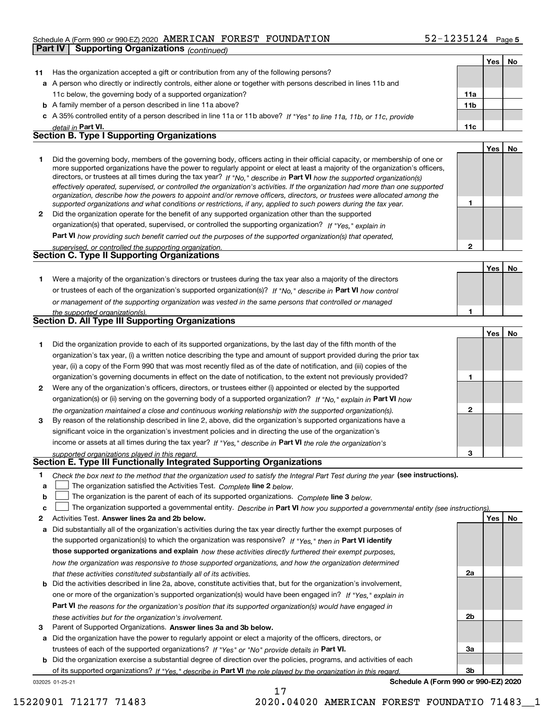#### Schedule A (Form 990 or 990-EZ) 2020  $\,$   $\rm AMERICAN$   $\,$   $\rm FOREST$   $\,$   $\rm FOUNDATION$   $\,$   $\,$   $\,$   $\,$   $\,$   $\rm 52-1235124$   $\,$   $\,$   $\rm Page$

|              | Part IV<br><b>Supporting Organizations (continued)</b>                                                                                                                                                                                                    |                |            |    |
|--------------|-----------------------------------------------------------------------------------------------------------------------------------------------------------------------------------------------------------------------------------------------------------|----------------|------------|----|
|              |                                                                                                                                                                                                                                                           |                | Yes        | No |
| 11           | Has the organization accepted a gift or contribution from any of the following persons?                                                                                                                                                                   |                |            |    |
|              | a A person who directly or indirectly controls, either alone or together with persons described in lines 11b and                                                                                                                                          |                |            |    |
|              | 11c below, the governing body of a supported organization?                                                                                                                                                                                                | 11a            |            |    |
|              | <b>b</b> A family member of a person described in line 11a above?                                                                                                                                                                                         | 11b            |            |    |
|              | c A 35% controlled entity of a person described in line 11a or 11b above? If "Yes" to line 11a, 11b, or 11c, provide                                                                                                                                      |                |            |    |
|              | detail in Part VI.                                                                                                                                                                                                                                        | 11c            |            |    |
|              | <b>Section B. Type I Supporting Organizations</b>                                                                                                                                                                                                         |                |            |    |
|              |                                                                                                                                                                                                                                                           |                | Yes        | No |
| 1            | Did the governing body, members of the governing body, officers acting in their official capacity, or membership of one or                                                                                                                                |                |            |    |
|              | more supported organizations have the power to regularly appoint or elect at least a majority of the organization's officers,                                                                                                                             |                |            |    |
|              | directors, or trustees at all times during the tax year? If "No," describe in Part VI how the supported organization(s)<br>effectively operated, supervised, or controlled the organization's activities. If the organization had more than one supported |                |            |    |
|              | organization, describe how the powers to appoint and/or remove officers, directors, or trustees were allocated among the                                                                                                                                  |                |            |    |
|              | supported organizations and what conditions or restrictions, if any, applied to such powers during the tax year.                                                                                                                                          | 1              |            |    |
| $\mathbf{2}$ | Did the organization operate for the benefit of any supported organization other than the supported                                                                                                                                                       |                |            |    |
|              | organization(s) that operated, supervised, or controlled the supporting organization? If "Yes," explain in                                                                                                                                                |                |            |    |
|              | Part VI how providing such benefit carried out the purposes of the supported organization(s) that operated,                                                                                                                                               |                |            |    |
|              | supervised, or controlled the supporting organization.                                                                                                                                                                                                    | $\overline{2}$ |            |    |
|              | <b>Section C. Type II Supporting Organizations</b>                                                                                                                                                                                                        |                |            |    |
|              |                                                                                                                                                                                                                                                           |                | Yes        | No |
| 1.           | Were a majority of the organization's directors or trustees during the tax year also a majority of the directors                                                                                                                                          |                |            |    |
|              | or trustees of each of the organization's supported organization(s)? If "No," describe in Part VI how control                                                                                                                                             |                |            |    |
|              | or management of the supporting organization was vested in the same persons that controlled or managed                                                                                                                                                    |                |            |    |
|              | the supported organization(s).<br>Section D. All Type III Supporting Organizations                                                                                                                                                                        | 1              |            |    |
|              |                                                                                                                                                                                                                                                           |                |            |    |
|              |                                                                                                                                                                                                                                                           |                | Yes        | No |
| 1            | Did the organization provide to each of its supported organizations, by the last day of the fifth month of the                                                                                                                                            |                |            |    |
|              | organization's tax year, (i) a written notice describing the type and amount of support provided during the prior tax                                                                                                                                     |                |            |    |
|              | year, (ii) a copy of the Form 990 that was most recently filed as of the date of notification, and (iii) copies of the                                                                                                                                    |                |            |    |
|              | organization's governing documents in effect on the date of notification, to the extent not previously provided?                                                                                                                                          | 1              |            |    |
| 2            | Were any of the organization's officers, directors, or trustees either (i) appointed or elected by the supported                                                                                                                                          |                |            |    |
|              | organization(s) or (ii) serving on the governing body of a supported organization? If "No," explain in Part VI how                                                                                                                                        |                |            |    |
|              | the organization maintained a close and continuous working relationship with the supported organization(s).                                                                                                                                               | 2              |            |    |
| 3            | By reason of the relationship described in line 2, above, did the organization's supported organizations have a                                                                                                                                           |                |            |    |
|              | significant voice in the organization's investment policies and in directing the use of the organization's                                                                                                                                                |                |            |    |
|              | income or assets at all times during the tax year? If "Yes," describe in Part VI the role the organization's                                                                                                                                              | 3              |            |    |
|              | supported organizations played in this regard.<br>Section E. Type III Functionally Integrated Supporting Organizations                                                                                                                                    |                |            |    |
| 1            | Check the box next to the method that the organization used to satisfy the Integral Part Test during the year (see instructions).                                                                                                                         |                |            |    |
| а            | The organization satisfied the Activities Test. Complete line 2 below.                                                                                                                                                                                    |                |            |    |
| b            | The organization is the parent of each of its supported organizations. Complete line 3 below.                                                                                                                                                             |                |            |    |
| c            | The organization supported a governmental entity. Describe in Part VI how you supported a governmental entity (see instructions)                                                                                                                          |                |            |    |
| 2            | Activities Test. Answer lines 2a and 2b below.                                                                                                                                                                                                            |                | <b>Yes</b> | No |
| а            | Did substantially all of the organization's activities during the tax year directly further the exempt purposes of                                                                                                                                        |                |            |    |
|              | the supported organization(s) to which the organization was responsive? If "Yes," then in Part VI identify                                                                                                                                                |                |            |    |
|              | those supported organizations and explain how these activities directly furthered their exempt purposes,                                                                                                                                                  |                |            |    |
|              | how the organization was responsive to those supported organizations, and how the organization determined                                                                                                                                                 |                |            |    |
|              | that these activities constituted substantially all of its activities.                                                                                                                                                                                    | 2a             |            |    |
|              |                                                                                                                                                                                                                                                           |                |            |    |

- **b** Did the activities described in line 2a, above, constitute activities that, but for the organization's involvement, **Part VI**  *the reasons for the organization's position that its supported organization(s) would have engaged in* one or more of the organization's supported organization(s) would have been engaged in? If "Yes," e*xplain in these activities but for the organization's involvement.*
- **3** Parent of Supported Organizations. Answer lines 3a and 3b below.

**a** Did the organization have the power to regularly appoint or elect a majority of the officers, directors, or trustees of each of the supported organizations? If "Yes" or "No" provide details in **Part VI.** 

032025 01-25-21 **b** Did the organization exercise a substantial degree of direction over the policies, programs, and activities of each of its supported organizations? If "Yes," describe in Part VI the role played by the organization in this regard.

17

**Schedule A (Form 990 or 990-EZ) 2020**

**2b**

**3a**

**3b**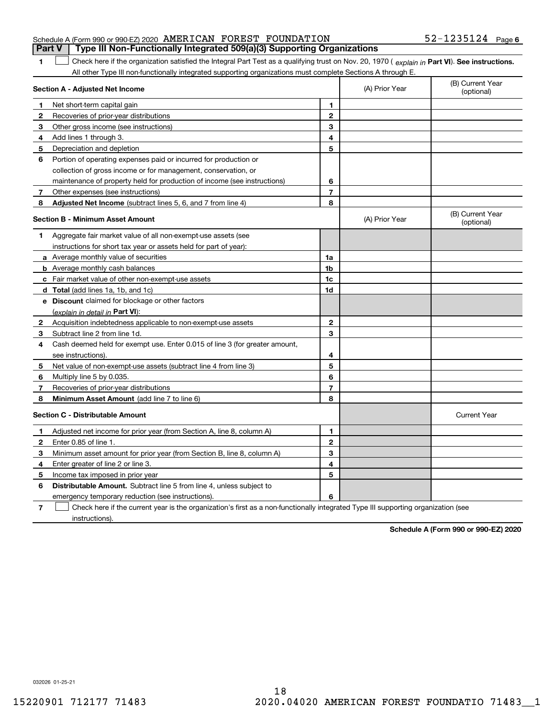|                                                                 |  | <b>Part V</b> Type III Non-Functionally Integrated 509(a)(3) Supporting Organizations |                       |  |
|-----------------------------------------------------------------|--|---------------------------------------------------------------------------------------|-----------------------|--|
| Schedule A (Form 990 or 990-EZ) 2020 AMERICAN FOREST FOUNDATION |  |                                                                                       | $52 - 1235124$ Page 6 |  |

1 Check here if the organization satisfied the Integral Part Test as a qualifying trust on Nov. 20, 1970 (explain in Part VI). See instructions. All other Type III non-functionally integrated supporting organizations must complete Sections A through E.

| Section A - Adjusted Net Income |                                                                                                                                   |                | (A) Prior Year | (B) Current Year<br>(optional) |
|---------------------------------|-----------------------------------------------------------------------------------------------------------------------------------|----------------|----------------|--------------------------------|
| 1                               | Net short-term capital gain                                                                                                       | 1              |                |                                |
| 2                               | Recoveries of prior-year distributions                                                                                            | $\mathbf{2}$   |                |                                |
| 3                               | Other gross income (see instructions)                                                                                             | 3              |                |                                |
| 4                               | Add lines 1 through 3.                                                                                                            | 4              |                |                                |
| 5                               | Depreciation and depletion                                                                                                        | 5              |                |                                |
| 6                               | Portion of operating expenses paid or incurred for production or                                                                  |                |                |                                |
|                                 | collection of gross income or for management, conservation, or                                                                    |                |                |                                |
|                                 | maintenance of property held for production of income (see instructions)                                                          | 6              |                |                                |
| 7                               | Other expenses (see instructions)                                                                                                 | $\overline{7}$ |                |                                |
| 8                               | Adjusted Net Income (subtract lines 5, 6, and 7 from line 4)                                                                      | 8              |                |                                |
|                                 | <b>Section B - Minimum Asset Amount</b>                                                                                           |                | (A) Prior Year | (B) Current Year<br>(optional) |
| 1                               | Aggregate fair market value of all non-exempt-use assets (see                                                                     |                |                |                                |
|                                 | instructions for short tax year or assets held for part of year):                                                                 |                |                |                                |
|                                 | <b>a</b> Average monthly value of securities                                                                                      | 1a             |                |                                |
|                                 | <b>b</b> Average monthly cash balances                                                                                            | 1 <sub>b</sub> |                |                                |
|                                 | c Fair market value of other non-exempt-use assets                                                                                | 1c             |                |                                |
|                                 | <b>d</b> Total (add lines 1a, 1b, and 1c)                                                                                         | 1d             |                |                                |
|                                 | e Discount claimed for blockage or other factors                                                                                  |                |                |                                |
|                                 | (explain in detail in Part VI):                                                                                                   |                |                |                                |
| 2                               | Acquisition indebtedness applicable to non-exempt-use assets                                                                      | 2              |                |                                |
| 3                               | Subtract line 2 from line 1d.                                                                                                     | 3              |                |                                |
| 4                               | Cash deemed held for exempt use. Enter 0.015 of line 3 (for greater amount,                                                       |                |                |                                |
|                                 | see instructions)                                                                                                                 | 4              |                |                                |
| 5                               | Net value of non-exempt-use assets (subtract line 4 from line 3)                                                                  | 5              |                |                                |
| 6                               | Multiply line 5 by 0.035.                                                                                                         | 6              |                |                                |
| 7                               | Recoveries of prior-year distributions                                                                                            | 7              |                |                                |
| 8                               | <b>Minimum Asset Amount</b> (add line 7 to line 6)                                                                                | 8              |                |                                |
|                                 | <b>Section C - Distributable Amount</b>                                                                                           |                |                | <b>Current Year</b>            |
| 1                               | Adjusted net income for prior year (from Section A, line 8, column A)                                                             | 1              |                |                                |
| 2                               | Enter 0.85 of line 1.                                                                                                             | $\mathbf{2}$   |                |                                |
| 3                               | Minimum asset amount for prior year (from Section B, line 8, column A)                                                            | 3              |                |                                |
| 4                               | Enter greater of line 2 or line 3.                                                                                                | 4              |                |                                |
| 5                               | Income tax imposed in prior year                                                                                                  | 5              |                |                                |
| 6                               | <b>Distributable Amount.</b> Subtract line 5 from line 4, unless subject to                                                       |                |                |                                |
|                                 | emergency temporary reduction (see instructions).                                                                                 | 6              |                |                                |
| 7                               | Check here if the current year is the organization's first as a non-functionally integrated Type III supporting organization (see |                |                |                                |

instructions).

**1**

**Schedule A (Form 990 or 990-EZ) 2020**

032026 01-25-21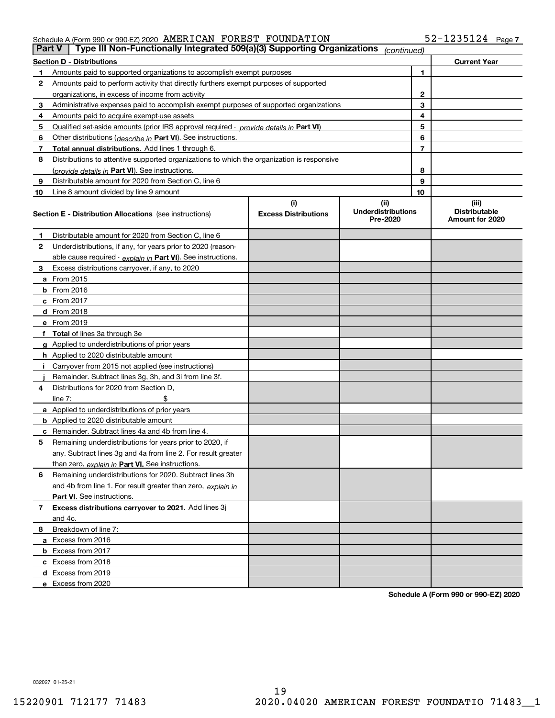#### Schedule A (Form 990 or 990-EZ) 2020  $\,$   $\rm AMERICAN$   $\,$   $\rm FOREST$   $\,$   $\rm FOUNDATION$   $\,$   $\,$   $\,$   $\,$   $\,$   $\rm 52-1235124$   $\,$   $\,$   $\rm Page$

| <b>Part V</b> | Type III Non-Functionally Integrated 509(a)(3) Supporting Organizations                    |                             | (continued)                           |                |                                         |
|---------------|--------------------------------------------------------------------------------------------|-----------------------------|---------------------------------------|----------------|-----------------------------------------|
|               | <b>Section D - Distributions</b>                                                           |                             |                                       |                | <b>Current Year</b>                     |
| 1             | Amounts paid to supported organizations to accomplish exempt purposes                      |                             | 1                                     |                |                                         |
| 2             | Amounts paid to perform activity that directly furthers exempt purposes of supported       |                             |                                       |                |                                         |
|               | organizations, in excess of income from activity                                           |                             |                                       | 2              |                                         |
| 3             | Administrative expenses paid to accomplish exempt purposes of supported organizations      |                             |                                       | 3              |                                         |
| 4             | Amounts paid to acquire exempt-use assets                                                  |                             |                                       | 4              |                                         |
| 5             | Qualified set-aside amounts (prior IRS approval required - provide details in Part VI)     |                             |                                       | 5              |                                         |
| 6             | Other distributions ( <i>describe in</i> Part VI). See instructions.                       |                             |                                       | 6              |                                         |
| 7             | Total annual distributions. Add lines 1 through 6.                                         |                             |                                       | $\overline{7}$ |                                         |
| 8             | Distributions to attentive supported organizations to which the organization is responsive |                             |                                       |                |                                         |
|               | (provide details in Part VI). See instructions.                                            |                             |                                       | 8              |                                         |
| 9             | Distributable amount for 2020 from Section C, line 6                                       |                             |                                       | 9              |                                         |
| 10            | Line 8 amount divided by line 9 amount                                                     |                             |                                       | 10             |                                         |
|               |                                                                                            | (i)                         | (ii)                                  |                | (iii)                                   |
|               | <b>Section E - Distribution Allocations</b> (see instructions)                             | <b>Excess Distributions</b> | <b>Underdistributions</b><br>Pre-2020 |                | <b>Distributable</b><br>Amount for 2020 |
| 1             | Distributable amount for 2020 from Section C, line 6                                       |                             |                                       |                |                                         |
| 2             | Underdistributions, if any, for years prior to 2020 (reason-                               |                             |                                       |                |                                         |
|               | able cause required - explain in Part VI). See instructions.                               |                             |                                       |                |                                         |
| 3             | Excess distributions carryover, if any, to 2020                                            |                             |                                       |                |                                         |
|               | <b>a</b> From 2015                                                                         |                             |                                       |                |                                         |
|               | <b>b</b> From 2016                                                                         |                             |                                       |                |                                         |
|               | c From 2017                                                                                |                             |                                       |                |                                         |
|               | <b>d</b> From 2018                                                                         |                             |                                       |                |                                         |
|               | e From 2019                                                                                |                             |                                       |                |                                         |
|               | f Total of lines 3a through 3e                                                             |                             |                                       |                |                                         |
|               | g Applied to underdistributions of prior years                                             |                             |                                       |                |                                         |
|               | <b>h</b> Applied to 2020 distributable amount                                              |                             |                                       |                |                                         |
|               | Carryover from 2015 not applied (see instructions)                                         |                             |                                       |                |                                         |
|               | Remainder. Subtract lines 3g, 3h, and 3i from line 3f.                                     |                             |                                       |                |                                         |
| 4             | Distributions for 2020 from Section D,                                                     |                             |                                       |                |                                         |
|               | line $7:$                                                                                  |                             |                                       |                |                                         |
|               | a Applied to underdistributions of prior years                                             |                             |                                       |                |                                         |
|               | <b>b</b> Applied to 2020 distributable amount                                              |                             |                                       |                |                                         |
|               | c Remainder. Subtract lines 4a and 4b from line 4.                                         |                             |                                       |                |                                         |
| 5             | Remaining underdistributions for years prior to 2020, if                                   |                             |                                       |                |                                         |
|               | any. Subtract lines 3g and 4a from line 2. For result greater                              |                             |                                       |                |                                         |
|               | than zero, explain in Part VI. See instructions.                                           |                             |                                       |                |                                         |
| 6             | Remaining underdistributions for 2020. Subtract lines 3h                                   |                             |                                       |                |                                         |
|               | and 4b from line 1. For result greater than zero, explain in                               |                             |                                       |                |                                         |
|               | Part VI. See instructions.                                                                 |                             |                                       |                |                                         |
| 7             | Excess distributions carryover to 2021. Add lines 3j                                       |                             |                                       |                |                                         |
|               | and 4c.                                                                                    |                             |                                       |                |                                         |
| 8             | Breakdown of line 7:                                                                       |                             |                                       |                |                                         |
|               | a Excess from 2016                                                                         |                             |                                       |                |                                         |
|               | <b>b</b> Excess from 2017                                                                  |                             |                                       |                |                                         |
|               | c Excess from 2018                                                                         |                             |                                       |                |                                         |
|               | d Excess from 2019                                                                         |                             |                                       |                |                                         |
|               | e Excess from 2020                                                                         |                             |                                       |                |                                         |
|               |                                                                                            |                             |                                       |                |                                         |

**Schedule A (Form 990 or 990-EZ) 2020**

032027 01-25-21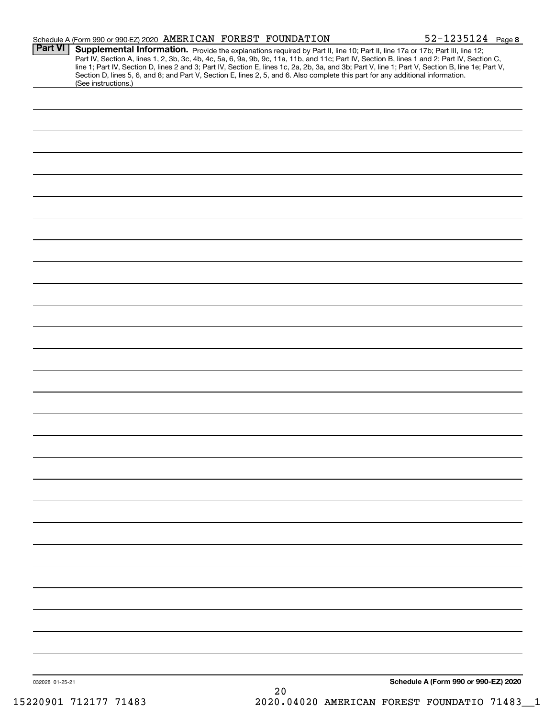|                 | Schedule A (Form 990 or 990-EZ) 2020 AMERICAN FOREST FOUNDATION                                                                                                                                                                                                                                                                                                                                                                   |    | $52 - 1235124$ Page 8                |  |
|-----------------|-----------------------------------------------------------------------------------------------------------------------------------------------------------------------------------------------------------------------------------------------------------------------------------------------------------------------------------------------------------------------------------------------------------------------------------|----|--------------------------------------|--|
| <b>Part VI</b>  | Supplemental Information. Provide the explanations required by Part II, line 10; Part II, line 17a or 17b; Part III, line 12;<br>Part IV, Section A, lines 1, 2, 3b, 3c, 4b, 4c, 5a, 6, 9a, 9b, 9c, 11a, 11b, and 11c; Part IV, Section B, lines 1 and 2; Part IV, Section C,<br>line 1; Part IV, Section D, lines 2 and 3; Part IV, Section E, lines 1c, 2a, 2b, 3a, and 3b; Part V, line 1; Part V, Section B, line 1e; Part V, |    |                                      |  |
|                 | Section D, lines 5, 6, and 8; and Part V, Section E, lines 2, 5, and 6. Also complete this part for any additional information.<br>(See instructions.)                                                                                                                                                                                                                                                                            |    |                                      |  |
|                 |                                                                                                                                                                                                                                                                                                                                                                                                                                   |    |                                      |  |
|                 |                                                                                                                                                                                                                                                                                                                                                                                                                                   |    |                                      |  |
|                 |                                                                                                                                                                                                                                                                                                                                                                                                                                   |    |                                      |  |
|                 |                                                                                                                                                                                                                                                                                                                                                                                                                                   |    |                                      |  |
|                 |                                                                                                                                                                                                                                                                                                                                                                                                                                   |    |                                      |  |
|                 |                                                                                                                                                                                                                                                                                                                                                                                                                                   |    |                                      |  |
|                 |                                                                                                                                                                                                                                                                                                                                                                                                                                   |    |                                      |  |
|                 |                                                                                                                                                                                                                                                                                                                                                                                                                                   |    |                                      |  |
|                 |                                                                                                                                                                                                                                                                                                                                                                                                                                   |    |                                      |  |
|                 |                                                                                                                                                                                                                                                                                                                                                                                                                                   |    |                                      |  |
|                 |                                                                                                                                                                                                                                                                                                                                                                                                                                   |    |                                      |  |
|                 |                                                                                                                                                                                                                                                                                                                                                                                                                                   |    |                                      |  |
|                 |                                                                                                                                                                                                                                                                                                                                                                                                                                   |    |                                      |  |
|                 |                                                                                                                                                                                                                                                                                                                                                                                                                                   |    |                                      |  |
|                 |                                                                                                                                                                                                                                                                                                                                                                                                                                   |    |                                      |  |
|                 |                                                                                                                                                                                                                                                                                                                                                                                                                                   |    |                                      |  |
|                 |                                                                                                                                                                                                                                                                                                                                                                                                                                   |    |                                      |  |
|                 |                                                                                                                                                                                                                                                                                                                                                                                                                                   |    |                                      |  |
|                 |                                                                                                                                                                                                                                                                                                                                                                                                                                   |    |                                      |  |
|                 |                                                                                                                                                                                                                                                                                                                                                                                                                                   |    |                                      |  |
|                 |                                                                                                                                                                                                                                                                                                                                                                                                                                   |    |                                      |  |
|                 |                                                                                                                                                                                                                                                                                                                                                                                                                                   |    |                                      |  |
|                 |                                                                                                                                                                                                                                                                                                                                                                                                                                   |    |                                      |  |
|                 |                                                                                                                                                                                                                                                                                                                                                                                                                                   |    |                                      |  |
|                 |                                                                                                                                                                                                                                                                                                                                                                                                                                   |    |                                      |  |
|                 |                                                                                                                                                                                                                                                                                                                                                                                                                                   |    |                                      |  |
|                 |                                                                                                                                                                                                                                                                                                                                                                                                                                   |    |                                      |  |
|                 |                                                                                                                                                                                                                                                                                                                                                                                                                                   |    |                                      |  |
|                 |                                                                                                                                                                                                                                                                                                                                                                                                                                   |    |                                      |  |
|                 |                                                                                                                                                                                                                                                                                                                                                                                                                                   |    |                                      |  |
|                 |                                                                                                                                                                                                                                                                                                                                                                                                                                   |    |                                      |  |
|                 |                                                                                                                                                                                                                                                                                                                                                                                                                                   |    |                                      |  |
|                 |                                                                                                                                                                                                                                                                                                                                                                                                                                   |    |                                      |  |
|                 |                                                                                                                                                                                                                                                                                                                                                                                                                                   |    |                                      |  |
|                 |                                                                                                                                                                                                                                                                                                                                                                                                                                   |    |                                      |  |
|                 |                                                                                                                                                                                                                                                                                                                                                                                                                                   |    |                                      |  |
|                 |                                                                                                                                                                                                                                                                                                                                                                                                                                   |    |                                      |  |
| 032028 01-25-21 |                                                                                                                                                                                                                                                                                                                                                                                                                                   |    | Schedule A (Form 990 or 990-EZ) 2020 |  |
|                 |                                                                                                                                                                                                                                                                                                                                                                                                                                   | 20 |                                      |  |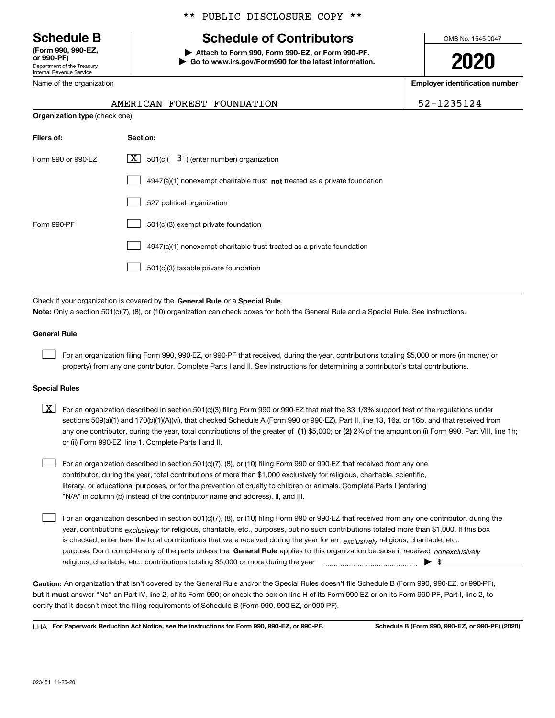Department of the Treasury Internal Revenue Service **(Form 990, 990-EZ, or 990-PF)**

Name of the organization

### \*\* PUBLIC DISCLOSURE COPY \*\*

# **Schedule B Schedule of Contributors**

**| Attach to Form 990, Form 990-EZ, or Form 990-PF. | Go to www.irs.gov/Form990 for the latest information.** OMB No. 1545-0047

**2020**

**Employer identification number**

|  |  | 2351 |  |  |
|--|--|------|--|--|
|  |  |      |  |  |

| - - - - <del>- , - - - - - - - - - -</del> - - - |                            | ----- |
|--------------------------------------------------|----------------------------|-------|
|                                                  | AMERICAN FOREST FOUNDATION |       |

| <b>Organization type (check one):</b> |                                                                             |  |  |  |  |
|---------------------------------------|-----------------------------------------------------------------------------|--|--|--|--|
| Filers of:                            | Section:                                                                    |  |  |  |  |
| Form 990 or 990-EZ                    | $\lfloor x \rfloor$ 501(c)( 3) (enter number) organization                  |  |  |  |  |
|                                       | $4947(a)(1)$ nonexempt charitable trust not treated as a private foundation |  |  |  |  |
|                                       | 527 political organization                                                  |  |  |  |  |
| Form 990-PF                           | 501(c)(3) exempt private foundation                                         |  |  |  |  |
|                                       | 4947(a)(1) nonexempt charitable trust treated as a private foundation       |  |  |  |  |
|                                       | 501(c)(3) taxable private foundation                                        |  |  |  |  |

Check if your organization is covered by the **General Rule** or a **Special Rule. Note:**  Only a section 501(c)(7), (8), or (10) organization can check boxes for both the General Rule and a Special Rule. See instructions.

#### **General Rule**

 $\mathcal{L}^{\text{max}}$ 

For an organization filing Form 990, 990-EZ, or 990-PF that received, during the year, contributions totaling \$5,000 or more (in money or property) from any one contributor. Complete Parts I and II. See instructions for determining a contributor's total contributions.

#### **Special Rules**

any one contributor, during the year, total contributions of the greater of  $\,$  (1) \$5,000; or **(2)** 2% of the amount on (i) Form 990, Part VIII, line 1h;  $\boxed{\textbf{X}}$  For an organization described in section 501(c)(3) filing Form 990 or 990-EZ that met the 33 1/3% support test of the regulations under sections 509(a)(1) and 170(b)(1)(A)(vi), that checked Schedule A (Form 990 or 990-EZ), Part II, line 13, 16a, or 16b, and that received from or (ii) Form 990-EZ, line 1. Complete Parts I and II.

For an organization described in section 501(c)(7), (8), or (10) filing Form 990 or 990-EZ that received from any one contributor, during the year, total contributions of more than \$1,000 exclusively for religious, charitable, scientific, literary, or educational purposes, or for the prevention of cruelty to children or animals. Complete Parts I (entering "N/A" in column (b) instead of the contributor name and address), II, and III.  $\mathcal{L}^{\text{max}}$ 

purpose. Don't complete any of the parts unless the **General Rule** applies to this organization because it received *nonexclusively* year, contributions <sub>exclusively</sub> for religious, charitable, etc., purposes, but no such contributions totaled more than \$1,000. If this box is checked, enter here the total contributions that were received during the year for an  $\;$ exclusively religious, charitable, etc., For an organization described in section 501(c)(7), (8), or (10) filing Form 990 or 990-EZ that received from any one contributor, during the religious, charitable, etc., contributions totaling \$5,000 or more during the year  $\Box$ — $\Box$   $\Box$  $\mathcal{L}^{\text{max}}$ 

**Caution:**  An organization that isn't covered by the General Rule and/or the Special Rules doesn't file Schedule B (Form 990, 990-EZ, or 990-PF),  **must** but it answer "No" on Part IV, line 2, of its Form 990; or check the box on line H of its Form 990-EZ or on its Form 990-PF, Part I, line 2, to certify that it doesn't meet the filing requirements of Schedule B (Form 990, 990-EZ, or 990-PF).

**For Paperwork Reduction Act Notice, see the instructions for Form 990, 990-EZ, or 990-PF. Schedule B (Form 990, 990-EZ, or 990-PF) (2020)** LHA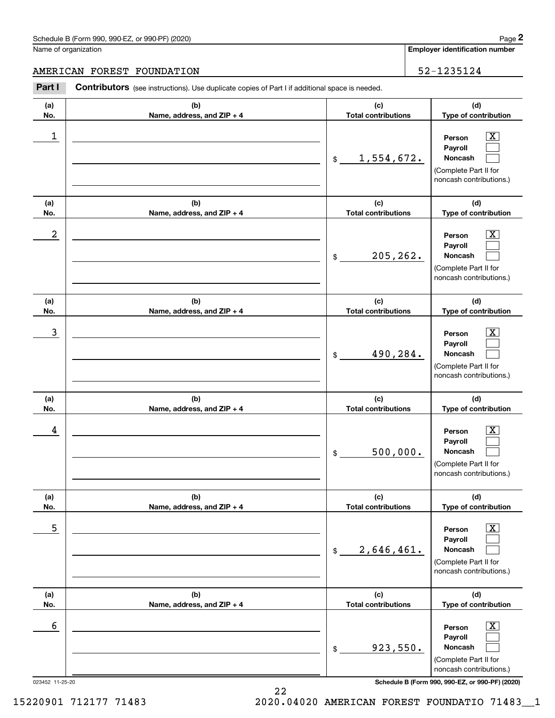# Schedule B (Form 990, 990-EZ, or 990-PF) (2020) Page 2

### AMERICAN FOREST FOUNDATION 52-1235124

|                  | Schedule B (Form 990, 990-EZ, or 990-PF) (2020)                                                |                                   | Page 2                                                                                                             |
|------------------|------------------------------------------------------------------------------------------------|-----------------------------------|--------------------------------------------------------------------------------------------------------------------|
|                  | Name of organization                                                                           |                                   | Employer identification number                                                                                     |
|                  | AMERICAN FOREST FOUNDATION                                                                     |                                   | 52-1235124                                                                                                         |
| Part I           | Contributors (see instructions). Use duplicate copies of Part I if additional space is needed. |                                   |                                                                                                                    |
| (a)<br>No.       | (b)<br>Name, address, and ZIP + 4                                                              | (c)<br><b>Total contributions</b> | (d)<br>Type of contribution                                                                                        |
| 1                |                                                                                                | 1,554,672.<br>\$                  | $\overline{\mathbf{X}}$<br>Person<br>Payroll<br><b>Noncash</b><br>(Complete Part II for<br>noncash contributions.) |
| (a)<br>No.       | (b)<br>Name, address, and ZIP + 4                                                              | (c)<br><b>Total contributions</b> | (d)<br>Type of contribution                                                                                        |
| $\boldsymbol{2}$ |                                                                                                | 205,262.<br>\$                    | $\overline{\mathbf{X}}$<br>Person<br>Payroll<br>Noncash<br>(Complete Part II for<br>noncash contributions.)        |
| (a)<br>No.       | (b)<br>Name, address, and ZIP + 4                                                              | (c)<br><b>Total contributions</b> | (d)<br>Type of contribution                                                                                        |
| 3                |                                                                                                | 490,284.<br>\$                    | $\overline{\mathbf{X}}$<br>Person<br>Payroll<br>Noncash<br>(Complete Part II for<br>noncash contributions.)        |
| (a)<br>No.       | (b)<br>Name, address, and ZIP + 4                                                              | (c)<br><b>Total contributions</b> | (d)<br>Type of contribution                                                                                        |
| 4                |                                                                                                | 500,000.<br>\$                    | $\overline{\mathbf{X}}$<br>Person<br>Payroll<br>Noncash<br>(Complete Part II for<br>noncash contributions.)        |
| (a)<br>No.       | (b)<br>Name, address, and ZIP + 4                                                              | (c)<br><b>Total contributions</b> | (d)<br>Type of contribution                                                                                        |
| 5                |                                                                                                | 2,646,461.<br>$\mathfrak{S}$      | $\overline{\mathbf{X}}$<br>Person<br>Payroll<br>Noncash<br>(Complete Part II for<br>noncash contributions.)        |
| (a)<br>No.       | (b)<br>Name, address, and ZIP + 4                                                              | (c)<br><b>Total contributions</b> | (d)<br>Type of contribution                                                                                        |
| 6                |                                                                                                | 923,550.<br>\$                    | $\overline{\mathbf{X}}$<br>Person<br>Payroll<br>Noncash<br>(Complete Part II for<br>noncash contributions.)        |
| 023452 11-25-20  |                                                                                                |                                   | Schedule B (Form 990, 990-EZ, or 990-PF) (2020)                                                                    |

22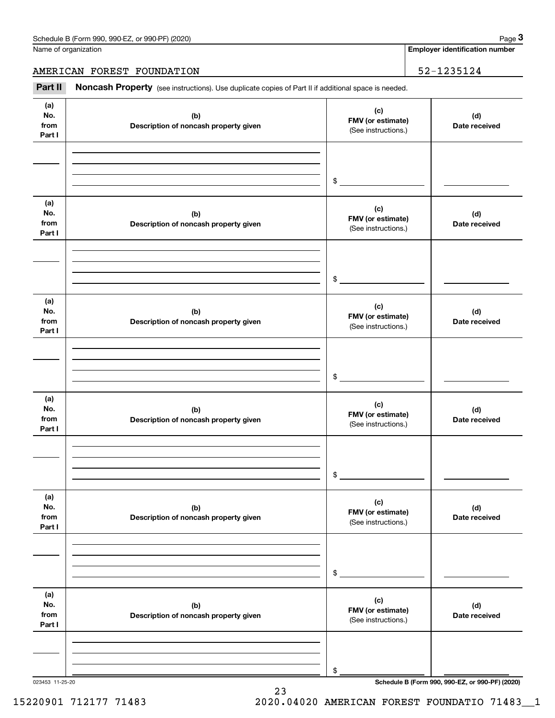Name of organization

**Employer identification number**

AMERICAN FOREST FOUNDATION | 52-1235124

Chedule B (Form 990, 990-EZ, or 990-PF) (2020)<br>
lame of organization<br> **32-1235124 Employer identification number<br>
MERICAN FOREST FOUNDATION 52-1235124**<br> **Part II** Noncash Property (see instructions). Use duplicate copies o

| (a)<br>No.<br>from<br>Part I | (b)<br>Description of noncash property given | (c)<br>FMV (or estimate)<br>(See instructions.) | (d)<br>Date received                            |
|------------------------------|----------------------------------------------|-------------------------------------------------|-------------------------------------------------|
|                              |                                              | $\frac{1}{2}$                                   |                                                 |
| (a)<br>No.<br>from<br>Part I | (b)<br>Description of noncash property given | (c)<br>FMV (or estimate)<br>(See instructions.) | (d)<br>Date received                            |
|                              |                                              | $\mathfrak s$                                   |                                                 |
| (a)<br>No.<br>from<br>Part I | (b)<br>Description of noncash property given | (c)<br>FMV (or estimate)<br>(See instructions.) | (d)<br>Date received                            |
|                              |                                              | $\mathfrak s$                                   |                                                 |
| (a)<br>No.<br>from<br>Part I | (b)<br>Description of noncash property given | (c)<br>FMV (or estimate)<br>(See instructions.) | (d)<br>Date received                            |
|                              |                                              | $\sim$                                          |                                                 |
| (a)<br>No.<br>from<br>Part I | (b)<br>Description of noncash property given | (c)<br>FMV (or estimate)<br>(See instructions.) | (d)<br>Date received                            |
|                              |                                              | \$                                              |                                                 |
| (a)<br>No.<br>from<br>Part I | (b)<br>Description of noncash property given | (c)<br>FMV (or estimate)<br>(See instructions.) | (d)<br>Date received                            |
|                              |                                              | \$                                              |                                                 |
| 023453 11-25-20              |                                              |                                                 | Schedule B (Form 990, 990-EZ, or 990-PF) (2020) |

23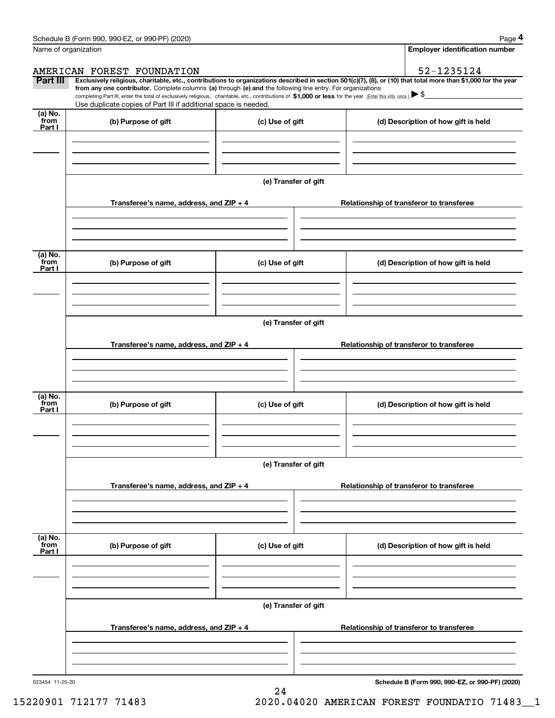|                           | Schedule B (Form 990, 990-EZ, or 990-PF) (2020)                                                                                                                                                                                                                                                 |                      | Page 4                                                                                                                                                         |  |  |  |  |  |
|---------------------------|-------------------------------------------------------------------------------------------------------------------------------------------------------------------------------------------------------------------------------------------------------------------------------------------------|----------------------|----------------------------------------------------------------------------------------------------------------------------------------------------------------|--|--|--|--|--|
|                           | Name of organization                                                                                                                                                                                                                                                                            |                      | <b>Employer identification number</b>                                                                                                                          |  |  |  |  |  |
|                           | AMERICAN FOREST FOUNDATION                                                                                                                                                                                                                                                                      |                      | 52-1235124                                                                                                                                                     |  |  |  |  |  |
| Part III                  | from any one contributor. Complete columns (a) through (e) and the following line entry. For organizations<br>completing Part III, enter the total of exclusively religious, charitable, etc., contributions of \$1,000 or less for the year. (Enter this info. once.) $\blacktriangleright$ \$ |                      | Exclusively religious, charitable, etc., contributions to organizations described in section 501(c)(7), (8), or (10) that total more than \$1,000 for the year |  |  |  |  |  |
|                           | Use duplicate copies of Part III if additional space is needed.                                                                                                                                                                                                                                 |                      |                                                                                                                                                                |  |  |  |  |  |
| (a) No.<br>from<br>Part I | (b) Purpose of gift                                                                                                                                                                                                                                                                             | (c) Use of gift      | (d) Description of how gift is held                                                                                                                            |  |  |  |  |  |
|                           |                                                                                                                                                                                                                                                                                                 |                      |                                                                                                                                                                |  |  |  |  |  |
|                           |                                                                                                                                                                                                                                                                                                 |                      |                                                                                                                                                                |  |  |  |  |  |
|                           |                                                                                                                                                                                                                                                                                                 | (e) Transfer of gift |                                                                                                                                                                |  |  |  |  |  |
|                           | Transferee's name, address, and ZIP + 4                                                                                                                                                                                                                                                         |                      | Relationship of transferor to transferee                                                                                                                       |  |  |  |  |  |
|                           |                                                                                                                                                                                                                                                                                                 |                      |                                                                                                                                                                |  |  |  |  |  |
| (a) No.<br>from<br>Part I | (b) Purpose of gift                                                                                                                                                                                                                                                                             | (c) Use of gift      | (d) Description of how gift is held                                                                                                                            |  |  |  |  |  |
|                           |                                                                                                                                                                                                                                                                                                 |                      |                                                                                                                                                                |  |  |  |  |  |
|                           |                                                                                                                                                                                                                                                                                                 |                      |                                                                                                                                                                |  |  |  |  |  |
|                           | (e) Transfer of gift                                                                                                                                                                                                                                                                            |                      |                                                                                                                                                                |  |  |  |  |  |
|                           | Transferee's name, address, and ZIP + 4                                                                                                                                                                                                                                                         |                      | Relationship of transferor to transferee                                                                                                                       |  |  |  |  |  |
|                           |                                                                                                                                                                                                                                                                                                 |                      |                                                                                                                                                                |  |  |  |  |  |
| (a) No.<br>from<br>Part I | (b) Purpose of gift                                                                                                                                                                                                                                                                             | (c) Use of gift      | (d) Description of how gift is held                                                                                                                            |  |  |  |  |  |
|                           |                                                                                                                                                                                                                                                                                                 |                      |                                                                                                                                                                |  |  |  |  |  |
|                           |                                                                                                                                                                                                                                                                                                 | (e) Transfer of gift |                                                                                                                                                                |  |  |  |  |  |
|                           | Transferee's name, address, and $ZIP + 4$                                                                                                                                                                                                                                                       |                      | Relationship of transferor to transferee                                                                                                                       |  |  |  |  |  |
|                           |                                                                                                                                                                                                                                                                                                 |                      |                                                                                                                                                                |  |  |  |  |  |
| (a) No.<br>from<br>Part I | (b) Purpose of gift                                                                                                                                                                                                                                                                             | (c) Use of gift      | (d) Description of how gift is held                                                                                                                            |  |  |  |  |  |
|                           |                                                                                                                                                                                                                                                                                                 |                      |                                                                                                                                                                |  |  |  |  |  |
|                           |                                                                                                                                                                                                                                                                                                 |                      |                                                                                                                                                                |  |  |  |  |  |
|                           |                                                                                                                                                                                                                                                                                                 | (e) Transfer of gift |                                                                                                                                                                |  |  |  |  |  |
|                           | Transferee's name, address, and $ZIP + 4$                                                                                                                                                                                                                                                       |                      | Relationship of transferor to transferee                                                                                                                       |  |  |  |  |  |
|                           |                                                                                                                                                                                                                                                                                                 |                      |                                                                                                                                                                |  |  |  |  |  |
|                           |                                                                                                                                                                                                                                                                                                 |                      |                                                                                                                                                                |  |  |  |  |  |

24

023454 11-25-20

**Schedule B (Form 990, 990-EZ, or 990-PF) (2020)**

15220901 712177 71483 2020.04020 AMERICAN FOREST FOUNDATIO 71483\_\_1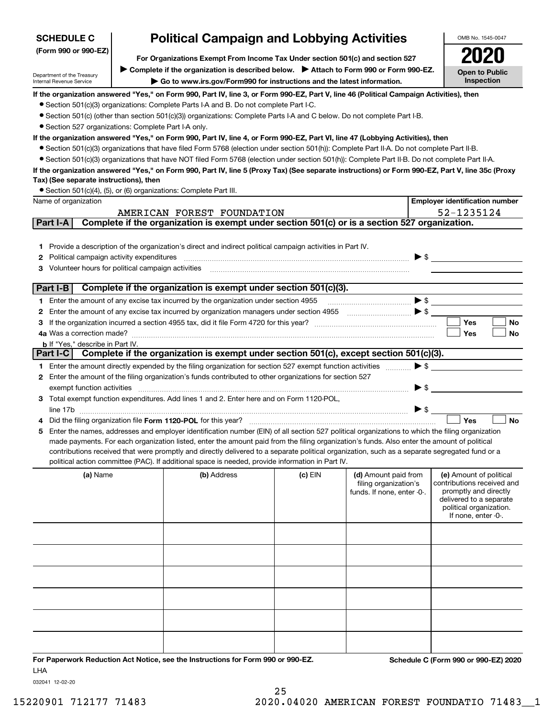| <b>SCHEDULE C</b>                                                                                                                |                                                                                         | <b>Political Campaign and Lobbying Activities</b>                                                                                                                                                                                                                                             |         |                            |                          | OMB No. 1545-0047                                  |  |  |
|----------------------------------------------------------------------------------------------------------------------------------|-----------------------------------------------------------------------------------------|-----------------------------------------------------------------------------------------------------------------------------------------------------------------------------------------------------------------------------------------------------------------------------------------------|---------|----------------------------|--------------------------|----------------------------------------------------|--|--|
| (Form 990 or 990-EZ)<br>For Organizations Exempt From Income Tax Under section 501(c) and section 527                            |                                                                                         |                                                                                                                                                                                                                                                                                               |         |                            |                          |                                                    |  |  |
|                                                                                                                                  | ▶ Complete if the organization is described below. ▶ Attach to Form 990 or Form 990-EZ. |                                                                                                                                                                                                                                                                                               |         |                            |                          |                                                    |  |  |
| Department of the Treasury<br>Go to www.irs.gov/Form990 for instructions and the latest information.<br>Internal Revenue Service |                                                                                         |                                                                                                                                                                                                                                                                                               |         |                            |                          |                                                    |  |  |
|                                                                                                                                  |                                                                                         | If the organization answered "Yes," on Form 990, Part IV, line 3, or Form 990-EZ, Part V, line 46 (Political Campaign Activities), then                                                                                                                                                       |         |                            |                          |                                                    |  |  |
|                                                                                                                                  |                                                                                         | • Section 501(c)(3) organizations: Complete Parts I-A and B. Do not complete Part I-C.                                                                                                                                                                                                        |         |                            |                          |                                                    |  |  |
|                                                                                                                                  |                                                                                         | ● Section 501(c) (other than section 501(c)(3)) organizations: Complete Parts I-A and C below. Do not complete Part I-B.                                                                                                                                                                      |         |                            |                          |                                                    |  |  |
| • Section 527 organizations: Complete Part I-A only.                                                                             |                                                                                         |                                                                                                                                                                                                                                                                                               |         |                            |                          |                                                    |  |  |
|                                                                                                                                  |                                                                                         | If the organization answered "Yes," on Form 990, Part IV, line 4, or Form 990-EZ, Part VI, line 47 (Lobbying Activities), then                                                                                                                                                                |         |                            |                          |                                                    |  |  |
|                                                                                                                                  |                                                                                         | • Section 501(c)(3) organizations that have filed Form 5768 (election under section 501(h)): Complete Part II-A. Do not complete Part II-B.                                                                                                                                                   |         |                            |                          |                                                    |  |  |
|                                                                                                                                  |                                                                                         | • Section 501(c)(3) organizations that have NOT filed Form 5768 (election under section 501(h)): Complete Part II-B. Do not complete Part II-A.                                                                                                                                               |         |                            |                          |                                                    |  |  |
| Tax) (See separate instructions), then                                                                                           |                                                                                         | If the organization answered "Yes," on Form 990, Part IV, line 5 (Proxy Tax) (See separate instructions) or Form 990-EZ, Part V, line 35c (Proxy                                                                                                                                              |         |                            |                          |                                                    |  |  |
|                                                                                                                                  |                                                                                         | • Section 501(c)(4), (5), or (6) organizations: Complete Part III.                                                                                                                                                                                                                            |         |                            |                          |                                                    |  |  |
| Name of organization                                                                                                             |                                                                                         |                                                                                                                                                                                                                                                                                               |         |                            |                          | <b>Employer identification number</b>              |  |  |
|                                                                                                                                  |                                                                                         | AMERICAN FOREST FOUNDATION                                                                                                                                                                                                                                                                    |         |                            |                          | 52-1235124                                         |  |  |
| Part I-A                                                                                                                         |                                                                                         | Complete if the organization is exempt under section 501(c) or is a section 527 organization.                                                                                                                                                                                                 |         |                            |                          |                                                    |  |  |
|                                                                                                                                  |                                                                                         |                                                                                                                                                                                                                                                                                               |         |                            |                          |                                                    |  |  |
|                                                                                                                                  |                                                                                         | 1 Provide a description of the organization's direct and indirect political campaign activities in Part IV.                                                                                                                                                                                   |         |                            |                          |                                                    |  |  |
| Political campaign activity expenditures<br>2                                                                                    |                                                                                         |                                                                                                                                                                                                                                                                                               |         |                            |                          | $\blacktriangleright$ \$                           |  |  |
| 3 Volunteer hours for political campaign activities                                                                              |                                                                                         |                                                                                                                                                                                                                                                                                               |         |                            |                          |                                                    |  |  |
|                                                                                                                                  |                                                                                         |                                                                                                                                                                                                                                                                                               |         |                            |                          |                                                    |  |  |
| Part I-B                                                                                                                         |                                                                                         | Complete if the organization is exempt under section 501(c)(3).                                                                                                                                                                                                                               |         |                            |                          |                                                    |  |  |
|                                                                                                                                  |                                                                                         | 1 Enter the amount of any excise tax incurred by the organization under section 4955                                                                                                                                                                                                          |         |                            |                          | $\bullet \mathsf{s} \_\_$                          |  |  |
|                                                                                                                                  |                                                                                         | 2 Enter the amount of any excise tax incurred by organization managers under section 4955                                                                                                                                                                                                     |         |                            |                          | <b>Yes</b><br>No                                   |  |  |
|                                                                                                                                  |                                                                                         |                                                                                                                                                                                                                                                                                               |         |                            |                          | Yes<br>No                                          |  |  |
| <b>b</b> If "Yes," describe in Part IV.                                                                                          |                                                                                         |                                                                                                                                                                                                                                                                                               |         |                            |                          |                                                    |  |  |
|                                                                                                                                  |                                                                                         | Part I-C Complete if the organization is exempt under section 501(c), except section 501(c)(3).                                                                                                                                                                                               |         |                            |                          |                                                    |  |  |
|                                                                                                                                  |                                                                                         | 1 Enter the amount directly expended by the filing organization for section 527 exempt function activities                                                                                                                                                                                    |         |                            | $\blacktriangleright$ \$ |                                                    |  |  |
|                                                                                                                                  |                                                                                         | 2 Enter the amount of the filing organization's funds contributed to other organizations for section 527                                                                                                                                                                                      |         |                            |                          |                                                    |  |  |
| exempt function activities                                                                                                       |                                                                                         |                                                                                                                                                                                                                                                                                               |         |                            | $\blacktriangleright$ \$ |                                                    |  |  |
|                                                                                                                                  |                                                                                         | 3 Total exempt function expenditures. Add lines 1 and 2. Enter here and on Form 1120-POL,                                                                                                                                                                                                     |         |                            |                          |                                                    |  |  |
|                                                                                                                                  |                                                                                         |                                                                                                                                                                                                                                                                                               |         |                            | $\triangleright$ \$      |                                                    |  |  |
|                                                                                                                                  |                                                                                         | Did the filing organization file Form 1120-POL for this year?                                                                                                                                                                                                                                 |         |                            |                          | Yes<br><b>No</b>                                   |  |  |
|                                                                                                                                  |                                                                                         | 5 Enter the names, addresses and employer identification number (EIN) of all section 527 political organizations to which the filing organization                                                                                                                                             |         |                            |                          |                                                    |  |  |
|                                                                                                                                  |                                                                                         | made payments. For each organization listed, enter the amount paid from the filing organization's funds. Also enter the amount of political<br>contributions received that were promptly and directly delivered to a separate political organization, such as a separate segregated fund or a |         |                            |                          |                                                    |  |  |
|                                                                                                                                  |                                                                                         | political action committee (PAC). If additional space is needed, provide information in Part IV.                                                                                                                                                                                              |         |                            |                          |                                                    |  |  |
| (a) Name                                                                                                                         |                                                                                         | (b) Address                                                                                                                                                                                                                                                                                   | (c) EIN | (d) Amount paid from       |                          | (e) Amount of political                            |  |  |
|                                                                                                                                  |                                                                                         |                                                                                                                                                                                                                                                                                               |         | filing organization's      |                          | contributions received and                         |  |  |
|                                                                                                                                  |                                                                                         |                                                                                                                                                                                                                                                                                               |         | funds. If none, enter -0-. |                          | promptly and directly                              |  |  |
|                                                                                                                                  |                                                                                         |                                                                                                                                                                                                                                                                                               |         |                            |                          | delivered to a separate<br>political organization. |  |  |
|                                                                                                                                  |                                                                                         |                                                                                                                                                                                                                                                                                               |         |                            |                          | If none, enter -0-.                                |  |  |
|                                                                                                                                  |                                                                                         |                                                                                                                                                                                                                                                                                               |         |                            |                          |                                                    |  |  |
|                                                                                                                                  |                                                                                         |                                                                                                                                                                                                                                                                                               |         |                            |                          |                                                    |  |  |
|                                                                                                                                  |                                                                                         |                                                                                                                                                                                                                                                                                               |         |                            |                          |                                                    |  |  |
|                                                                                                                                  |                                                                                         |                                                                                                                                                                                                                                                                                               |         |                            |                          |                                                    |  |  |
|                                                                                                                                  |                                                                                         |                                                                                                                                                                                                                                                                                               |         |                            |                          |                                                    |  |  |
|                                                                                                                                  |                                                                                         |                                                                                                                                                                                                                                                                                               |         |                            |                          |                                                    |  |  |
|                                                                                                                                  |                                                                                         |                                                                                                                                                                                                                                                                                               |         |                            |                          |                                                    |  |  |
|                                                                                                                                  |                                                                                         |                                                                                                                                                                                                                                                                                               |         |                            |                          |                                                    |  |  |
|                                                                                                                                  |                                                                                         |                                                                                                                                                                                                                                                                                               |         |                            |                          |                                                    |  |  |
|                                                                                                                                  |                                                                                         |                                                                                                                                                                                                                                                                                               |         |                            |                          |                                                    |  |  |
|                                                                                                                                  |                                                                                         |                                                                                                                                                                                                                                                                                               |         |                            |                          |                                                    |  |  |
|                                                                                                                                  |                                                                                         |                                                                                                                                                                                                                                                                                               |         |                            |                          | $0.00E - 21.000E$                                  |  |  |

**For Paperwork Reduction Act Notice, see the Instructions for Form 990 or 990-EZ. Schedule C (Form 990 or 990-EZ) 2020** LHA

032041 12-02-20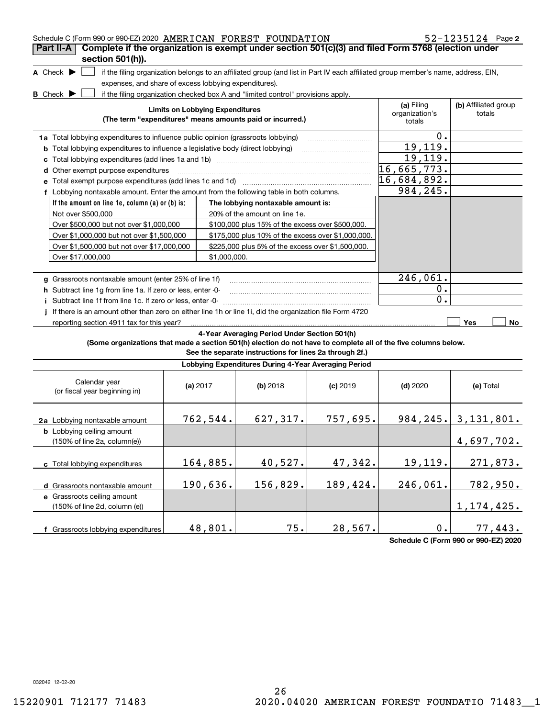| Schedule C (Form 990 or 990-EZ) 2020 AMERICAN FOREST FOUNDATION                                                                     |            |                                        |                                                                                  |            |                                                                                                                                   | $52 - 1235124$ Page 2          |
|-------------------------------------------------------------------------------------------------------------------------------------|------------|----------------------------------------|----------------------------------------------------------------------------------|------------|-----------------------------------------------------------------------------------------------------------------------------------|--------------------------------|
| Complete if the organization is exempt under section 501(c)(3) and filed Form 5768 (election under<br>Part II-A<br>section 501(h)). |            |                                        |                                                                                  |            |                                                                                                                                   |                                |
| A Check $\blacktriangleright$                                                                                                       |            |                                        |                                                                                  |            | if the filing organization belongs to an affiliated group (and list in Part IV each affiliated group member's name, address, EIN, |                                |
| expenses, and share of excess lobbying expenditures).                                                                               |            |                                        |                                                                                  |            |                                                                                                                                   |                                |
| <b>B</b> Check $\blacktriangleright$                                                                                                |            |                                        | if the filing organization checked box A and "limited control" provisions apply. |            |                                                                                                                                   |                                |
|                                                                                                                                     |            | <b>Limits on Lobbying Expenditures</b> | (The term "expenditures" means amounts paid or incurred.)                        |            | (a) Filing<br>organization's<br>totals                                                                                            | (b) Affiliated group<br>totals |
| 1a Total lobbying expenditures to influence public opinion (grassroots lobbying)                                                    |            |                                        |                                                                                  |            | 0.                                                                                                                                |                                |
| <b>b</b> Total lobbying expenditures to influence a legislative body (direct lobbying)                                              |            |                                        |                                                                                  |            | 19, 119.                                                                                                                          |                                |
|                                                                                                                                     |            |                                        |                                                                                  |            | 19, 119.                                                                                                                          |                                |
| d Other exempt purpose expenditures                                                                                                 |            |                                        |                                                                                  |            | 16,665,773.                                                                                                                       |                                |
| e Total exempt purpose expenditures (add lines 1c and 1d) manufactured contains an example Total exempt purpose                     |            |                                        |                                                                                  |            | $16,684,892$ .                                                                                                                    |                                |
| f Lobbying nontaxable amount. Enter the amount from the following table in both columns.                                            |            |                                        |                                                                                  |            | 984,245.                                                                                                                          |                                |
| If the amount on line 1e, column $(a)$ or $(b)$ is:                                                                                 |            |                                        | The lobbying nontaxable amount is:                                               |            |                                                                                                                                   |                                |
| Not over \$500,000                                                                                                                  |            |                                        | 20% of the amount on line 1e.                                                    |            |                                                                                                                                   |                                |
| Over \$500,000 but not over \$1,000,000                                                                                             |            |                                        | \$100,000 plus 15% of the excess over \$500,000.                                 |            |                                                                                                                                   |                                |
| Over \$1,000,000 but not over \$1,500,000                                                                                           |            |                                        | \$175,000 plus 10% of the excess over \$1,000,000.                               |            |                                                                                                                                   |                                |
| Over \$1,500,000 but not over \$17,000,000                                                                                          |            |                                        | \$225,000 plus 5% of the excess over \$1,500,000.                                |            |                                                                                                                                   |                                |
| Over \$17,000,000                                                                                                                   |            | \$1,000,000.                           |                                                                                  |            |                                                                                                                                   |                                |
|                                                                                                                                     |            |                                        |                                                                                  |            |                                                                                                                                   |                                |
| g Grassroots nontaxable amount (enter 25% of line 1f)                                                                               |            |                                        |                                                                                  |            | 246,061.                                                                                                                          |                                |
| h Subtract line 1g from line 1a. If zero or less, enter -0-                                                                         |            |                                        |                                                                                  |            | $0$ .                                                                                                                             |                                |
| i Subtract line 1f from line 1c. If zero or less, enter -0-                                                                         |            |                                        |                                                                                  |            | 0.                                                                                                                                |                                |
| j If there is an amount other than zero on either line 1h or line 1i, did the organization file Form 4720                           |            |                                        |                                                                                  |            |                                                                                                                                   |                                |
| reporting section 4911 tax for this year?                                                                                           |            |                                        |                                                                                  |            |                                                                                                                                   | Yes<br>No                      |
|                                                                                                                                     |            |                                        | 4-Year Averaging Period Under Section 501(h)                                     |            |                                                                                                                                   |                                |
| (Some organizations that made a section 501(h) election do not have to complete all of the five columns below.                      |            |                                        | See the separate instructions for lines 2a through 2f.)                          |            |                                                                                                                                   |                                |
|                                                                                                                                     |            |                                        | Lobbying Expenditures During 4-Year Averaging Period                             |            |                                                                                                                                   |                                |
| Calendar year<br>(or fiscal year beginning in)                                                                                      | (a) $2017$ |                                        | (b) 2018                                                                         | $(c)$ 2019 | $(d)$ 2020                                                                                                                        | (e) Total                      |
| 2a Lobbying nontaxable amount                                                                                                       |            | 762,544.                               | 627,317.                                                                         | 757,695.   |                                                                                                                                   | 984, 245. 3, 131, 801.         |
| <b>b</b> Lobbying ceiling amount<br>(150% of line 2a, column(e))                                                                    |            |                                        |                                                                                  |            |                                                                                                                                   | 4,697,702.                     |
| c Total lobbying expenditures                                                                                                       |            | 164,885.                               | 40,527.                                                                          | 47,342.    | 19,119.                                                                                                                           | 271,873.                       |
| d Grassroots nontaxable amount                                                                                                      |            | 190,636.                               | 156,829.                                                                         | 189,424.   | 246,061.                                                                                                                          | 782,950.                       |
| e Grassroots ceiling amount                                                                                                         |            |                                        |                                                                                  |            |                                                                                                                                   |                                |
| (150% of line 2d, column (e))                                                                                                       |            |                                        |                                                                                  |            |                                                                                                                                   | 1, 174, 425.                   |
|                                                                                                                                     |            |                                        |                                                                                  |            |                                                                                                                                   |                                |
| f Grassroots lobbying expenditures                                                                                                  |            | 48,801.                                | 75.                                                                              | 28,567.    | 0.                                                                                                                                | 77,443.                        |

**Schedule C (Form 990 or 990-EZ) 2020**

032042 12-02-20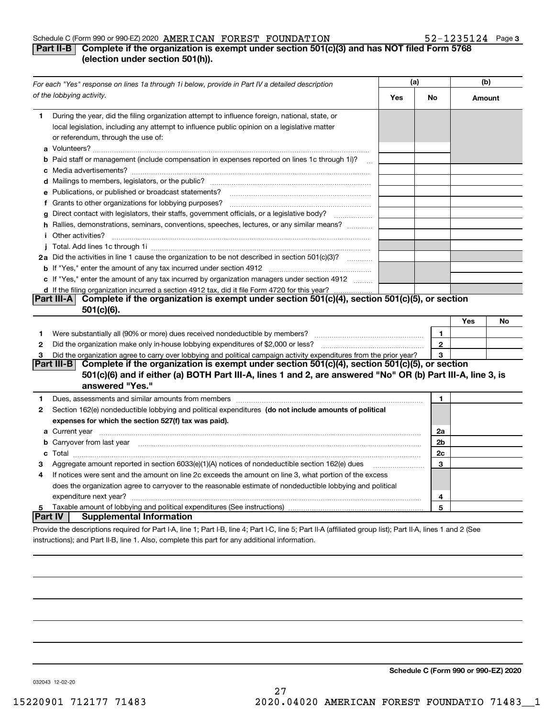#### Schedule C (Form 990 or 990-EZ) 2020 Page AMERICAN FOREST FOUNDATION 52-1235124

## **Part II-B Complete if the organization is exempt under section 501(c)(3) and has NOT filed Form 5768 (election under section 501(h)).**

| For each "Yes" response on lines 1a through 1i below, provide in Part IV a detailed description |                                                                                                                                                                                                                                               | (a) |                | (b)    |    |  |
|-------------------------------------------------------------------------------------------------|-----------------------------------------------------------------------------------------------------------------------------------------------------------------------------------------------------------------------------------------------|-----|----------------|--------|----|--|
|                                                                                                 | of the lobbying activity.                                                                                                                                                                                                                     | Yes | No             | Amount |    |  |
| 1.                                                                                              | During the year, did the filing organization attempt to influence foreign, national, state, or<br>local legislation, including any attempt to influence public opinion on a legislative matter<br>or referendum, through the use of:          |     |                |        |    |  |
|                                                                                                 | <b>b</b> Paid staff or management (include compensation in expenses reported on lines 1c through 1i)?                                                                                                                                         |     |                |        |    |  |
|                                                                                                 |                                                                                                                                                                                                                                               |     |                |        |    |  |
|                                                                                                 | e Publications, or published or broadcast statements?                                                                                                                                                                                         |     |                |        |    |  |
|                                                                                                 | f Grants to other organizations for lobbying purposes?                                                                                                                                                                                        |     |                |        |    |  |
|                                                                                                 | g Direct contact with legislators, their staffs, government officials, or a legislative body?                                                                                                                                                 |     |                |        |    |  |
|                                                                                                 | h Rallies, demonstrations, seminars, conventions, speeches, lectures, or any similar means?                                                                                                                                                   |     |                |        |    |  |
|                                                                                                 | <i>i</i> Other activities?                                                                                                                                                                                                                    |     |                |        |    |  |
|                                                                                                 |                                                                                                                                                                                                                                               |     |                |        |    |  |
|                                                                                                 | 2a Did the activities in line 1 cause the organization to be not described in section 501(c)(3)?                                                                                                                                              |     |                |        |    |  |
|                                                                                                 |                                                                                                                                                                                                                                               |     |                |        |    |  |
|                                                                                                 | c If "Yes," enter the amount of any tax incurred by organization managers under section 4912                                                                                                                                                  |     |                |        |    |  |
|                                                                                                 | d If the filing organization incurred a section 4912 tax, did it file Form 4720 for this year?                                                                                                                                                |     |                |        |    |  |
|                                                                                                 | Part III-A Complete if the organization is exempt under section 501(c)(4), section 501(c)(5), or section                                                                                                                                      |     |                |        |    |  |
|                                                                                                 | 501(c)(6).                                                                                                                                                                                                                                    |     |                |        |    |  |
|                                                                                                 |                                                                                                                                                                                                                                               |     |                | Yes    | No |  |
| 1.                                                                                              | Were substantially all (90% or more) dues received nondeductible by members?                                                                                                                                                                  |     | $\mathbf{1}$   |        |    |  |
| 2                                                                                               |                                                                                                                                                                                                                                               |     | $\bf 2$        |        |    |  |
| 3                                                                                               | Did the organization agree to carry over lobbying and political campaign activity expenditures from the prior year?                                                                                                                           |     | 3              |        |    |  |
|                                                                                                 | Complete if the organization is exempt under section 501(c)(4), section 501(c)(5), or section<br>Part III-B<br>501(c)(6) and if either (a) BOTH Part III-A, lines 1 and 2, are answered "No" OR (b) Part III-A, line 3, is<br>answered "Yes." |     |                |        |    |  |
| 1                                                                                               |                                                                                                                                                                                                                                               |     | 1.             |        |    |  |
| 2                                                                                               | Section 162(e) nondeductible lobbying and political expenditures (do not include amounts of political                                                                                                                                         |     |                |        |    |  |
|                                                                                                 | expenses for which the section 527(f) tax was paid).                                                                                                                                                                                          |     |                |        |    |  |
|                                                                                                 | <b>a</b> Current year                                                                                                                                                                                                                         |     | 2a             |        |    |  |
|                                                                                                 | <b>b</b> Carryover from last year manufactured contains and contained a state of the carryover from last year manufactured and contained a state of the contained and contained a state of the contained and contained a state of t           |     | 2 <sub>b</sub> |        |    |  |
|                                                                                                 | 2c                                                                                                                                                                                                                                            |     |                |        |    |  |
| з                                                                                               | Aggregate amount reported in section $6033(e)(1)(A)$ notices of nondeductible section $162(e)$ dues                                                                                                                                           |     | 3              |        |    |  |
| 4                                                                                               | If notices were sent and the amount on line 2c exceeds the amount on line 3, what portion of the excess                                                                                                                                       |     |                |        |    |  |
|                                                                                                 | does the organization agree to carryover to the reasonable estimate of nondeductible lobbying and political                                                                                                                                   |     |                |        |    |  |
|                                                                                                 | expenditure next year?                                                                                                                                                                                                                        |     | 4              |        |    |  |
| 5                                                                                               |                                                                                                                                                                                                                                               |     | 5              |        |    |  |
| <b>Part IV</b>                                                                                  | Supplemental Information                                                                                                                                                                                                                      |     |                |        |    |  |
|                                                                                                 | Provide the descriptions required for Part I-A, line 1; Part I-B, line 4; Part I-C, line 5; Part II-A (affiliated group list); Part II-A, lines 1 and 2 (See                                                                                  |     |                |        |    |  |

instructions); and Part II-B, line 1. Also, complete this part for any additional information.

**Schedule C (Form 990 or 990-EZ) 2020**

032043 12-02-20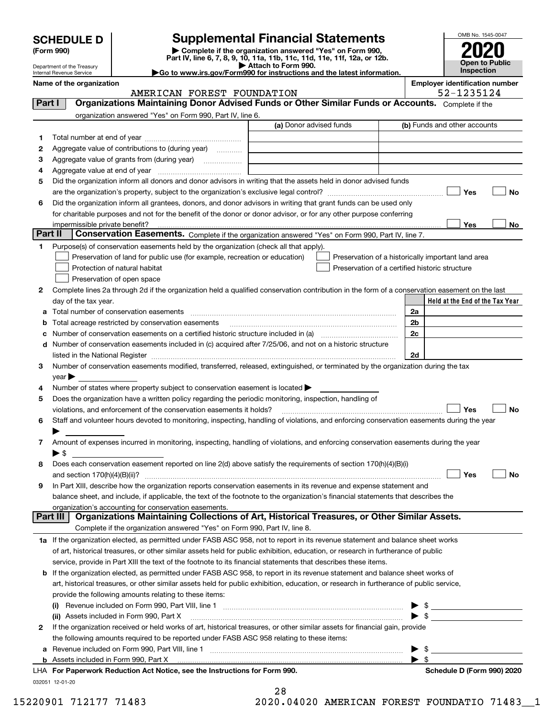| <b>SCHEDULE D</b> |  |
|-------------------|--|
|-------------------|--|

**1**

# **Supplemental Financial Statements**

(Form 990)<br>
Pepartment of the Treasury<br>
Department of the Treasury<br>
Department of the Treasury<br>
Department of the Treasury<br> **Co to www.irs.gov/Form990 for instructions and the latest information.**<br> **Co to www.irs.gov/Form9** 



Department of the Treasury Internal Revenue Service

Total number at end of year

**Name of the organization Employer identification number** (a) Donor advised funds **Yes**es No <code>Part I</code>  $|$   $|$  Organizations Maintaining Donor Advised Funds or Other Similar Funds or Accounts.  $\,$  <code>Complete</code> if the organization answered "Yes" on Form 990, Part IV, line 6. (b) Funds and other accounts  $\mathcal{L}^{\text{max}}$  $\Box$  Yes  $\Box$ AMERICAN FOREST FOUNDATION 52-1235124

| 2  | Aggregate value of contributions to (during year)                                                                                                                                                                             |                |                                 |    |
|----|-------------------------------------------------------------------------------------------------------------------------------------------------------------------------------------------------------------------------------|----------------|---------------------------------|----|
| З  | Aggregate value of grants from (during year)<br>$\overline{\phantom{a}}$                                                                                                                                                      |                |                                 |    |
| 4  |                                                                                                                                                                                                                               |                |                                 |    |
| 5  | Did the organization inform all donors and donor advisors in writing that the assets held in donor advised funds                                                                                                              |                |                                 |    |
|    |                                                                                                                                                                                                                               |                | Yes                             | No |
| 6  | Did the organization inform all grantees, donors, and donor advisors in writing that grant funds can be used only                                                                                                             |                |                                 |    |
|    | for charitable purposes and not for the benefit of the donor or donor advisor, or for any other purpose conferring                                                                                                            |                |                                 |    |
|    | impermissible private benefit?                                                                                                                                                                                                |                | Yes                             | No |
|    | Part II<br>Conservation Easements. Complete if the organization answered "Yes" on Form 990, Part IV, line 7.                                                                                                                  |                |                                 |    |
| 1. | Purpose(s) of conservation easements held by the organization (check all that apply).                                                                                                                                         |                |                                 |    |
|    | Preservation of land for public use (for example, recreation or education)<br>Preservation of a historically important land area                                                                                              |                |                                 |    |
|    | Protection of natural habitat<br>Preservation of a certified historic structure                                                                                                                                               |                |                                 |    |
|    | Preservation of open space                                                                                                                                                                                                    |                |                                 |    |
| 2  | Complete lines 2a through 2d if the organization held a qualified conservation contribution in the form of a conservation easement on the last                                                                                |                |                                 |    |
|    | day of the tax year.                                                                                                                                                                                                          |                | Held at the End of the Tax Year |    |
| а  | Total number of conservation easements                                                                                                                                                                                        | 2a             |                                 |    |
|    | Total acreage restricted by conservation easements                                                                                                                                                                            | 2 <sub>b</sub> |                                 |    |
|    | Number of conservation easements on a certified historic structure included in (a) manu-conservation exercises                                                                                                                | 2c             |                                 |    |
|    | Number of conservation easements included in (c) acquired after 7/25/06, and not on a historic structure                                                                                                                      |                |                                 |    |
|    | listed in the National Register [11, 1200] [12] The National Register [11, 1200] [12] The National Register [11, 1200] [12] The National Register [11, 1200] [12] The National Register [11, 1200] [12] The National Register | 2d             |                                 |    |
| з  | Number of conservation easements modified, transferred, released, extinguished, or terminated by the organization during the tax                                                                                              |                |                                 |    |
|    | $year \blacktriangleright$                                                                                                                                                                                                    |                |                                 |    |
| 4  | Number of states where property subject to conservation easement is located >                                                                                                                                                 |                |                                 |    |
| 5  | Does the organization have a written policy regarding the periodic monitoring, inspection, handling of                                                                                                                        |                |                                 |    |
|    | violations, and enforcement of the conservation easements it holds?                                                                                                                                                           |                | Yes                             | No |
| 6  | Staff and volunteer hours devoted to monitoring, inspecting, handling of violations, and enforcing conservation easements during the year                                                                                     |                |                                 |    |
|    |                                                                                                                                                                                                                               |                |                                 |    |
| 7  | Amount of expenses incurred in monitoring, inspecting, handling of violations, and enforcing conservation easements during the year                                                                                           |                |                                 |    |
|    | ▶ \$                                                                                                                                                                                                                          |                |                                 |    |
| 8  | Does each conservation easement reported on line 2(d) above satisfy the requirements of section 170(h)(4)(B)(i)                                                                                                               |                |                                 |    |
|    |                                                                                                                                                                                                                               |                | Yes                             | No |
| 9  | In Part XIII, describe how the organization reports conservation easements in its revenue and expense statement and                                                                                                           |                |                                 |    |
|    | balance sheet, and include, if applicable, the text of the footnote to the organization's financial statements that describes the                                                                                             |                |                                 |    |
|    | organization's accounting for conservation easements.                                                                                                                                                                         |                |                                 |    |
|    | Organizations Maintaining Collections of Art, Historical Treasures, or Other Similar Assets.<br>Part III                                                                                                                      |                |                                 |    |
|    | Complete if the organization answered "Yes" on Form 990, Part IV, line 8.                                                                                                                                                     |                |                                 |    |
|    | 1a If the organization elected, as permitted under FASB ASC 958, not to report in its revenue statement and balance sheet works                                                                                               |                |                                 |    |
|    | of art, historical treasures, or other similar assets held for public exhibition, education, or research in furtherance of public                                                                                             |                |                                 |    |
|    | service, provide in Part XIII the text of the footnote to its financial statements that describes these items.                                                                                                                |                |                                 |    |
| b  | If the organization elected, as permitted under FASB ASC 958, to report in its revenue statement and balance sheet works of                                                                                                   |                |                                 |    |
|    | art, historical treasures, or other similar assets held for public exhibition, education, or research in furtherance of public service,                                                                                       |                |                                 |    |
|    | provide the following amounts relating to these items:                                                                                                                                                                        |                |                                 |    |
|    |                                                                                                                                                                                                                               |                | \$                              |    |
|    | (ii) Assets included in Form 990, Part X                                                                                                                                                                                      |                | \$                              |    |
| 2  | If the organization received or held works of art, historical treasures, or other similar assets for financial gain, provide                                                                                                  |                |                                 |    |
|    |                                                                                                                                                                                                                               |                |                                 |    |

|   | LHA For Paperwork Reduction Act Notice, see the Instructions for Form 990.                                                   |                         | Schedule D (Form 990) 2020 |
|---|------------------------------------------------------------------------------------------------------------------------------|-------------------------|----------------------------|
|   |                                                                                                                              |                         |                            |
|   | a Revenue included on Form 990, Part VIII, line 1                                                                            | $\blacktriangleright$ s |                            |
|   | the following amounts required to be reported under FASB ASC 958 relating to these items:                                    |                         |                            |
| 2 | If the organization received or held works of art, historical treasures, or other similar assets for financial gain, provide |                         |                            |
|   | (II) Assets included in Form 990, Part X                                                                                     |                         |                            |

 $\sim$ 

032051 12-01-20

| -28 |       |  |  |  |
|-----|-------|--|--|--|
| n.  | 01000 |  |  |  |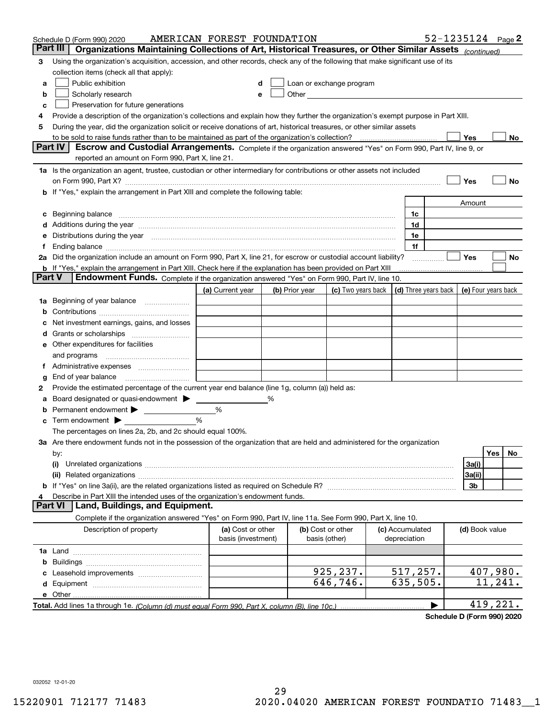|        | Schedule D (Form 990) 2020                                                                                                                                                                                                     | AMERICAN FOREST FOUNDATION |   |                |                                                                                                                                                                                                                               |                 | 52-1235124 Page 2                    |                     |                 |     |
|--------|--------------------------------------------------------------------------------------------------------------------------------------------------------------------------------------------------------------------------------|----------------------------|---|----------------|-------------------------------------------------------------------------------------------------------------------------------------------------------------------------------------------------------------------------------|-----------------|--------------------------------------|---------------------|-----------------|-----|
|        | Organizations Maintaining Collections of Art, Historical Treasures, or Other Similar Assets (continued)<br>Part III                                                                                                            |                            |   |                |                                                                                                                                                                                                                               |                 |                                      |                     |                 |     |
| 3      | Using the organization's acquisition, accession, and other records, check any of the following that make significant use of its                                                                                                |                            |   |                |                                                                                                                                                                                                                               |                 |                                      |                     |                 |     |
|        | collection items (check all that apply):                                                                                                                                                                                       |                            |   |                |                                                                                                                                                                                                                               |                 |                                      |                     |                 |     |
| a      | Public exhibition                                                                                                                                                                                                              |                            |   |                | Loan or exchange program                                                                                                                                                                                                      |                 |                                      |                     |                 |     |
| b      | Scholarly research                                                                                                                                                                                                             |                            |   |                | Other and the contract of the contract of the contract of the contract of the contract of the contract of the contract of the contract of the contract of the contract of the contract of the contract of the contract of the |                 |                                      |                     |                 |     |
| c      | Preservation for future generations                                                                                                                                                                                            |                            |   |                |                                                                                                                                                                                                                               |                 |                                      |                     |                 |     |
| 4      | Provide a description of the organization's collections and explain how they further the organization's exempt purpose in Part XIII.                                                                                           |                            |   |                |                                                                                                                                                                                                                               |                 |                                      |                     |                 |     |
| 5      | During the year, did the organization solicit or receive donations of art, historical treasures, or other similar assets                                                                                                       |                            |   |                |                                                                                                                                                                                                                               |                 |                                      |                     |                 |     |
|        | to be sold to raise funds rather than to be maintained as part of the organization's collection?                                                                                                                               |                            |   |                |                                                                                                                                                                                                                               |                 |                                      | Yes                 |                 | No. |
|        | <b>Part IV</b><br>Escrow and Custodial Arrangements. Complete if the organization answered "Yes" on Form 990, Part IV, line 9, or                                                                                              |                            |   |                |                                                                                                                                                                                                                               |                 |                                      |                     |                 |     |
|        | reported an amount on Form 990, Part X, line 21.                                                                                                                                                                               |                            |   |                |                                                                                                                                                                                                                               |                 |                                      |                     |                 |     |
|        | 1a Is the organization an agent, trustee, custodian or other intermediary for contributions or other assets not included                                                                                                       |                            |   |                |                                                                                                                                                                                                                               |                 |                                      |                     |                 |     |
|        | on Form 990, Part X? [11] matter and the contract of the contract of the contract of the contract of the contract of the contract of the contract of the contract of the contract of the contract of the contract of the contr |                            |   |                |                                                                                                                                                                                                                               |                 |                                      | Yes                 |                 | No  |
|        | <b>b</b> If "Yes," explain the arrangement in Part XIII and complete the following table:                                                                                                                                      |                            |   |                |                                                                                                                                                                                                                               |                 |                                      |                     |                 |     |
|        |                                                                                                                                                                                                                                |                            |   |                |                                                                                                                                                                                                                               |                 |                                      | Amount              |                 |     |
|        |                                                                                                                                                                                                                                |                            |   |                |                                                                                                                                                                                                                               | 1c              |                                      |                     |                 |     |
|        | Additions during the year manufactured and contain an account of the year manufactured and account of the year                                                                                                                 |                            |   |                |                                                                                                                                                                                                                               | 1d<br>1e        |                                      |                     |                 |     |
|        | Distributions during the year measurement contains and the year of the set of the set of the set of the set of                                                                                                                 |                            |   |                |                                                                                                                                                                                                                               | 1f              |                                      |                     |                 |     |
|        | 2a Did the organization include an amount on Form 990, Part X, line 21, for escrow or custodial account liability?                                                                                                             |                            |   |                |                                                                                                                                                                                                                               |                 |                                      | Yes                 |                 | No  |
|        | <b>b</b> If "Yes," explain the arrangement in Part XIII. Check here if the explanation has been provided on Part XIII                                                                                                          |                            |   |                |                                                                                                                                                                                                                               |                 |                                      |                     |                 |     |
| Part V | <b>Endowment Funds.</b> Complete if the organization answered "Yes" on Form 990, Part IV, line 10.                                                                                                                             |                            |   |                |                                                                                                                                                                                                                               |                 |                                      |                     |                 |     |
|        |                                                                                                                                                                                                                                | (a) Current year           |   | (b) Prior year | (c) Two years back                                                                                                                                                                                                            |                 | $\vert$ (d) Three years back $\vert$ | (e) Four years back |                 |     |
| 1a     | Beginning of year balance                                                                                                                                                                                                      |                            |   |                |                                                                                                                                                                                                                               |                 |                                      |                     |                 |     |
|        |                                                                                                                                                                                                                                |                            |   |                |                                                                                                                                                                                                                               |                 |                                      |                     |                 |     |
|        | Net investment earnings, gains, and losses                                                                                                                                                                                     |                            |   |                |                                                                                                                                                                                                                               |                 |                                      |                     |                 |     |
|        |                                                                                                                                                                                                                                |                            |   |                |                                                                                                                                                                                                                               |                 |                                      |                     |                 |     |
| е      | Other expenditures for facilities                                                                                                                                                                                              |                            |   |                |                                                                                                                                                                                                                               |                 |                                      |                     |                 |     |
|        | and programs                                                                                                                                                                                                                   |                            |   |                |                                                                                                                                                                                                                               |                 |                                      |                     |                 |     |
|        |                                                                                                                                                                                                                                |                            |   |                |                                                                                                                                                                                                                               |                 |                                      |                     |                 |     |
| g      | End of year balance                                                                                                                                                                                                            |                            |   |                |                                                                                                                                                                                                                               |                 |                                      |                     |                 |     |
| 2      | Provide the estimated percentage of the current year end balance (line 1g, column (a)) held as:                                                                                                                                |                            |   |                |                                                                                                                                                                                                                               |                 |                                      |                     |                 |     |
|        | Board designated or quasi-endowment                                                                                                                                                                                            |                            | % |                |                                                                                                                                                                                                                               |                 |                                      |                     |                 |     |
|        | Permanent endowment >                                                                                                                                                                                                          | %                          |   |                |                                                                                                                                                                                                                               |                 |                                      |                     |                 |     |
| с      | Term endowment $\blacktriangleright$                                                                                                                                                                                           | %                          |   |                |                                                                                                                                                                                                                               |                 |                                      |                     |                 |     |
|        | The percentages on lines 2a, 2b, and 2c should equal 100%.                                                                                                                                                                     |                            |   |                |                                                                                                                                                                                                                               |                 |                                      |                     |                 |     |
|        | 3a Are there endowment funds not in the possession of the organization that are held and administered for the organization                                                                                                     |                            |   |                |                                                                                                                                                                                                                               |                 |                                      |                     |                 |     |
|        | by:                                                                                                                                                                                                                            |                            |   |                |                                                                                                                                                                                                                               |                 |                                      |                     | Yes             | No  |
|        | (i)                                                                                                                                                                                                                            |                            |   |                |                                                                                                                                                                                                                               |                 |                                      | 3a(i)               |                 |     |
|        |                                                                                                                                                                                                                                |                            |   |                |                                                                                                                                                                                                                               |                 |                                      | 3a(ii)              |                 |     |
|        |                                                                                                                                                                                                                                |                            |   |                |                                                                                                                                                                                                                               |                 |                                      | 3b                  |                 |     |
|        | Describe in Part XIII the intended uses of the organization's endowment funds.<br>Land, Buildings, and Equipment.<br>Part VI                                                                                                   |                            |   |                |                                                                                                                                                                                                                               |                 |                                      |                     |                 |     |
|        | Complete if the organization answered "Yes" on Form 990, Part IV, line 11a. See Form 990, Part X, line 10.                                                                                                                     |                            |   |                |                                                                                                                                                                                                                               |                 |                                      |                     |                 |     |
|        | Description of property                                                                                                                                                                                                        | (a) Cost or other          |   |                | (b) Cost or other                                                                                                                                                                                                             | (c) Accumulated |                                      | (d) Book value      |                 |     |
|        |                                                                                                                                                                                                                                | basis (investment)         |   | basis (other)  |                                                                                                                                                                                                                               | depreciation    |                                      |                     |                 |     |
|        |                                                                                                                                                                                                                                |                            |   |                |                                                                                                                                                                                                                               |                 |                                      |                     |                 |     |
| b      |                                                                                                                                                                                                                                |                            |   |                |                                                                                                                                                                                                                               |                 |                                      |                     |                 |     |
|        |                                                                                                                                                                                                                                |                            |   |                | 925,237.                                                                                                                                                                                                                      | 517, 257.       |                                      |                     | <u>407,980.</u> |     |
| d      |                                                                                                                                                                                                                                |                            |   |                | 646,746.                                                                                                                                                                                                                      | 635,505.        |                                      |                     | 11,241.         |     |
|        | e Other                                                                                                                                                                                                                        |                            |   |                |                                                                                                                                                                                                                               |                 |                                      |                     |                 |     |
|        |                                                                                                                                                                                                                                |                            |   |                |                                                                                                                                                                                                                               |                 |                                      |                     | 419, 221.       |     |

**Schedule D (Form 990) 2020**

032052 12-01-20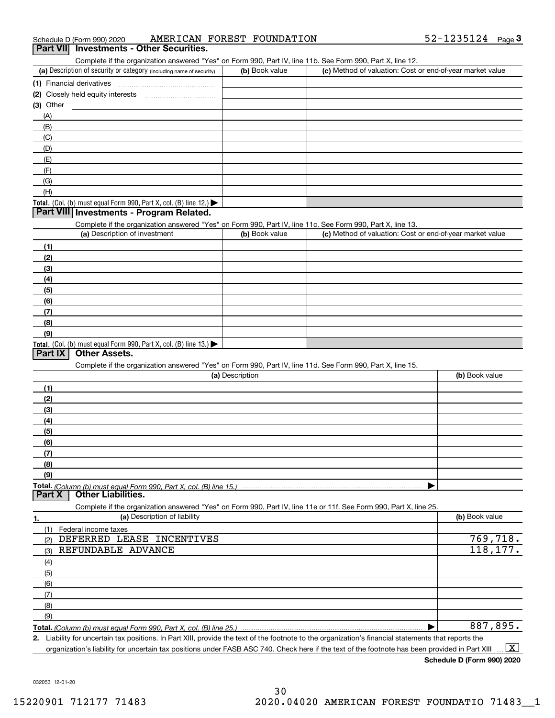| $52 - 1235124$ Page<br>AMERICAN FOREST FOUNDATION<br>Schedule D (Form 990) 2020 |  |  |
|---------------------------------------------------------------------------------|--|--|
|---------------------------------------------------------------------------------|--|--|

### (a) Description of security or category (including name of security)  $\vert$  (b) Book value  $\vert$  (c) Total. (Col. (b) must equal Form 990, Part X, col. (B) line 12.) **(1)** Financial derivatives ~~~~~~~~~~~~~~~ **(2)** Closely held equity interests ~~~~~~~~~~~ **(3)** Other (a) Description of investment **b (b)** Book value **(1)(2) (3)(4)** Complete if the organization answered "Yes" on Form 990, Part IV, line 11b. See Form 990, Part X, line 12.  $(b)$  Book value  $\vert$  (c) Method of valuation: Cost or end-of-year market value (A)(B)(C)(D)(E)(F)(G)(H)Complete if the organization answered "Yes" on Form 990, Part IV, line 11c. See Form 990, Part X, line 13. (c) Method of valuation: Cost or end-of-year market value **Part VII Investments - Other Securities. Part VIII Investments - Program Related.**

**(5)(6)(7) (8)(9)**

# Total. (Col. (b) must equal Form 990, Part X, col. (B) line 13.)

# **Part IX Other Assets.**

Complete if the organization answered "Yes" on Form 990, Part IV, line 11d. See Form 990, Part X, line 15.

| (a) Description                                                                                                   | (b) Book value |
|-------------------------------------------------------------------------------------------------------------------|----------------|
| (1)                                                                                                               |                |
| (2)                                                                                                               |                |
| (3)                                                                                                               |                |
| (4)                                                                                                               |                |
| (5)                                                                                                               |                |
| (6)                                                                                                               |                |
| (7)                                                                                                               |                |
| (8)                                                                                                               |                |
| (9)                                                                                                               |                |
|                                                                                                                   |                |
| <b>Other Liabilities.</b><br><b>Part X</b>                                                                        |                |
| Complete if the organization answered "Yes" on Form 990, Part IV, line 11e or 11f. See Form 990, Part X, line 25. |                |
| (a) Description of liability<br>1.                                                                                | (b) Book value |
|                                                                                                                   |                |

| Federal income taxes<br>(1)      |           |
|----------------------------------|-----------|
| DEFERRED LEASE INCENTIVES<br>(2) | 769,718.  |
| REFUNDABLE ADVANCE<br>(3)        | 118, 177. |
| (4)                              |           |
| (5)                              |           |
| (6)                              |           |
| (7)                              |           |
| (8)                              |           |
| (9)                              |           |
|                                  | 887,895.  |

**2.** Liability for uncertain tax positions. In Part XIII, provide the text of the footnote to the organization's financial statements that reports the

organization's liability for uncertain tax positions under FASB ASC 740. Check here if the text of the footnote has been provided in Part XIII  $\boxed{\text{X}}$ 

**Schedule D (Form 990) 2020**

032053 12-01-20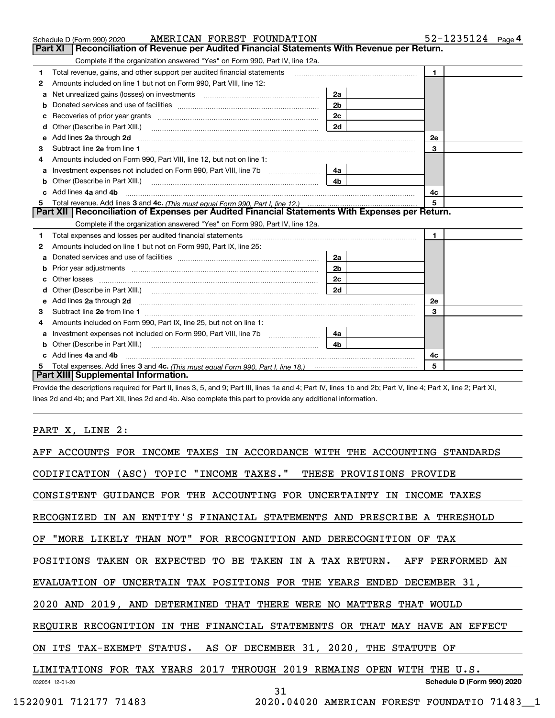|    | AMERICAN FOREST FOUNDATION<br>Schedule D (Form 990) 2020                                                                                                                                                                            |                | 52-1235124<br>Page 4 |
|----|-------------------------------------------------------------------------------------------------------------------------------------------------------------------------------------------------------------------------------------|----------------|----------------------|
|    | Reconciliation of Revenue per Audited Financial Statements With Revenue per Return.<br>Part XI                                                                                                                                      |                |                      |
|    | Complete if the organization answered "Yes" on Form 990, Part IV, line 12a.                                                                                                                                                         |                |                      |
| 1  | Total revenue, gains, and other support per audited financial statements                                                                                                                                                            |                | $\blacksquare$       |
| 2  | Amounts included on line 1 but not on Form 990, Part VIII, line 12:                                                                                                                                                                 |                |                      |
| a  | Net unrealized gains (losses) on investments [11] matter contracts and the unrealized gains (losses) on investments                                                                                                                 | 2a             |                      |
|    |                                                                                                                                                                                                                                     | 2 <sub>b</sub> |                      |
|    | Recoveries of prior year grants [11] Recoveries of prior year grants [11] Recoveries of prior year grants                                                                                                                           | 2c             |                      |
| d  |                                                                                                                                                                                                                                     | 2d             |                      |
| е  | Add lines 2a through 2d <b>minimum contained a contract and a</b> contract a contract of the contract of the contract of the contract of the contract of the contract of the contract of the contract of the contract of the contra |                | <b>2e</b>            |
| 3  |                                                                                                                                                                                                                                     |                | 3                    |
| 4  | Amounts included on Form 990. Part VIII, line 12, but not on line 1:                                                                                                                                                                |                |                      |
|    |                                                                                                                                                                                                                                     | 4a             |                      |
| b  | Other (Describe in Part XIII.) <b>2006</b> 2007 2010 2010 2010 2010 2011 2012 2013 2014 2015 2016 2017 2018 2019 2016 2016 2017 2018 2019 2016 2017 2018 2019 2016 2017 2018 2019 2018 2019 2016 2017 2018 2019 2018 2019 2018 2019 | 4 <sub>b</sub> |                      |
| C. | Add lines 4a and 4b                                                                                                                                                                                                                 |                | 4c                   |
|    |                                                                                                                                                                                                                                     |                | 5                    |
|    | Part XII   Reconciliation of Expenses per Audited Financial Statements With Expenses per Return.                                                                                                                                    |                |                      |
|    | Complete if the organization answered "Yes" on Form 990, Part IV, line 12a.                                                                                                                                                         |                |                      |
| 1  | Total expenses and losses per audited financial statements [11] [12] contraction control in the statements [15] [15] and the statements [15] and the statements [15] and the statements and the statements and the statements       |                | $\mathbf{1}$         |
| 2  | Amounts included on line 1 but not on Form 990, Part IX, line 25:                                                                                                                                                                   |                |                      |
| a  |                                                                                                                                                                                                                                     | 2a             |                      |
|    |                                                                                                                                                                                                                                     | 2 <sub>b</sub> |                      |
| c  |                                                                                                                                                                                                                                     | 2c             |                      |
|    |                                                                                                                                                                                                                                     | 2d             |                      |
| е  | Add lines 2a through 2d <b>contained a contained a contained a contained a</b> contained a contained a contained a contained a contained a contained a contained a contained a contained a contained a contained a contained a cont |                | 2e                   |
| 3  |                                                                                                                                                                                                                                     |                | 3                    |
| 4  | Amounts included on Form 990, Part IX, line 25, but not on line 1:                                                                                                                                                                  |                |                      |
| a  |                                                                                                                                                                                                                                     | 4a l           |                      |
| b  |                                                                                                                                                                                                                                     | 4b             |                      |
|    | Add lines 4a and 4b                                                                                                                                                                                                                 |                | 4c                   |
|    |                                                                                                                                                                                                                                     |                | 5                    |
|    | Part XIII Supplemental Information.                                                                                                                                                                                                 |                |                      |

Provide the descriptions required for Part II, lines 3, 5, and 9; Part III, lines 1a and 4; Part IV, lines 1b and 2b; Part V, line 4; Part X, line 2; Part XI, lines 2d and 4b; and Part XII, lines 2d and 4b. Also complete this part to provide any additional information.

PART X, LINE 2:

|                       | AFF ACCOUNTS FOR INCOME TAXES IN ACCORDANCE WITH THE ACCOUNTING STANDARDS  |
|-----------------------|----------------------------------------------------------------------------|
|                       | CODIFICATION (ASC) TOPIC "INCOME TAXES." THESE PROVISIONS PROVIDE          |
|                       | CONSISTENT GUIDANCE FOR THE ACCOUNTING FOR UNCERTAINTY IN INCOME TAXES     |
|                       | RECOGNIZED IN AN ENTITY'S FINANCIAL STATEMENTS AND PRESCRIBE A THRESHOLD   |
|                       | OF "MORE LIKELY THAN NOT" FOR RECOGNITION AND DERECOGNITION OF TAX         |
|                       | POSITIONS TAKEN OR EXPECTED TO BE TAKEN IN A TAX RETURN. AFF PERFORMED AN  |
|                       | EVALUATION OF UNCERTAIN TAX POSITIONS FOR THE YEARS ENDED DECEMBER 31,     |
|                       |                                                                            |
|                       | 2020 AND 2019, AND DETERMINED THAT THERE WERE NO MATTERS THAT WOULD        |
|                       | REQUIRE RECOGNITION IN THE FINANCIAL STATEMENTS OR THAT MAY HAVE AN EFFECT |
|                       | ON ITS TAX-EXEMPT STATUS. AS OF DECEMBER 31, 2020, THE STATUTE OF          |
|                       | LIMITATIONS FOR TAX YEARS 2017 THROUGH 2019 REMAINS OPEN WITH THE U.S.     |
| 032054 12-01-20       | Schedule D (Form 990) 2020<br>31                                           |
| 15220901 712177 71483 | 2020.04020 AMERICAN FOREST FOUNDATIO 71483 1                               |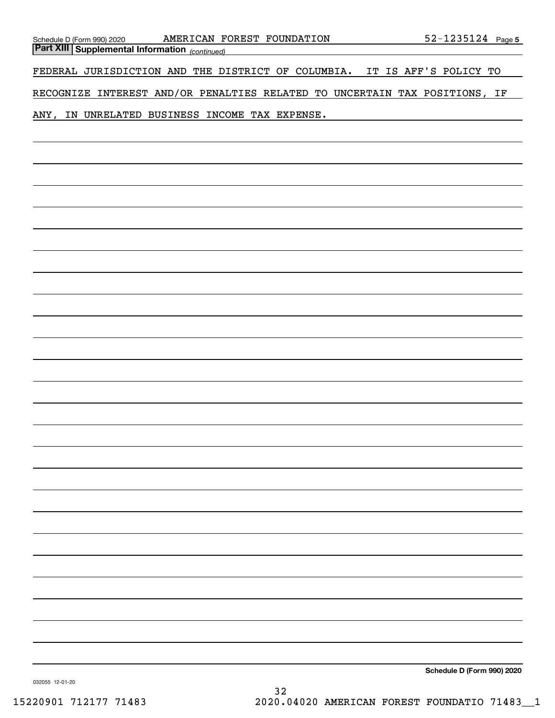*(continued)* **Part XIII Supplemental Information** 

FEDERAL JURISDICTION AND THE DISTRICT OF COLUMBIA. IT IS AFF'S POLICY TO

RECOGNIZE INTEREST AND/OR PENALTIES RELATED TO UNCERTAIN TAX POSITIONS, IF

#### ANY, IN UNRELATED BUSINESS INCOME TAX EXPENSE.

**Schedule D (Form 990) 2020**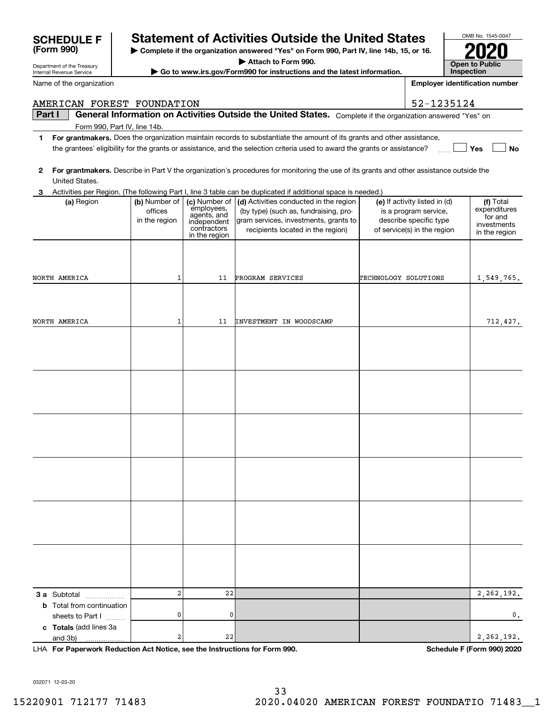| (a) Region                                                                                 | (b) Number of<br>offices<br>in the region | employees,<br>agents, and<br>independent<br>contractors<br>in the region | (c) Number of $\vert$ (d) Activities conducted in the region<br>(by type) (such as, fundraising, pro-<br>gram services, investments, grants to<br>recipients located in the region) | (e) If activity listed in (d)<br>is a program service,<br>describe specific type<br>of service(s) in the region | (f) Total<br>expenditures<br>for and<br>investments<br>in the region |
|--------------------------------------------------------------------------------------------|-------------------------------------------|--------------------------------------------------------------------------|-------------------------------------------------------------------------------------------------------------------------------------------------------------------------------------|-----------------------------------------------------------------------------------------------------------------|----------------------------------------------------------------------|
|                                                                                            |                                           |                                                                          |                                                                                                                                                                                     |                                                                                                                 |                                                                      |
| NORTH AMERICA                                                                              | 1                                         | 11                                                                       | PROGRAM SERVICES                                                                                                                                                                    | TECHNOLOGY SOLUTIONS                                                                                            | 1,549,765.                                                           |
|                                                                                            |                                           |                                                                          |                                                                                                                                                                                     |                                                                                                                 |                                                                      |
| NORTH AMERICA                                                                              | $\mathbf 1$                               | 11                                                                       | <b>INVESTMENT IN WOODSCAMP</b>                                                                                                                                                      |                                                                                                                 | 712, 427.                                                            |
|                                                                                            |                                           |                                                                          |                                                                                                                                                                                     |                                                                                                                 |                                                                      |
|                                                                                            |                                           |                                                                          |                                                                                                                                                                                     |                                                                                                                 |                                                                      |
|                                                                                            |                                           |                                                                          |                                                                                                                                                                                     |                                                                                                                 |                                                                      |
|                                                                                            |                                           |                                                                          |                                                                                                                                                                                     |                                                                                                                 |                                                                      |
|                                                                                            |                                           |                                                                          |                                                                                                                                                                                     |                                                                                                                 |                                                                      |
|                                                                                            |                                           |                                                                          |                                                                                                                                                                                     |                                                                                                                 |                                                                      |
|                                                                                            |                                           |                                                                          |                                                                                                                                                                                     |                                                                                                                 |                                                                      |
|                                                                                            |                                           |                                                                          |                                                                                                                                                                                     |                                                                                                                 |                                                                      |
|                                                                                            |                                           |                                                                          |                                                                                                                                                                                     |                                                                                                                 |                                                                      |
|                                                                                            |                                           |                                                                          |                                                                                                                                                                                     |                                                                                                                 |                                                                      |
| <b>3 a</b> Subtotal                                                                        | $\mathbf 2$                               | 22                                                                       |                                                                                                                                                                                     |                                                                                                                 | 2, 262, 192.                                                         |
| <b>b</b> Total from continuation<br>sheets to Part I                                       | 0                                         | 0                                                                        |                                                                                                                                                                                     |                                                                                                                 | 0.                                                                   |
| c Totals (add lines 3a                                                                     |                                           |                                                                          |                                                                                                                                                                                     |                                                                                                                 |                                                                      |
| and 3b)<br>.<br>LHA For Paperwork Reduction Act Notice, see the Instructions for Form 990. | 2                                         | 22                                                                       |                                                                                                                                                                                     |                                                                                                                 | 2,262,192.<br>Schedule F (Form 990) 2020                             |
|                                                                                            |                                           |                                                                          |                                                                                                                                                                                     |                                                                                                                 |                                                                      |
| 032071 12-03-20                                                                            |                                           |                                                                          | 33                                                                                                                                                                                  |                                                                                                                 |                                                                      |

15220901 712177 71483 2020.04020 AMERICAN FOREST FOUNDATIO 71483\_\_1

the grantees' eligibility for the grants or assistance, and the selection criteria used to award the grants or assistance?

**1For grantmakers.**  Does the organization maintain records to substantiate the amount of its grants and other assistance,

| 2 For grantmakers. Describe in Part V the organization's procedures for monitoring the use of its grants and other assistance outside the |
|-------------------------------------------------------------------------------------------------------------------------------------------|
| United States.                                                                                                                            |

|  | 3 Activities per Region. (The following Part I. line 3 table can be duplicated if additional space is needed.) |  |  |
|--|----------------------------------------------------------------------------------------------------------------|--|--|
|  |                                                                                                                |  |  |

|        | AMERICAN FOREST FOUNDATION                                                                                  | 52-1235124 |  |
|--------|-------------------------------------------------------------------------------------------------------------|------------|--|
| Part I | General Information on Activities Outside the United States. Complete if the organization answered "Yes" on |            |  |

| <b>Statement of Activities Outside the United States</b>                                 |
|------------------------------------------------------------------------------------------|
| • Complete if the organization answered "Yes" on Form 990, Part IV, line 14b, 15, or 16. |

**| Attach to Form 990. | Go to www.irs.gov/Form990 for instructions and the latest information.**

# Name of the organization

Form 990, Part IV, line 14b.

**(Form 990) SCHEDULE F** 

Department of the Treasury Internal Revenue Service

52-1235124

| OMB No. 1545-0047                   |
|-------------------------------------|
|                                     |
| Open to Public<br><b>Inspection</b> |

**Yes No**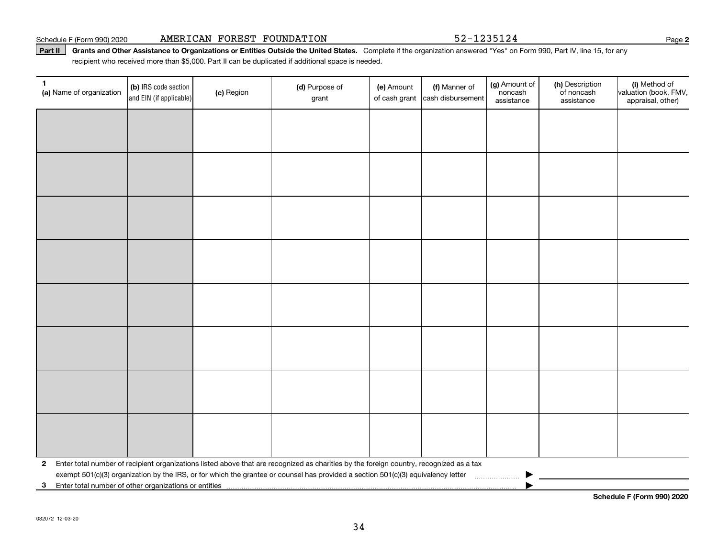#### Schedule F (Form 990) 2020 **AMERICAN FOREST FOUNDATION** 52-1235124

#### Part II | Grants and Other Assistance to Organizations or Entities Outside the United States. Complete if the organization answered "Yes" on Form 990, Part IV, line 15, for any recipient who received more than \$5,000. Part II can be duplicated if additional space is needed.

| 1<br>(a) Name of organization | (b) IRS code section<br>and EIN (if applicable) | (c) Region | (d) Purpose of<br>grant                                                                                                                 | (e) Amount<br>of cash grant | (f) Manner of<br>cash disbursement | (g) Amount of<br>noncash<br>assistance | (h) Description<br>of noncash<br>assistance | (i) Method of<br>valuation (book, FMV,<br>appraisal, other) |
|-------------------------------|-------------------------------------------------|------------|-----------------------------------------------------------------------------------------------------------------------------------------|-----------------------------|------------------------------------|----------------------------------------|---------------------------------------------|-------------------------------------------------------------|
|                               |                                                 |            |                                                                                                                                         |                             |                                    |                                        |                                             |                                                             |
|                               |                                                 |            |                                                                                                                                         |                             |                                    |                                        |                                             |                                                             |
|                               |                                                 |            |                                                                                                                                         |                             |                                    |                                        |                                             |                                                             |
|                               |                                                 |            |                                                                                                                                         |                             |                                    |                                        |                                             |                                                             |
|                               |                                                 |            |                                                                                                                                         |                             |                                    |                                        |                                             |                                                             |
|                               |                                                 |            |                                                                                                                                         |                             |                                    |                                        |                                             |                                                             |
|                               |                                                 |            |                                                                                                                                         |                             |                                    |                                        |                                             |                                                             |
|                               |                                                 |            |                                                                                                                                         |                             |                                    |                                        |                                             |                                                             |
|                               |                                                 |            |                                                                                                                                         |                             |                                    |                                        |                                             |                                                             |
|                               |                                                 |            |                                                                                                                                         |                             |                                    |                                        |                                             |                                                             |
|                               |                                                 |            |                                                                                                                                         |                             |                                    |                                        |                                             |                                                             |
|                               |                                                 |            |                                                                                                                                         |                             |                                    |                                        |                                             |                                                             |
|                               |                                                 |            |                                                                                                                                         |                             |                                    |                                        |                                             |                                                             |
|                               |                                                 |            |                                                                                                                                         |                             |                                    |                                        |                                             |                                                             |
|                               |                                                 |            |                                                                                                                                         |                             |                                    |                                        |                                             |                                                             |
|                               |                                                 |            |                                                                                                                                         |                             |                                    |                                        |                                             |                                                             |
| $\mathbf{2}$                  |                                                 |            | Enter total number of recipient organizations listed above that are recognized as charities by the foreign country, recognized as a tax |                             |                                    |                                        |                                             |                                                             |
|                               |                                                 |            |                                                                                                                                         |                             |                                    |                                        |                                             |                                                             |
| $\mathbf{3}$                  |                                                 |            |                                                                                                                                         |                             |                                    |                                        |                                             |                                                             |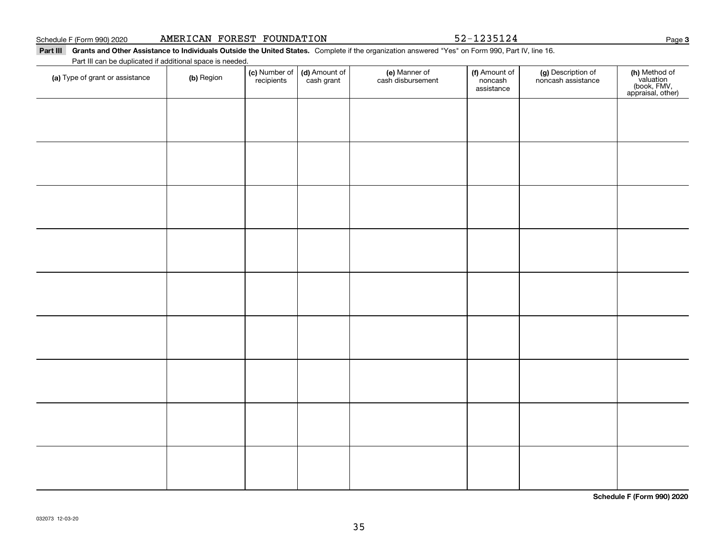| AMERICAN FOREST FOUNDATION |  |  |  |
|----------------------------|--|--|--|
|----------------------------|--|--|--|

52-1235124

Part III Grants and Other Assistance to Individuals Outside the United States. Complete if the organization answered "Yes" on Form 990, Part IV, line 16. Part III can be duplicated if additional space is needed.

| Fait in carrier duplicated in additional space is needed.<br>(a) Type of grant or assistance | (b) Region | (c) Number of<br>recipients | (d) Amount of<br>cash grant | (e) Manner of<br>cash disbursement | (f) Amount of<br>noncash<br>assistance | (g) Description of<br>noncash assistance | (h) Method of<br>valuation<br>(book, FMV,<br>appraisal, other) |
|----------------------------------------------------------------------------------------------|------------|-----------------------------|-----------------------------|------------------------------------|----------------------------------------|------------------------------------------|----------------------------------------------------------------|
|                                                                                              |            |                             |                             |                                    |                                        |                                          |                                                                |
|                                                                                              |            |                             |                             |                                    |                                        |                                          |                                                                |
|                                                                                              |            |                             |                             |                                    |                                        |                                          |                                                                |
|                                                                                              |            |                             |                             |                                    |                                        |                                          |                                                                |
|                                                                                              |            |                             |                             |                                    |                                        |                                          |                                                                |
|                                                                                              |            |                             |                             |                                    |                                        |                                          |                                                                |
|                                                                                              |            |                             |                             |                                    |                                        |                                          |                                                                |
|                                                                                              |            |                             |                             |                                    |                                        |                                          |                                                                |
|                                                                                              |            |                             |                             |                                    |                                        |                                          |                                                                |
|                                                                                              |            |                             |                             |                                    |                                        |                                          |                                                                |
|                                                                                              |            |                             |                             |                                    |                                        |                                          |                                                                |

**Schedule F (Form 990) 2020**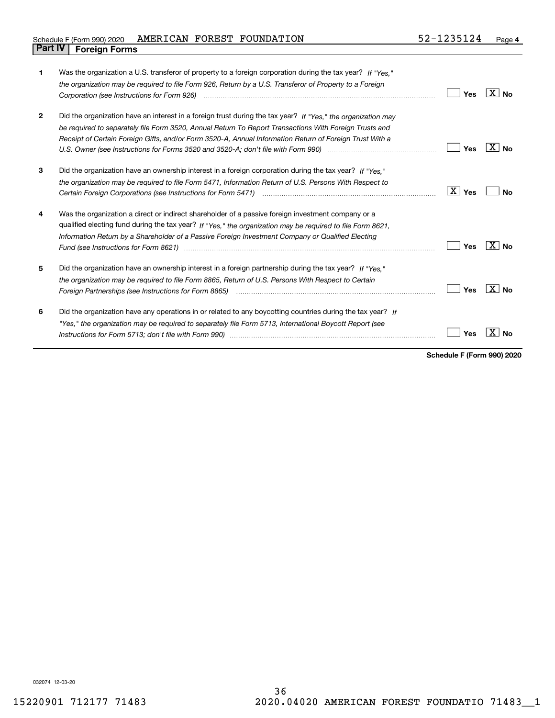| 1            | Was the organization a U.S. transferor of property to a foreign corporation during the tax year? If "Yes."<br>the organization may be required to file Form 926, Return by a U.S. Transferor of Property to a Foreign                                                                                                                                                                                                                                         | Yes        | $ \overline{X} $ No |
|--------------|---------------------------------------------------------------------------------------------------------------------------------------------------------------------------------------------------------------------------------------------------------------------------------------------------------------------------------------------------------------------------------------------------------------------------------------------------------------|------------|---------------------|
| $\mathbf{2}$ | Did the organization have an interest in a foreign trust during the tax year? If "Yes." the organization may<br>be required to separately file Form 3520, Annual Return To Report Transactions With Foreign Trusts and<br>Receipt of Certain Foreign Gifts, and/or Form 3520-A, Annual Information Return of Foreign Trust With a<br>U.S. Owner (see Instructions for Forms 3520 and 3520-A; don't file with Form 990) <i>manual community community of t</i> | <b>Yes</b> | $X \mid N_{0}$      |
| 3            | Did the organization have an ownership interest in a foreign corporation during the tax year? If "Yes."<br>the organization may be required to file Form 5471, Information Return of U.S. Persons With Respect to                                                                                                                                                                                                                                             | X  <br>Yes | Nο                  |
| 4            | Was the organization a direct or indirect shareholder of a passive foreign investment company or a<br>qualified electing fund during the tax year? If "Yes," the organization may be required to file Form 8621,<br>Information Return by a Shareholder of a Passive Foreign Investment Company or Qualified Electing<br>Fund (see Instructions for Form 8621) manufactured control to the control of the control of the control of the                       | Yes        | ΧI<br><b>No</b>     |
| 5            | Did the organization have an ownership interest in a foreign partnership during the tax year? If "Yes."<br>the organization may be required to file Form 8865, Return of U.S. Persons With Respect to Certain<br>Foreign Partnerships (see Instructions for Form 8865)                                                                                                                                                                                        | Yes        | $X N_0$             |
| 6            | Did the organization have any operations in or related to any boycotting countries during the tax year? If<br>"Yes," the organization may be required to separately file Form 5713, International Boycott Report (see                                                                                                                                                                                                                                         | Yes        |                     |

**Schedule F (Form 990) 2020**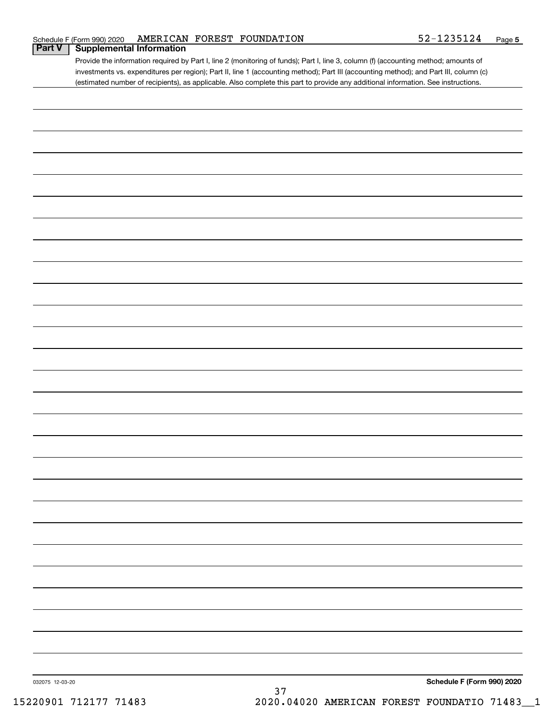| Schedule F (Form 990) 2020 |                                          |  | AMERICAN FOREST FOUNDATION | 52-1235124 | Page 5 |
|----------------------------|------------------------------------------|--|----------------------------|------------|--------|
|                            | <b>Part V</b>   Supplemental Information |  |                            |            |        |

| Provide the information required by Part I, line 2 (monitoring of funds); Part I, line 3, column (f) (accounting method; amounts of   |
|---------------------------------------------------------------------------------------------------------------------------------------|
| investments vs. expenditures per region); Part II, line 1 (accounting method); Part III (accounting method); and Part III, column (c) |
| (estimated number of recipients), as applicable. Also complete this part to provide any additional information. See instructions.     |

| 032075 12-03-20<br>15220901 712177 71483 |  |  |  | Schedule F (Form 990) 2020<br>37<br>2020.04020 AMERICAN FOREST FOUNDATIO 71483_1 |
|------------------------------------------|--|--|--|----------------------------------------------------------------------------------|
|                                          |  |  |  |                                                                                  |
|                                          |  |  |  |                                                                                  |
|                                          |  |  |  |                                                                                  |
|                                          |  |  |  |                                                                                  |
|                                          |  |  |  |                                                                                  |
|                                          |  |  |  |                                                                                  |
|                                          |  |  |  |                                                                                  |
|                                          |  |  |  |                                                                                  |
|                                          |  |  |  |                                                                                  |
|                                          |  |  |  |                                                                                  |
|                                          |  |  |  |                                                                                  |
|                                          |  |  |  |                                                                                  |
|                                          |  |  |  |                                                                                  |
|                                          |  |  |  |                                                                                  |
|                                          |  |  |  |                                                                                  |
|                                          |  |  |  |                                                                                  |
|                                          |  |  |  |                                                                                  |
|                                          |  |  |  |                                                                                  |
|                                          |  |  |  |                                                                                  |
|                                          |  |  |  |                                                                                  |
|                                          |  |  |  |                                                                                  |
|                                          |  |  |  |                                                                                  |
|                                          |  |  |  |                                                                                  |
|                                          |  |  |  |                                                                                  |
|                                          |  |  |  |                                                                                  |
|                                          |  |  |  |                                                                                  |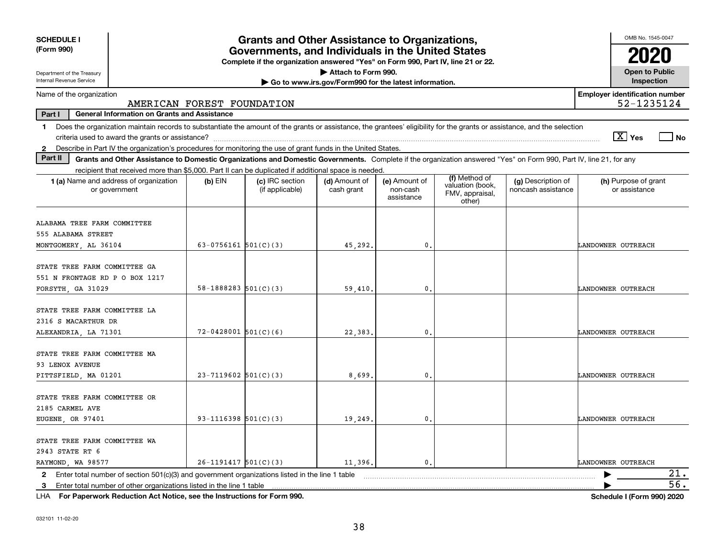| <b>SCHEDULE I</b>                                                                                                                                                              |                            | <b>Grants and Other Assistance to Organizations,</b> |                                                       |                                         |                                               |                                          | OMB No. 1545-0047                                   |  |  |
|--------------------------------------------------------------------------------------------------------------------------------------------------------------------------------|----------------------------|------------------------------------------------------|-------------------------------------------------------|-----------------------------------------|-----------------------------------------------|------------------------------------------|-----------------------------------------------------|--|--|
| (Form 990)                                                                                                                                                                     |                            | Governments, and Individuals in the United States    |                                                       |                                         |                                               |                                          | 2020                                                |  |  |
| Complete if the organization answered "Yes" on Form 990, Part IV, line 21 or 22.<br>Attach to Form 990.<br>Department of the Treasury                                          |                            |                                                      |                                                       |                                         |                                               |                                          |                                                     |  |  |
| Internal Revenue Service                                                                                                                                                       |                            |                                                      | Go to www.irs.gov/Form990 for the latest information. |                                         |                                               |                                          | <b>Open to Public</b><br>Inspection                 |  |  |
| Name of the organization<br>AMERICAN FOREST FOUNDATION                                                                                                                         |                            |                                                      |                                                       |                                         |                                               |                                          | <b>Employer identification number</b><br>52-1235124 |  |  |
| Part I<br><b>General Information on Grants and Assistance</b>                                                                                                                  |                            |                                                      |                                                       |                                         |                                               |                                          |                                                     |  |  |
| Does the organization maintain records to substantiate the amount of the grants or assistance, the grantees' eligibility for the grants or assistance, and the selection<br>1. |                            |                                                      |                                                       |                                         |                                               |                                          |                                                     |  |  |
|                                                                                                                                                                                |                            |                                                      |                                                       |                                         |                                               |                                          | $\sqrt{X}$ Yes<br>  No                              |  |  |
| 2 Describe in Part IV the organization's procedures for monitoring the use of grant funds in the United States.                                                                |                            |                                                      |                                                       |                                         |                                               |                                          |                                                     |  |  |
| Part II<br>Grants and Other Assistance to Domestic Organizations and Domestic Governments. Complete if the organization answered "Yes" on Form 990, Part IV, line 21, for any  |                            |                                                      |                                                       |                                         |                                               |                                          |                                                     |  |  |
| recipient that received more than \$5,000. Part II can be duplicated if additional space is needed.                                                                            |                            |                                                      |                                                       |                                         | (f) Method of                                 |                                          |                                                     |  |  |
| 1 (a) Name and address of organization<br>or government                                                                                                                        | $(b)$ EIN                  | (c) IRC section<br>(if applicable)                   | (d) Amount of<br>cash grant                           | (e) Amount of<br>non-cash<br>assistance | valuation (book,<br>FMV, appraisal,<br>other) | (g) Description of<br>noncash assistance | (h) Purpose of grant<br>or assistance               |  |  |
| ALABAMA TREE FARM COMMITTEE<br>555 ALABAMA STREET                                                                                                                              |                            |                                                      |                                                       |                                         |                                               |                                          |                                                     |  |  |
| MONTGOMERY AL 36104                                                                                                                                                            | 63-0756161 $501(C)(3)$     |                                                      | 45,292.                                               | $\mathbf{0}$ .                          |                                               |                                          | LANDOWNER OUTREACH                                  |  |  |
| STATE TREE FARM COMMITTEE GA<br>551 N FRONTAGE RD P O BOX 1217<br>FORSYTH, GA 31029                                                                                            | $58 - 1888283$ $501(C)(3)$ |                                                      | 59,410.                                               | $\mathbf{0}$                            |                                               |                                          | LANDOWNER OUTREACH                                  |  |  |
| STATE TREE FARM COMMITTEE LA<br>2316 S MACARTHUR DR<br>ALEXANDRIA, LA 71301                                                                                                    | $72 - 0428001$ 501(C)(6)   |                                                      | 22,383,                                               | $\mathbf{0}$                            |                                               |                                          | LANDOWNER OUTREACH                                  |  |  |
| STATE TREE FARM COMMITTEE MA<br>93 LENOX AVENUE<br>PITTSFIELD, MA 01201                                                                                                        | $23 - 7119602$ 501(C)(3)   |                                                      | 8,699                                                 | $\mathbf{0}$                            |                                               |                                          | LANDOWNER OUTREACH                                  |  |  |
| STATE TREE FARM COMMITTEE OR<br>2185 CARMEL AVE<br>EUGENE, OR 97401                                                                                                            | $93 - 1116398$ $501(C)(3)$ |                                                      | 19,249                                                | $\mathbf{0}$                            |                                               |                                          | LANDOWNER OUTREACH                                  |  |  |
| STATE TREE FARM COMMITTEE WA<br>2943 STATE RT 6<br>RAYMOND, WA 98577                                                                                                           | $26-1191417$ $501(C)(3)$   |                                                      | 11,396.                                               | $\mathbf 0$ .                           |                                               |                                          | LANDOWNER OUTREACH                                  |  |  |
| 2 Enter total number of section 501(c)(3) and government organizations listed in the line 1 table                                                                              |                            |                                                      |                                                       |                                         |                                               |                                          | 21.                                                 |  |  |
| Enter total number of other organizations listed in the line 1 table<br>3.                                                                                                     |                            |                                                      |                                                       |                                         |                                               |                                          | $\overline{56}$ .                                   |  |  |

**For Paperwork Reduction Act Notice, see the Instructions for Form 990. Schedule I (Form 990) 2020** LHA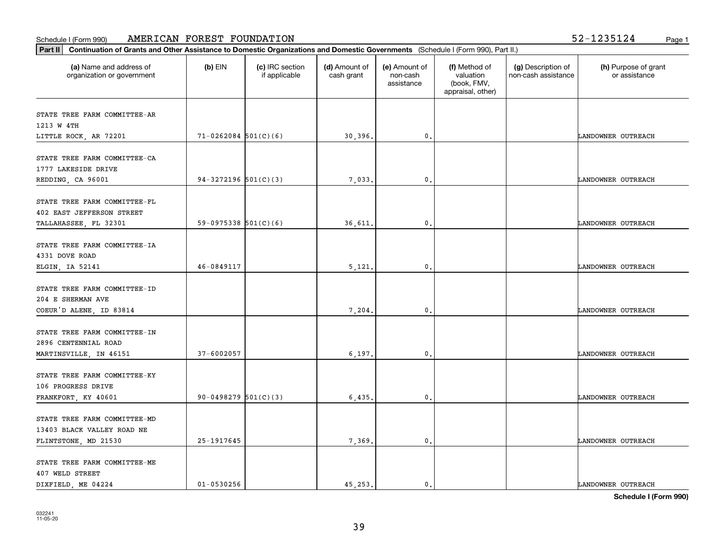**Part II Continuation of Grants and Other Assistance to Domestic Organizations and Domestic Governments**  (Schedule I (Form 990), Part II.)

| (a) Name and address of<br>organization or government                     | (b) EIN                | (c) IRC section<br>if applicable | (d) Amount of<br>cash grant | (e) Amount of<br>non-cash<br>assistance | (f) Method of<br>valuation<br>(book, FMV,<br>appraisal, other) | (g) Description of<br>non-cash assistance | (h) Purpose of grant<br>or assistance |
|---------------------------------------------------------------------------|------------------------|----------------------------------|-----------------------------|-----------------------------------------|----------------------------------------------------------------|-------------------------------------------|---------------------------------------|
| STATE TREE FARM COMMITTEE-AR                                              |                        |                                  |                             |                                         |                                                                |                                           |                                       |
| 1213 W 4TH                                                                |                        |                                  |                             |                                         |                                                                |                                           |                                       |
| LITTLE ROCK, AR 72201                                                     | $71-0262084$ 501(C)(6) |                                  | 30,396.                     | $\mathbf{0}$ .                          |                                                                |                                           | LANDOWNER OUTREACH                    |
| STATE TREE FARM COMMITTEE-CA<br>1777 LAKESIDE DRIVE                       |                        |                                  |                             |                                         |                                                                |                                           |                                       |
| REDDING, CA 96001                                                         | $94-3272196$ 501(C)(3) |                                  | 7,033.                      | 0.                                      |                                                                |                                           | <b>LANDOWNER OUTREACH</b>             |
| STATE TREE FARM COMMITTEE-FL<br>402 EAST JEFFERSON STREET                 |                        |                                  |                             |                                         |                                                                |                                           |                                       |
| TALLAHASSEE, FL 32301                                                     | 59-0975338 $501(C)(6)$ |                                  | 36,611.                     | 0.                                      |                                                                |                                           | LANDOWNER OUTREACH                    |
| STATE TREE FARM COMMITTEE-IA<br>4331 DOVE ROAD                            |                        |                                  |                             |                                         |                                                                |                                           |                                       |
| ELGIN, IA 52141                                                           | 46-0849117             |                                  | 5,121.                      | 0.                                      |                                                                |                                           | <b>LANDOWNER OUTREACH</b>             |
| STATE TREE FARM COMMITTEE-ID<br>204 E SHERMAN AVE                         |                        |                                  |                             |                                         |                                                                |                                           |                                       |
| COEUR'D ALENE, ID 83814                                                   |                        |                                  | 7,204.                      | 0.                                      |                                                                |                                           | LANDOWNER OUTREACH                    |
| STATE TREE FARM COMMITTEE-IN<br>2896 CENTENNIAL ROAD                      | 37-6002057             |                                  |                             |                                         |                                                                |                                           |                                       |
| MARTINSVILLE, IN 46151                                                    |                        |                                  | 6,197.                      | $\mathsf{0}\,$ .                        |                                                                |                                           | LANDOWNER OUTREACH                    |
| STATE TREE FARM COMMITTEE-KY<br>106 PROGRESS DRIVE<br>FRANKFORT, KY 40601 | 90-0498279 $501(C)(3)$ |                                  | 6,435.                      | $\mathbf 0$ .                           |                                                                |                                           | <b>LANDOWNER OUTREACH</b>             |
|                                                                           |                        |                                  |                             |                                         |                                                                |                                           |                                       |
| STATE TREE FARM COMMITTEE-MD<br>13403 BLACK VALLEY ROAD NE                |                        |                                  |                             |                                         |                                                                |                                           |                                       |
| FLINTSTONE, MD 21530                                                      | 25-1917645             |                                  | 7,369.                      | $\mathbf{0}$ .                          |                                                                |                                           | LANDOWNER OUTREACH                    |
| STATE TREE FARM COMMITTEE-ME<br>407 WELD STREET                           |                        |                                  |                             |                                         |                                                                |                                           |                                       |

**Schedule I (Form 990)**

DIXFIELD, ME 04224 01-0530256 01-0530256 45,253. 0.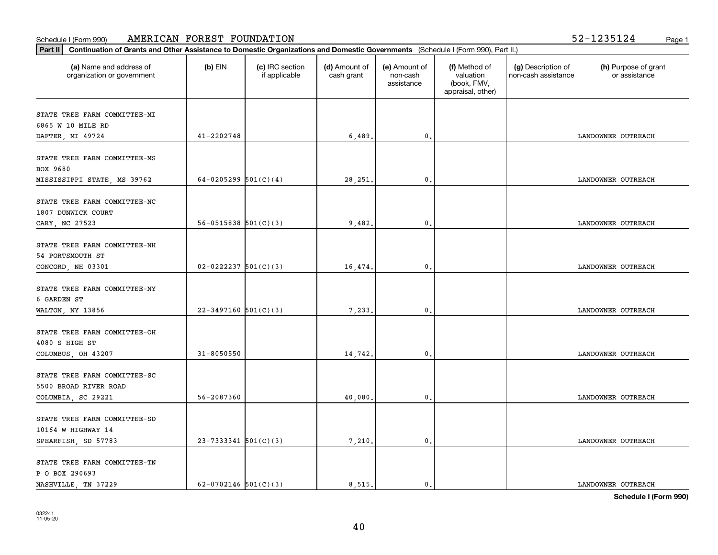**Part II Continuation of Grants and Other Assistance to Domestic Organizations and Domestic Governments**  (Schedule I (Form 990), Part II.)

| (a) Name and address of<br>organization or government                       | $(b)$ EIN                  | (c) IRC section<br>if applicable | (d) Amount of<br>cash grant | (e) Amount of<br>non-cash<br>assistance | (f) Method of<br>valuation<br>(book, FMV,<br>appraisal, other) | (g) Description of<br>non-cash assistance | (h) Purpose of grant<br>or assistance |
|-----------------------------------------------------------------------------|----------------------------|----------------------------------|-----------------------------|-----------------------------------------|----------------------------------------------------------------|-------------------------------------------|---------------------------------------|
| STATE TREE FARM COMMITTEE-MI                                                |                            |                                  |                             |                                         |                                                                |                                           |                                       |
| 6865 W 10 MILE RD                                                           |                            |                                  |                             |                                         |                                                                |                                           |                                       |
| DAFTER, MI 49724                                                            | $41 - 2202748$             |                                  | 6,489                       | 0.                                      |                                                                |                                           | LANDOWNER OUTREACH                    |
| STATE TREE FARM COMMITTEE-MS<br>BOX 9680                                    |                            |                                  |                             |                                         |                                                                |                                           |                                       |
| MISSISSIPPI STATE, MS 39762                                                 | 64-0205299 $501(C)(4)$     |                                  | 28,251.                     | 0.                                      |                                                                |                                           | LANDOWNER OUTREACH                    |
| STATE TREE FARM COMMITTEE-NC<br>1807 DUNWICK COURT                          |                            |                                  |                             |                                         |                                                                |                                           |                                       |
| CARY, NC 27523                                                              | $56-0515838$ $501(C)(3)$   |                                  | 9,482.                      | 0.                                      |                                                                |                                           | LANDOWNER OUTREACH                    |
| STATE TREE FARM COMMITTEE-NH<br>54 PORTSMOUTH ST<br>CONCORD, NH 03301       | $02 - 0222237$ 501(C)(3)   |                                  | 16,474.                     | $\mathbf{0}$ .                          |                                                                |                                           | LANDOWNER OUTREACH                    |
|                                                                             |                            |                                  |                             |                                         |                                                                |                                           |                                       |
| STATE TREE FARM COMMITTEE-NY<br>6 GARDEN ST                                 |                            |                                  |                             |                                         |                                                                |                                           |                                       |
| WALTON, NY 13856                                                            | $22 - 3497160$ 501(C)(3)   |                                  | 7,233.                      | 0.                                      |                                                                |                                           | LANDOWNER OUTREACH                    |
| STATE TREE FARM COMMITTEE-OH<br>4080 S HIGH ST                              |                            |                                  |                             |                                         |                                                                |                                           |                                       |
| COLUMBUS, OH 43207                                                          | $31 - 8050550$             |                                  | 14,742.                     | $\mathsf{o}\,$ .                        |                                                                |                                           | LANDOWNER OUTREACH                    |
| STATE TREE FARM COMMITTEE-SC<br>5500 BROAD RIVER ROAD<br>COLUMBIA, SC 29221 | 56-2087360                 |                                  | 40,080.                     | $\mathbf{0}$ .                          |                                                                |                                           | LANDOWNER OUTREACH                    |
| STATE TREE FARM COMMITTEE-SD<br>10164 W HIGHWAY 14<br>SPEARFISH, SD 57783   | $23 - 7333341$ $501(C)(3)$ |                                  | 7,210                       | 0.                                      |                                                                |                                           | LANDOWNER OUTREACH                    |
|                                                                             |                            |                                  |                             |                                         |                                                                |                                           |                                       |
| STATE TREE FARM COMMITTEE-TN<br>P O BOX 290693                              |                            |                                  |                             |                                         |                                                                |                                           |                                       |

**Schedule I (Form 990)**

NASHVILLE, TN 37229 62-0702146 501(C)(3) 8,515. 0.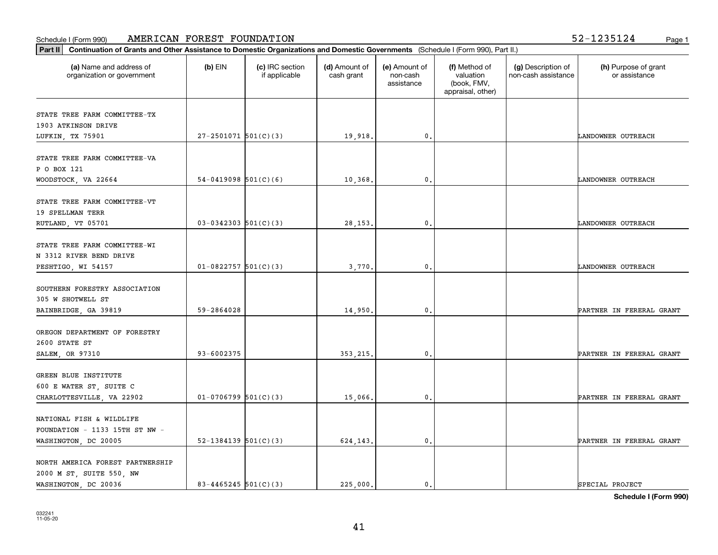**Part II Continuation of Grants and Other Assistance to Domestic Organizations and Domestic Governments**  (Schedule I (Form 990), Part II.)

| (a) Name and address of<br>organization or government | $(b)$ EIN                | (c) IRC section<br>if applicable | (d) Amount of<br>cash grant | (e) Amount of<br>non-cash<br>assistance | (f) Method of<br>valuation<br>(book, FMV,<br>appraisal, other) | (g) Description of<br>non-cash assistance | (h) Purpose of grant<br>or assistance |
|-------------------------------------------------------|--------------------------|----------------------------------|-----------------------------|-----------------------------------------|----------------------------------------------------------------|-------------------------------------------|---------------------------------------|
| STATE TREE FARM COMMITTEE-TX                          |                          |                                  |                             |                                         |                                                                |                                           |                                       |
| 1903 ATKINSON DRIVE                                   |                          |                                  |                             |                                         |                                                                |                                           |                                       |
| LUFKIN, TX 75901                                      | $27 - 2501071$ 501(C)(3) |                                  | 19,918.                     | 0.                                      |                                                                |                                           | LANDOWNER OUTREACH                    |
| STATE TREE FARM COMMITTEE-VA                          |                          |                                  |                             |                                         |                                                                |                                           |                                       |
| P O BOX 121                                           |                          |                                  |                             |                                         |                                                                |                                           |                                       |
| WOODSTOCK, VA 22664                                   | $54-0419098$ $501(C)(6)$ |                                  | 10,368.                     | 0.                                      |                                                                |                                           | LANDOWNER OUTREACH                    |
| STATE TREE FARM COMMITTEE-VT                          |                          |                                  |                             |                                         |                                                                |                                           |                                       |
| 19 SPELLMAN TERR                                      |                          |                                  |                             |                                         |                                                                |                                           |                                       |
| RUTLAND, VT 05701                                     | $03-0342303$ $501(C)(3)$ |                                  | 28,153.                     | $\mathbf 0$ .                           |                                                                |                                           | LANDOWNER OUTREACH                    |
| STATE TREE FARM COMMITTEE-WI                          |                          |                                  |                             |                                         |                                                                |                                           |                                       |
| N 3312 RIVER BEND DRIVE                               |                          |                                  |                             |                                         |                                                                |                                           |                                       |
| PESHTIGO, WI 54157                                    | $01-0822757$ 501(C)(3)   |                                  | 3,770.                      | $\mathbf 0$ .                           |                                                                |                                           | LANDOWNER OUTREACH                    |
| SOUTHERN FORESTRY ASSOCIATION                         |                          |                                  |                             |                                         |                                                                |                                           |                                       |
| 305 W SHOTWELL ST                                     |                          |                                  |                             |                                         |                                                                |                                           |                                       |
| BAINBRIDGE, GA 39819                                  | 59-2864028               |                                  | 14,950.                     | 0.                                      |                                                                |                                           | PARTNER IN FERERAL GRANT              |
| OREGON DEPARTMENT OF FORESTRY                         |                          |                                  |                             |                                         |                                                                |                                           |                                       |
| 2600 STATE ST                                         |                          |                                  |                             |                                         |                                                                |                                           |                                       |
| SALEM, OR 97310                                       | 93-6002375               |                                  | 353, 215.                   | $\mathbf 0$ .                           |                                                                |                                           | PARTNER IN FERERAL GRANT              |
|                                                       |                          |                                  |                             |                                         |                                                                |                                           |                                       |
| GREEN BLUE INSTITUTE                                  |                          |                                  |                             |                                         |                                                                |                                           |                                       |
| 600 E WATER ST, SUITE C                               | $01-0706799$ 501(C)(3)   |                                  |                             |                                         |                                                                |                                           |                                       |
| CHARLOTTESVILLE, VA 22902                             |                          |                                  | 15,066.                     | 0.                                      |                                                                |                                           | PARTNER IN FERERAL GRANT              |
| NATIONAL FISH & WILDLIFE                              |                          |                                  |                             |                                         |                                                                |                                           |                                       |
| FOUNDATION - 1133 15TH ST NW -                        |                          |                                  |                             |                                         |                                                                |                                           |                                       |
| WASHINGTON, DC 20005                                  | 52-1384139 $501(C)(3)$   |                                  | 624,143.                    | 0.                                      |                                                                |                                           | PARTNER IN FERERAL GRANT              |
| NORTH AMERICA FOREST PARTNERSHIP                      |                          |                                  |                             |                                         |                                                                |                                           |                                       |
| 2000 M ST, SUITE 550, NW                              |                          |                                  |                             |                                         |                                                                |                                           |                                       |

Т

**Schedule I (Form 990)**

WASHINGTON, DC 20036  $\begin{vmatrix} 83-4465245 & 501(C)(3) & | & 225,000. \end{vmatrix}$  0.  $\begin{vmatrix} 0 & | & 0 \end{vmatrix}$  SPECIAL PROJECT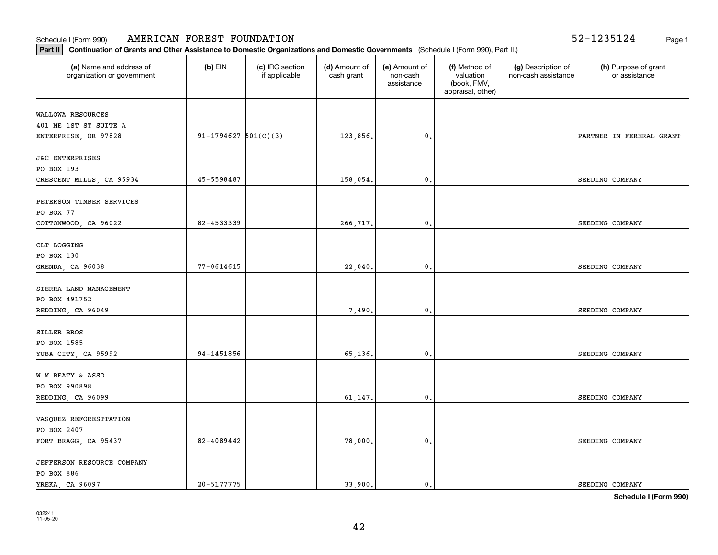| (a) Name and address of<br>organization or government                | $(b)$ EIN              | (c) IRC section<br>if applicable | (d) Amount of<br>cash grant | (e) Amount of<br>non-cash<br>assistance | (f) Method of<br>valuation<br>(book, FMV,<br>appraisal, other) | (g) Description of<br>non-cash assistance | (h) Purpose of grant<br>or assistance |
|----------------------------------------------------------------------|------------------------|----------------------------------|-----------------------------|-----------------------------------------|----------------------------------------------------------------|-------------------------------------------|---------------------------------------|
| WALLOWA RESOURCES                                                    |                        |                                  |                             |                                         |                                                                |                                           |                                       |
| 401 NE 1ST ST SUITE A<br>ENTERPRISE, OR 97828                        | 91-1794627 $501(C)(3)$ |                                  | 123,856.                    | 0.                                      |                                                                |                                           | PARTNER IN FERERAL GRANT              |
| <b>J&amp;C ENTERPRISES</b><br>PO BOX 193<br>CRESCENT MILLS, CA 95934 | 45-5598487             |                                  | 158,054.                    | $\mathsf{0}\,$ .                        |                                                                |                                           | SEEDING COMPANY                       |
|                                                                      |                        |                                  |                             |                                         |                                                                |                                           |                                       |
| PETERSON TIMBER SERVICES<br>PO BOX 77<br>COTTONWOOD, CA 96022        | 82-4533339             |                                  | 266,717.                    | $\mathsf{0}\,$ .                        |                                                                |                                           | SEEDING COMPANY                       |
| CLT LOGGING<br>PO BOX 130<br>GRENDA, CA 96038                        | 77-0614615             |                                  | 22,040                      | $\mathbf{0}$ .                          |                                                                |                                           | SEEDING COMPANY                       |
| SIERRA LAND MANAGEMENT<br>PO BOX 491752<br>REDDING, CA 96049         |                        |                                  | 7,490.                      | $\mathbf{0}$ .                          |                                                                |                                           | SEEDING COMPANY                       |
| SILLER BROS<br>PO BOX 1585<br>YUBA CITY, CA 95992                    | 94-1451856             |                                  | 65,136.                     | $\mathbf{0}$ .                          |                                                                |                                           | SEEDING COMPANY                       |
| W M BEATY & ASSO<br>PO BOX 990898<br>REDDING, CA 96099               |                        |                                  | 61,147.                     | 0.                                      |                                                                |                                           | SEEDING COMPANY                       |
| VASQUEZ REFORESTTATION<br>PO BOX 2407<br>FORT BRAGG, CA 95437        | 82-4089442             |                                  | 78,000.                     | $\mathbf{0}$ .                          |                                                                |                                           | SEEDING COMPANY                       |
| JEFFERSON RESOURCE COMPANY<br>PO BOX 886                             |                        |                                  |                             |                                         |                                                                |                                           |                                       |

42

**Schedule I (Form 990)**

|  | זורת החזוזורים חיסים סרים זו |
|--|------------------------------|

**Part II Continuation of Grants and Other Assistance to Domestic Organizations and Domestic Governments**  (Schedule I (Form 990), Part II.)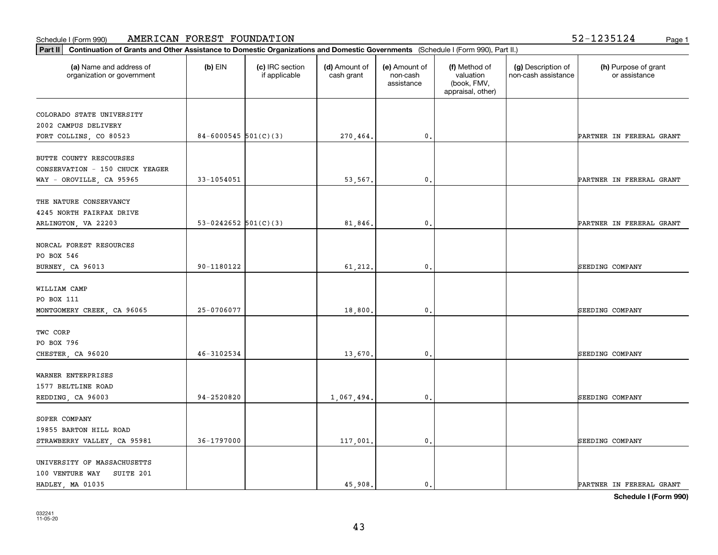**Part II Continuation of Grants and Other Assistance to Domestic Organizations and Domestic Governments**  (Schedule I (Form 990), Part II.)

┰

| (a) Name and address of<br>organization or government | $(b)$ EIN              | (c) IRC section<br>if applicable | (d) Amount of<br>cash grant | (e) Amount of<br>non-cash<br>assistance | (f) Method of<br>valuation<br>(book, FMV,<br>appraisal, other) | (g) Description of<br>non-cash assistance | (h) Purpose of grant<br>or assistance |
|-------------------------------------------------------|------------------------|----------------------------------|-----------------------------|-----------------------------------------|----------------------------------------------------------------|-------------------------------------------|---------------------------------------|
| COLORADO STATE UNIVERSITY                             |                        |                                  |                             |                                         |                                                                |                                           |                                       |
| 2002 CAMPUS DELIVERY                                  |                        |                                  |                             |                                         |                                                                |                                           |                                       |
| FORT COLLINS, CO 80523                                | $84-6000545$ 501(C)(3) |                                  | 270,464.                    | 0.                                      |                                                                |                                           | PARTNER IN FERERAL GRANT              |
| BUTTE COUNTY RESCOURSES                               |                        |                                  |                             |                                         |                                                                |                                           |                                       |
| CONSERVATION - 150 CHUCK YEAGER                       |                        |                                  |                             |                                         |                                                                |                                           |                                       |
| WAY - OROVILLE, CA 95965                              | 33-1054051             |                                  | 53,567.                     | $\mathbf{0}$ .                          |                                                                |                                           | PARTNER IN FERERAL GRANT              |
| THE NATURE CONSERVANCY                                |                        |                                  |                             |                                         |                                                                |                                           |                                       |
| 4245 NORTH FAIRFAX DRIVE                              |                        |                                  |                             |                                         |                                                                |                                           |                                       |
| ARLINGTON, VA 22203                                   | 53-0242652 $501(C)(3)$ |                                  | 81,846.                     | 0.                                      |                                                                |                                           | PARTNER IN FERERAL GRANT              |
| NORCAL FOREST RESOURCES                               |                        |                                  |                             |                                         |                                                                |                                           |                                       |
| PO BOX 546                                            |                        |                                  |                             |                                         |                                                                |                                           |                                       |
| BURNEY, CA 96013                                      | 90-1180122             |                                  | 61,212.                     | $\mathbf 0$ .                           |                                                                |                                           | SEEDING COMPANY                       |
| WILLIAM CAMP                                          |                        |                                  |                             |                                         |                                                                |                                           |                                       |
| PO BOX 111                                            |                        |                                  |                             |                                         |                                                                |                                           |                                       |
| MONTGOMERY CREEK, CA 96065                            | 25-0706077             |                                  | 18,800.                     | 0.                                      |                                                                |                                           | SEEDING COMPANY                       |
|                                                       |                        |                                  |                             |                                         |                                                                |                                           |                                       |
| TWC CORP<br>PO BOX 796                                |                        |                                  |                             |                                         |                                                                |                                           |                                       |
| CHESTER, CA 96020                                     | 46-3102534             |                                  | 13,670.                     | 0.                                      |                                                                |                                           | SEEDING COMPANY                       |
|                                                       |                        |                                  |                             |                                         |                                                                |                                           |                                       |
| WARNER ENTERPRISES<br>1577 BELTLINE ROAD              |                        |                                  |                             |                                         |                                                                |                                           |                                       |
| REDDING, CA 96003                                     | 94-2520820             |                                  | 1,067,494.                  | 0.                                      |                                                                |                                           | SEEDING COMPANY                       |
|                                                       |                        |                                  |                             |                                         |                                                                |                                           |                                       |
| SOPER COMPANY                                         |                        |                                  |                             |                                         |                                                                |                                           |                                       |
| 19855 BARTON HILL ROAD                                |                        |                                  |                             |                                         |                                                                |                                           |                                       |
| STRAWBERRY VALLEY, CA 95981                           | 36-1797000             |                                  | 117,001.                    | 0.                                      |                                                                |                                           | SEEDING COMPANY                       |
| UNIVERSITY OF MASSACHUSETTS                           |                        |                                  |                             |                                         |                                                                |                                           |                                       |
| 100 VENTURE WAY SUITE 201                             |                        |                                  |                             |                                         |                                                                |                                           |                                       |
| HADLEY, MA 01035                                      |                        |                                  | 45.908.                     | $0$ .                                   |                                                                |                                           | PARTNER IN FERERAL GRANT              |

43

**Schedule I (Form 990)**

Т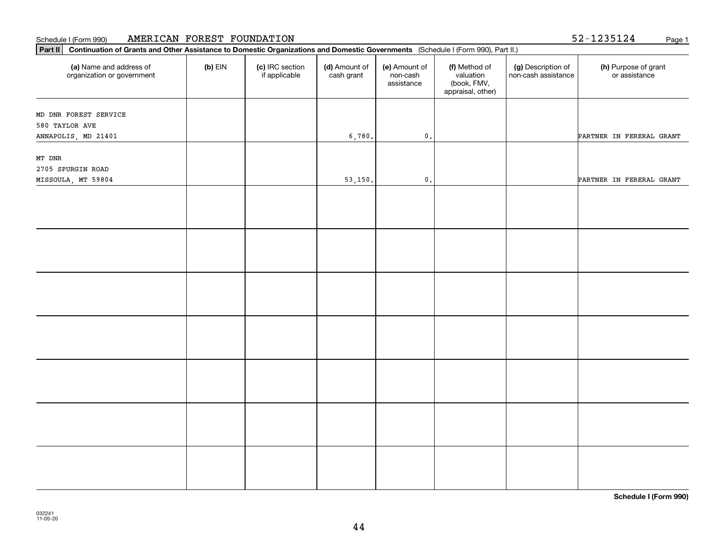#### **Part III Continuation of Grants and Other Assistance to Domestic Continuation of Grants and Other Assistance to Domestic Comments** Schedule I (Form 990) AMERICAN FOREST FOUNDATION 52-1235124 <sub>Page 1</sub>

| Continuation of Grants and Other Assistance to Domestic Organizations and Domestic Governments (Schedule I (Form 990), Part II.)<br>Part II |           |                                  |                             |                                         |                                                                |                                           |                                       |  |  |
|---------------------------------------------------------------------------------------------------------------------------------------------|-----------|----------------------------------|-----------------------------|-----------------------------------------|----------------------------------------------------------------|-------------------------------------------|---------------------------------------|--|--|
| (a) Name and address of<br>organization or government                                                                                       | $(b)$ EIN | (c) IRC section<br>if applicable | (d) Amount of<br>cash grant | (e) Amount of<br>non-cash<br>assistance | (f) Method of<br>valuation<br>(book, FMV,<br>appraisal, other) | (g) Description of<br>non-cash assistance | (h) Purpose of grant<br>or assistance |  |  |
|                                                                                                                                             |           |                                  |                             |                                         |                                                                |                                           |                                       |  |  |
| MD DNR FOREST SERVICE                                                                                                                       |           |                                  |                             |                                         |                                                                |                                           |                                       |  |  |
| 580 TAYLOR AVE                                                                                                                              |           |                                  |                             | $\mathfrak o$ .                         |                                                                |                                           |                                       |  |  |
| ANNAPOLIS, MD 21401                                                                                                                         |           |                                  | 6,780.                      |                                         |                                                                |                                           | PARTNER IN FERERAL GRANT              |  |  |
| MT DNR                                                                                                                                      |           |                                  |                             |                                         |                                                                |                                           |                                       |  |  |
| 2705 SPURGIN ROAD                                                                                                                           |           |                                  |                             |                                         |                                                                |                                           |                                       |  |  |
| MISSOULA, MT 59804                                                                                                                          |           |                                  | 53,150.                     | $\mathfrak o$ .                         |                                                                |                                           | PARTNER IN FERERAL GRANT              |  |  |
|                                                                                                                                             |           |                                  |                             |                                         |                                                                |                                           |                                       |  |  |
|                                                                                                                                             |           |                                  |                             |                                         |                                                                |                                           |                                       |  |  |
|                                                                                                                                             |           |                                  |                             |                                         |                                                                |                                           |                                       |  |  |
|                                                                                                                                             |           |                                  |                             |                                         |                                                                |                                           |                                       |  |  |
|                                                                                                                                             |           |                                  |                             |                                         |                                                                |                                           |                                       |  |  |
|                                                                                                                                             |           |                                  |                             |                                         |                                                                |                                           |                                       |  |  |
|                                                                                                                                             |           |                                  |                             |                                         |                                                                |                                           |                                       |  |  |
|                                                                                                                                             |           |                                  |                             |                                         |                                                                |                                           |                                       |  |  |
|                                                                                                                                             |           |                                  |                             |                                         |                                                                |                                           |                                       |  |  |
|                                                                                                                                             |           |                                  |                             |                                         |                                                                |                                           |                                       |  |  |
|                                                                                                                                             |           |                                  |                             |                                         |                                                                |                                           |                                       |  |  |
|                                                                                                                                             |           |                                  |                             |                                         |                                                                |                                           |                                       |  |  |
|                                                                                                                                             |           |                                  |                             |                                         |                                                                |                                           |                                       |  |  |
|                                                                                                                                             |           |                                  |                             |                                         |                                                                |                                           |                                       |  |  |
|                                                                                                                                             |           |                                  |                             |                                         |                                                                |                                           |                                       |  |  |
|                                                                                                                                             |           |                                  |                             |                                         |                                                                |                                           |                                       |  |  |
|                                                                                                                                             |           |                                  |                             |                                         |                                                                |                                           |                                       |  |  |
|                                                                                                                                             |           |                                  |                             |                                         |                                                                |                                           |                                       |  |  |
|                                                                                                                                             |           |                                  |                             |                                         |                                                                |                                           |                                       |  |  |
|                                                                                                                                             |           |                                  |                             |                                         |                                                                |                                           |                                       |  |  |
|                                                                                                                                             |           |                                  |                             |                                         |                                                                |                                           |                                       |  |  |
|                                                                                                                                             |           |                                  |                             |                                         |                                                                |                                           |                                       |  |  |
|                                                                                                                                             |           |                                  |                             |                                         |                                                                |                                           |                                       |  |  |
|                                                                                                                                             |           |                                  |                             |                                         |                                                                |                                           |                                       |  |  |
|                                                                                                                                             |           |                                  |                             |                                         |                                                                |                                           |                                       |  |  |
|                                                                                                                                             |           |                                  |                             |                                         |                                                                |                                           |                                       |  |  |
|                                                                                                                                             |           |                                  |                             |                                         |                                                                |                                           |                                       |  |  |

**Schedule I (Form 990)**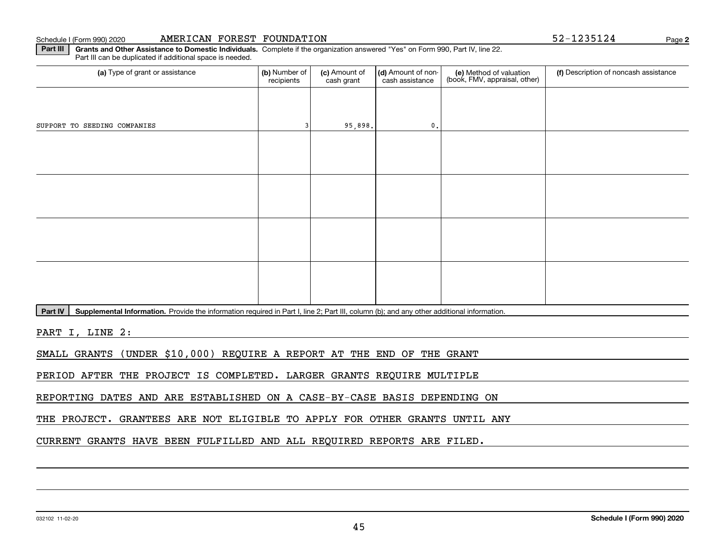Schedule I (Form 990) 2020

|  |  | AMERICAN FOREST FOUNDATION |
|--|--|----------------------------|
|--|--|----------------------------|

**2**52-1235124

**Part III** | Grants and Other Assistance to Domestic Individuals. Complete if the organization answered "Yes" on Form 990, Part IV, line 22. Part III can be duplicated if additional space is needed.

| recipients | (c) Amount of<br>cash grant | cash assistance | (e) Method of valuation<br>(book, FMV, appraisal, other) | (f) Description of noncash assistance |
|------------|-----------------------------|-----------------|----------------------------------------------------------|---------------------------------------|
|            |                             |                 |                                                          |                                       |
|            |                             | $\mathbf{0}$ .  |                                                          |                                       |
|            |                             |                 |                                                          |                                       |
|            |                             |                 |                                                          |                                       |
|            |                             |                 |                                                          |                                       |
|            |                             |                 |                                                          |                                       |
|            |                             |                 |                                                          |                                       |
|            |                             |                 |                                                          |                                       |
|            |                             |                 |                                                          |                                       |
|            |                             |                 |                                                          |                                       |
|            |                             | (b) Number of   | 95,898.                                                  | (d) Amount of non-                    |

Part IV | Supplemental Information. Provide the information required in Part I, line 2; Part III, column (b); and any other additional information.

PART I, LINE 2:

SMALL GRANTS (UNDER \$10,000) REQUIRE A REPORT AT THE END OF THE GRANT

PERIOD AFTER THE PROJECT IS COMPLETED. LARGER GRANTS REQUIRE MULTIPLE

REPORTING DATES AND ARE ESTABLISHED ON A CASE-BY-CASE BASIS DEPENDING ON

THE PROJECT. GRANTEES ARE NOT ELIGIBLE TO APPLY FOR OTHER GRANTS UNTIL ANY

CURRENT GRANTS HAVE BEEN FULFILLED AND ALL REQUIRED REPORTS ARE FILED.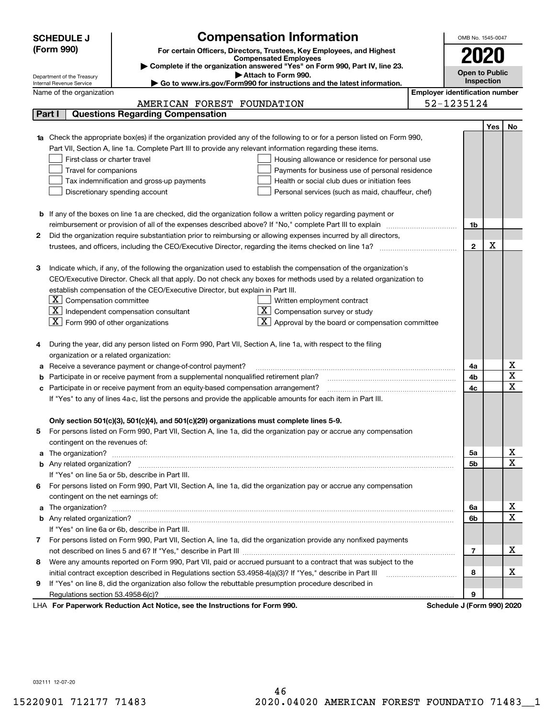|        | <b>Compensation Information</b><br><b>SCHEDULE J</b>                                                                                                                                                                                 |  | OMB No. 1545-0047                     |     |                         |
|--------|--------------------------------------------------------------------------------------------------------------------------------------------------------------------------------------------------------------------------------------|--|---------------------------------------|-----|-------------------------|
|        | (Form 990)<br>For certain Officers, Directors, Trustees, Key Employees, and Highest                                                                                                                                                  |  |                                       |     |                         |
|        | <b>Compensated Employees</b>                                                                                                                                                                                                         |  | 2020                                  |     |                         |
|        | Complete if the organization answered "Yes" on Form 990, Part IV, line 23.                                                                                                                                                           |  | <b>Open to Public</b>                 |     |                         |
|        | Attach to Form 990.<br>Department of the Treasury<br>Go to www.irs.gov/Form990 for instructions and the latest information.<br>Internal Revenue Service                                                                              |  | <b>Inspection</b>                     |     |                         |
|        | Name of the organization                                                                                                                                                                                                             |  | <b>Employer identification number</b> |     |                         |
|        | AMERICAN FOREST FOUNDATION                                                                                                                                                                                                           |  | 52-1235124                            |     |                         |
| Part I | <b>Questions Regarding Compensation</b>                                                                                                                                                                                              |  |                                       |     |                         |
|        |                                                                                                                                                                                                                                      |  |                                       | Yes | No                      |
|        | 1a Check the appropriate box(es) if the organization provided any of the following to or for a person listed on Form 990,                                                                                                            |  |                                       |     |                         |
|        | Part VII, Section A, line 1a. Complete Part III to provide any relevant information regarding these items.                                                                                                                           |  |                                       |     |                         |
|        | First-class or charter travel<br>Housing allowance or residence for personal use                                                                                                                                                     |  |                                       |     |                         |
|        | Travel for companions<br>Payments for business use of personal residence                                                                                                                                                             |  |                                       |     |                         |
|        | Tax indemnification and gross-up payments<br>Health or social club dues or initiation fees                                                                                                                                           |  |                                       |     |                         |
|        | Discretionary spending account<br>Personal services (such as maid, chauffeur, chef)                                                                                                                                                  |  |                                       |     |                         |
|        |                                                                                                                                                                                                                                      |  |                                       |     |                         |
|        | <b>b</b> If any of the boxes on line 1a are checked, did the organization follow a written policy regarding payment or                                                                                                               |  |                                       |     |                         |
|        | reimbursement or provision of all of the expenses described above? If "No," complete Part III to explain                                                                                                                             |  | 1b                                    |     |                         |
| 2      | Did the organization require substantiation prior to reimbursing or allowing expenses incurred by all directors,                                                                                                                     |  |                                       |     |                         |
|        | trustees, and officers, including the CEO/Executive Director, regarding the items checked on line 1a?                                                                                                                                |  | $\mathbf{2}$                          | х   |                         |
|        |                                                                                                                                                                                                                                      |  |                                       |     |                         |
| з      | Indicate which, if any, of the following the organization used to establish the compensation of the organization's                                                                                                                   |  |                                       |     |                         |
|        | CEO/Executive Director. Check all that apply. Do not check any boxes for methods used by a related organization to                                                                                                                   |  |                                       |     |                         |
|        | establish compensation of the CEO/Executive Director, but explain in Part III.                                                                                                                                                       |  |                                       |     |                         |
|        | $\lfloor \texttt{X} \rfloor$ Compensation committee<br>Written employment contract                                                                                                                                                   |  |                                       |     |                         |
|        | $\boxed{\text{X}}$ Independent compensation consultant<br>$X$ Compensation survey or study                                                                                                                                           |  |                                       |     |                         |
|        | $ \mathbf{X} $ Form 990 of other organizations<br>$\mathbf{X}$ Approval by the board or compensation committee                                                                                                                       |  |                                       |     |                         |
|        |                                                                                                                                                                                                                                      |  |                                       |     |                         |
|        | During the year, did any person listed on Form 990, Part VII, Section A, line 1a, with respect to the filing                                                                                                                         |  |                                       |     |                         |
|        | organization or a related organization:                                                                                                                                                                                              |  |                                       |     |                         |
| а      | Receive a severance payment or change-of-control payment?                                                                                                                                                                            |  | 4a                                    |     | х                       |
| b      | Participate in or receive payment from a supplemental nonqualified retirement plan?                                                                                                                                                  |  | 4b                                    |     | $\overline{\texttt{x}}$ |
| с      | Participate in or receive payment from an equity-based compensation arrangement?                                                                                                                                                     |  | 4c                                    |     | $\overline{\text{x}}$   |
|        | If "Yes" to any of lines 4a-c, list the persons and provide the applicable amounts for each item in Part III.                                                                                                                        |  |                                       |     |                         |
|        |                                                                                                                                                                                                                                      |  |                                       |     |                         |
|        | Only section 501(c)(3), 501(c)(4), and 501(c)(29) organizations must complete lines 5-9.                                                                                                                                             |  |                                       |     |                         |
|        | For persons listed on Form 990, Part VII, Section A, line 1a, did the organization pay or accrue any compensation                                                                                                                    |  |                                       |     |                         |
|        | contingent on the revenues of:                                                                                                                                                                                                       |  |                                       |     |                         |
|        | a The organization? <b>Entitled Strategies and Strategies and Strategies and Strategies and Strategies and Strategies and Strategies and Strategies and Strategies and Strategies and Strategies and Strategies and Strategies a</b> |  | 5а                                    |     | x                       |
|        |                                                                                                                                                                                                                                      |  | <b>5b</b>                             |     | $\overline{\text{x}}$   |
|        | If "Yes" on line 5a or 5b, describe in Part III.                                                                                                                                                                                     |  |                                       |     |                         |
| 6.     | For persons listed on Form 990, Part VII, Section A, line 1a, did the organization pay or accrue any compensation                                                                                                                    |  |                                       |     |                         |
|        | contingent on the net earnings of:                                                                                                                                                                                                   |  |                                       |     |                         |
|        | a The organization? <b>Entitled Strategies and Strategies and Strategies and Strategies and Strategies and Strategies and Strategies and Strategies and Strategies and Strategies and Strategies and Strategies and Strategies a</b> |  | 6а                                    |     | x                       |
|        |                                                                                                                                                                                                                                      |  | 6b                                    |     | $\overline{\text{x}}$   |
|        | If "Yes" on line 6a or 6b, describe in Part III.                                                                                                                                                                                     |  |                                       |     |                         |
|        | 7 For persons listed on Form 990, Part VII, Section A, line 1a, did the organization provide any nonfixed payments                                                                                                                   |  |                                       |     |                         |
|        |                                                                                                                                                                                                                                      |  | 7                                     |     | х                       |
| 8      | Were any amounts reported on Form 990, Part VII, paid or accrued pursuant to a contract that was subject to the                                                                                                                      |  |                                       |     |                         |
|        | initial contract exception described in Regulations section 53.4958-4(a)(3)? If "Yes," describe in Part III                                                                                                                          |  | 8                                     |     | x                       |
| 9      | If "Yes" on line 8, did the organization also follow the rebuttable presumption procedure described in                                                                                                                               |  |                                       |     |                         |
|        | Regulations section 53.4958-6(c)?                                                                                                                                                                                                    |  | 9                                     |     |                         |
|        | LHA For Paperwork Reduction Act Notice, see the Instructions for Form 990.                                                                                                                                                           |  | Schedule J (Form 990) 2020            |     |                         |

032111 12-07-20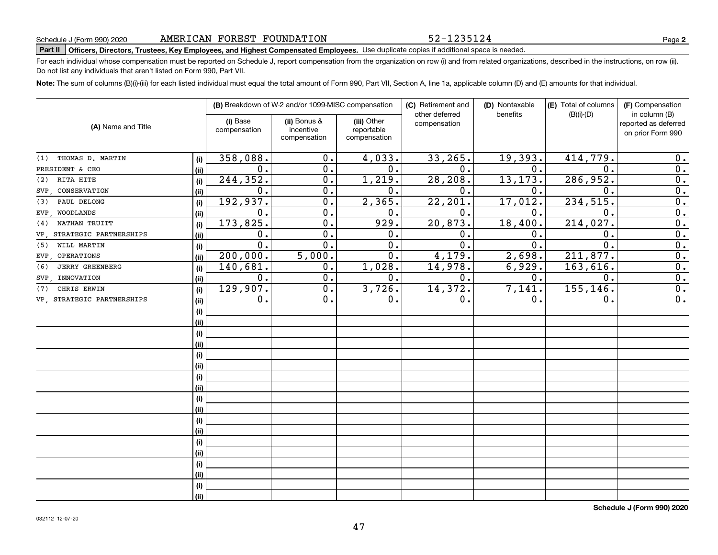# **Part II Officers, Directors, Trustees, Key Employees, and Highest Compensated Employees.**  Schedule J (Form 990) 2020 Page Use duplicate copies if additional space is needed.

For each individual whose compensation must be reported on Schedule J, report compensation from the organization on row (i) and from related organizations, described in the instructions, on row (ii). Do not list any individuals that aren't listed on Form 990, Part VII.

**Note:**  The sum of columns (B)(i)-(iii) for each listed individual must equal the total amount of Form 990, Part VII, Section A, line 1a, applicable column (D) and (E) amounts for that individual.

| (A) Name and Title            |      |                          | (B) Breakdown of W-2 and/or 1099-MISC compensation |                                           | (C) Retirement and<br>other deferred | (D) Nontaxable<br>benefits | (E) Total of columns<br>$(B)(i)-(D)$ | (F) Compensation<br>in column (B)         |  |  |
|-------------------------------|------|--------------------------|----------------------------------------------------|-------------------------------------------|--------------------------------------|----------------------------|--------------------------------------|-------------------------------------------|--|--|
|                               |      | (i) Base<br>compensation | (ii) Bonus &<br>incentive<br>compensation          | (iii) Other<br>reportable<br>compensation | compensation                         |                            |                                      | reported as deferred<br>on prior Form 990 |  |  |
| THOMAS D. MARTIN<br>(1)       | (i)  | 358,088.                 | 0.                                                 | 4,033.                                    | 33,265.                              | 19,393.                    | 414,779.                             | 0.                                        |  |  |
| PRESIDENT & CEO               | (ii) | 0.                       | 0.                                                 | 0.                                        | 0.                                   | 0.                         | $\mathbf 0$ .                        | 0.                                        |  |  |
| RITA HITE<br>(2)              | (i)  | 244,352.                 | 0.                                                 | 1,219.                                    | 28,208.                              | 13, 173.                   | 286,952.                             | 0.                                        |  |  |
| CONSERVATION<br>SVP.          | (ii) | 0.                       | 0.                                                 | 0.                                        | 0.                                   | 0.                         | $\mathbf 0$                          | 0.                                        |  |  |
| PAUL DELONG<br>(3)            | (i)  | 192,937.                 | $\overline{0}$ .                                   | 2,365.                                    | 22, 201.                             | 17,012.                    | 234, 515                             | $\overline{0}$ .                          |  |  |
| <b>WOODLANDS</b><br>EVP.      | (ii) | $\overline{0}$ .         | $\overline{0}$ .                                   | 0.                                        | $\overline{0}$ .                     | 0.                         | $\overline{0}$ .                     | $\overline{0}$ .                          |  |  |
| NATHAN TRUITT<br>(4)          | (i)  | 173,825.                 | $\overline{0}$ .                                   | 929.                                      | 20,873.                              | 18,400.                    | 214,027.                             | 0.                                        |  |  |
| STRATEGIC PARTNERSHIPS<br>VP. | (ii) | 0.                       | $\overline{0}$ .                                   | 0.                                        | $\mathbf 0$ .                        | 0.                         | $\mathbf 0$ .                        | $\overline{0}$ .                          |  |  |
| (5)<br>WILL MARTIN            | (i)  | $\overline{0}$ .         | $\overline{0}$ .                                   | $\overline{0}$ .                          | $\overline{0}$ .                     | $\overline{0}$ .           | $\overline{0}$                       | $\overline{0}$ .                          |  |  |
| OPERATIONS<br>EVP.            | (ii) | 200,000.                 | 5,000.                                             | 0.                                        | 4,179.                               | 2,698.                     | 211,877.                             | $\overline{0}$ .                          |  |  |
| <b>JERRY GREENBERG</b><br>(6) | (i)  | 140,681.                 | 0.                                                 | 1,028.                                    | 14,978.                              | 6,929.                     | 163,616.                             | $\overline{0}$ .                          |  |  |
| INNOVATION<br>SVP.            | (ii) | $\overline{0}$ .         | $\overline{0}$ .                                   | 0.                                        | 0.                                   | 0.                         | 0.                                   | $\overline{0}$ .                          |  |  |
| CHRIS ERWIN<br>(7)            | (i)  | 129,907.                 | 0.                                                 | 3,726.                                    | 14,372.                              | 7,141.                     | 155,146.                             | 0.                                        |  |  |
| VP STRATEGIC PARTNERSHIPS     | (ii) | 0.                       | 0.                                                 | 0.                                        | 0.                                   | 0.                         | 0.                                   | $\overline{0}$ .                          |  |  |
|                               | (i)  |                          |                                                    |                                           |                                      |                            |                                      |                                           |  |  |
|                               | (ii) |                          |                                                    |                                           |                                      |                            |                                      |                                           |  |  |
|                               | (i)  |                          |                                                    |                                           |                                      |                            |                                      |                                           |  |  |
|                               | (ii) |                          |                                                    |                                           |                                      |                            |                                      |                                           |  |  |
|                               | (i)  |                          |                                                    |                                           |                                      |                            |                                      |                                           |  |  |
|                               | (ii) |                          |                                                    |                                           |                                      |                            |                                      |                                           |  |  |
|                               | (i)  |                          |                                                    |                                           |                                      |                            |                                      |                                           |  |  |
|                               | (i)  |                          |                                                    |                                           |                                      |                            |                                      |                                           |  |  |
|                               | (i)  |                          |                                                    |                                           |                                      |                            |                                      |                                           |  |  |
|                               | (i)  |                          |                                                    |                                           |                                      |                            |                                      |                                           |  |  |
|                               | (i)  |                          |                                                    |                                           |                                      |                            |                                      |                                           |  |  |
|                               | (ii) |                          |                                                    |                                           |                                      |                            |                                      |                                           |  |  |
|                               | (i)  |                          |                                                    |                                           |                                      |                            |                                      |                                           |  |  |
|                               | (ii) |                          |                                                    |                                           |                                      |                            |                                      |                                           |  |  |
|                               | (i)  |                          |                                                    |                                           |                                      |                            |                                      |                                           |  |  |
|                               | (ii) |                          |                                                    |                                           |                                      |                            |                                      |                                           |  |  |
|                               | (i)  |                          |                                                    |                                           |                                      |                            |                                      |                                           |  |  |
|                               | (ii) |                          |                                                    |                                           |                                      |                            |                                      |                                           |  |  |

**Schedule J (Form 990) 2020**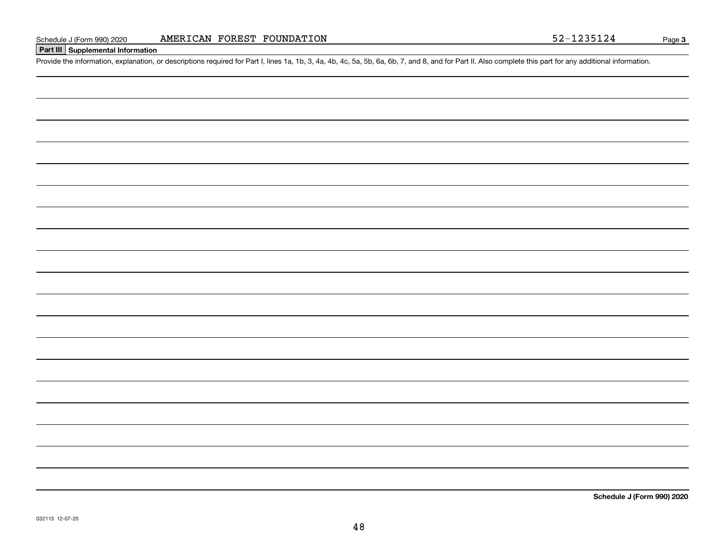### **Part III Supplemental Information**

Schedule J (Form 990) 2020 **AMERICAN FOREST FOUNDATION** 52-1235124<br>
Part III Supplemental Information<br>
Provide the information, explanation, or descriptions required for Part I, lines 1a, 1b, 3, 4a, 4b, 4c, 5a, 5b, 6a, 6b,

**Schedule J (Form 990) 2020**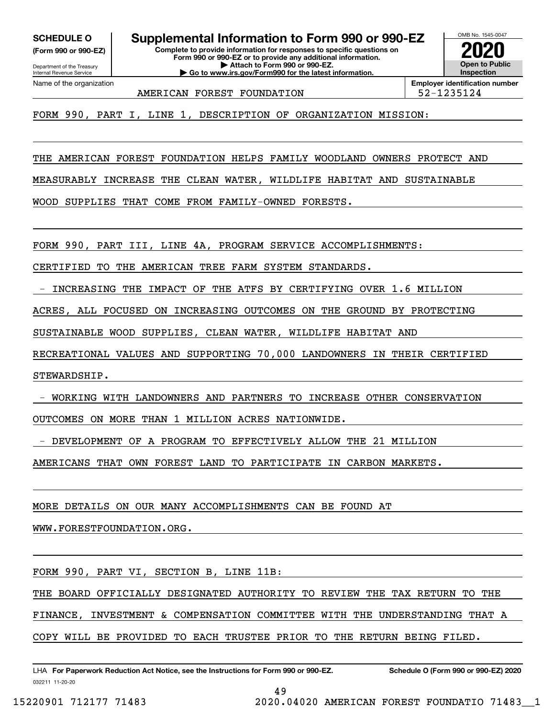**(Form 990 or 990-EZ)**

Department of the Treasury Internal Revenue Service Name of the organization

**SCHEDULE O Supplemental Information to Form 990 or 990-EZ**

**Complete to provide information for responses to specific questions on Form 990 or 990-EZ or to provide any additional information. | Attach to Form 990 or 990-EZ. | Go to www.irs.gov/Form990 for the latest information.**



AMERICAN FOREST FOUNDATION FORE 1990 1991

FORM 990, PART I, LINE 1, DESCRIPTION OF ORGANIZATION MISSION:

THE AMERICAN FOREST FOUNDATION HELPS FAMILY WOODLAND OWNERS PROTECT AND

MEASURABLY INCREASE THE CLEAN WATER, WILDLIFE HABITAT AND SUSTAINABLE

WOOD SUPPLIES THAT COME FROM FAMILY-OWNED FORESTS.

FORM 990, PART III, LINE 4A, PROGRAM SERVICE ACCOMPLISHMENTS:

CERTIFIED TO THE AMERICAN TREE FARM SYSTEM STANDARDS.

- INCREASING THE IMPACT OF THE ATFS BY CERTIFYING OVER 1.6 MILLION

ACRES, ALL FOCUSED ON INCREASING OUTCOMES ON THE GROUND BY PROTECTING

SUSTAINABLE WOOD SUPPLIES, CLEAN WATER, WILDLIFE HABITAT AND

RECREATIONAL VALUES AND SUPPORTING 70,000 LANDOWNERS IN THEIR CERTIFIED

STEWARDSHIP.

- WORKING WITH LANDOWNERS AND PARTNERS TO INCREASE OTHER CONSERVATION

OUTCOMES ON MORE THAN 1 MILLION ACRES NATIONWIDE.

- DEVELOPMENT OF A PROGRAM TO EFFECTIVELY ALLOW THE 21 MILLION

AMERICANS THAT OWN FOREST LAND TO PARTICIPATE IN CARBON MARKETS.

MORE DETAILS ON OUR MANY ACCOMPLISHMENTS CAN BE FOUND AT

WWW.FORESTFOUNDATION.ORG.

FORM 990, PART VI, SECTION B, LINE 11B:

THE BOARD OFFICIALLY DESIGNATED AUTHORITY TO REVIEW THE TAX RETURN TO THE

FINANCE, INVESTMENT & COMPENSATION COMMITTEE WITH THE UNDERSTANDING THAT A

49

COPY WILL BE PROVIDED TO EACH TRUSTEE PRIOR TO THE RETURN BEING FILED.

032211 11-20-20 LHA For Paperwork Reduction Act Notice, see the Instructions for Form 990 or 990-EZ. Schedule O (Form 990 or 990-EZ) 2020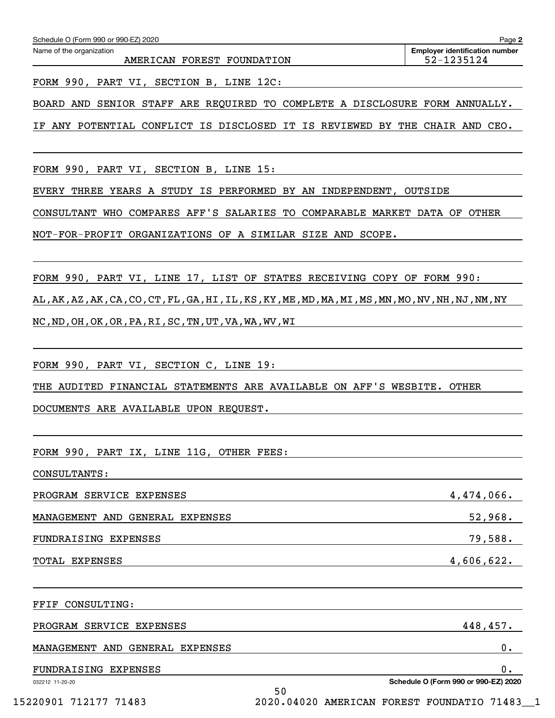| Schedule O (Form 990 or 990-EZ) 2020 | Page 2                                |
|--------------------------------------|---------------------------------------|
| Name of the organization             | <b>Employer identification number</b> |
| AMERICAN FOREST FOUNDATION           | 52-1235124                            |
|                                      |                                       |

FORM 990, PART VI, SECTION B, LINE 12C:

BOARD AND SENIOR STAFF ARE REQUIRED TO COMPLETE A DISCLOSURE FORM ANNUALLY.

IF ANY POTENTIAL CONFLICT IS DISCLOSED IT IS REVIEWED BY THE CHAIR AND CEO.

FORM 990, PART VI, SECTION B, LINE 15:

EVERY THREE YEARS A STUDY IS PERFORMED BY AN INDEPENDENT, OUTSIDE

CONSULTANT WHO COMPARES AFF'S SALARIES TO COMPARABLE MARKET DATA OF OTHER

NOT-FOR-PROFIT ORGANIZATIONS OF A SIMILAR SIZE AND SCOPE.

FORM 990, PART VI, LINE 17, LIST OF STATES RECEIVING COPY OF FORM 990:

AL,AK,AZ,AK,CA,CO,CT,FL,GA,HI,IL,KS,KY,ME,MD,MA,MI,MS,MN,MO,NV,NH,NJ,NM,NY

NC,ND,OH,OK,OR,PA,RI,SC,TN,UT,VA,WA,WV,WI

FORM 990, PART VI, SECTION C, LINE 19:

THE AUDITED FINANCIAL STATEMENTS ARE AVAILABLE ON AFF'S WESBITE. OTHER

DOCUMENTS ARE AVAILABLE UPON REQUEST.

FORM 990, PART IX, LINE 11G, OTHER FEES:

CONSULTANTS:

| PROGRAM SERVICE EXPENSES        | 4,474,066. |
|---------------------------------|------------|
| MANAGEMENT AND GENERAL EXPENSES | 52,968.    |
| FUNDRAISING EXPENSES            | 79,588.    |
| TOTAL EXPENSES                  | 4,606,622. |

50

FFIF CONSULTING:

PROGRAM SERVICE EXPENSES 448,457.

MANAGEMENT AND GENERAL EXPENSES 0.

#### FUNDRAISING EXPENSES 0.

032212 11-20-20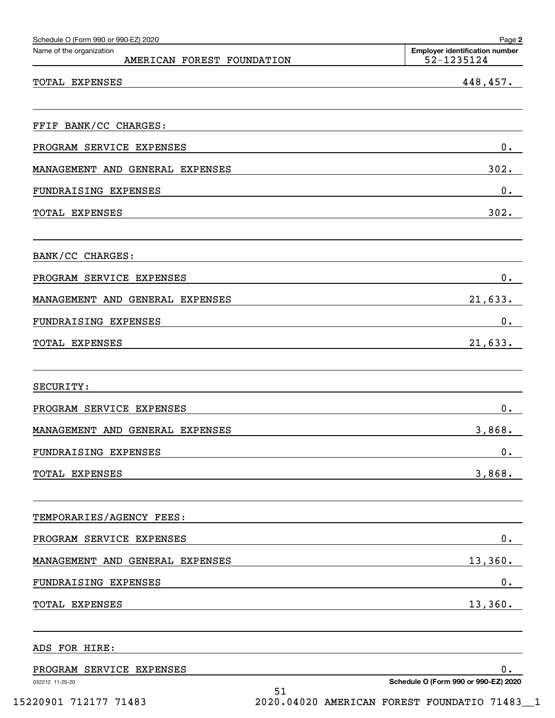| Schedule O (Form 990 or 990-EZ) 2020<br>Name of the organization | Page 2<br><b>Employer identification number</b> |
|------------------------------------------------------------------|-------------------------------------------------|
| AMERICAN FOREST FOUNDATION                                       | 52-1235124                                      |
| TOTAL EXPENSES                                                   | 448,457.                                        |
| BANK/CC CHARGES:<br>FFIF                                         |                                                 |
| PROGRAM SERVICE EXPENSES                                         | 0.                                              |
| MANAGEMENT AND GENERAL EXPENSES                                  | 302.                                            |
| FUNDRAISING EXPENSES                                             | 0.                                              |
| TOTAL EXPENSES                                                   | 302.                                            |
| BANK/CC CHARGES:                                                 |                                                 |
| PROGRAM SERVICE EXPENSES                                         | 0.                                              |
| MANAGEMENT AND GENERAL EXPENSES                                  | 21,633.                                         |
| FUNDRAISING EXPENSES                                             | $0$ .                                           |
| TOTAL EXPENSES                                                   | 21,633.                                         |
| SECURITY:                                                        |                                                 |
| PROGRAM SERVICE EXPENSES                                         | 0.                                              |
| MANAGEMENT AND GENERAL EXPENSES                                  | 3,868.                                          |
| FUNDRAISING EXPENSES                                             | 0.                                              |
| TOTAL EXPENSES                                                   | 3,868.                                          |
| TEMPORARIES/AGENCY FEES:                                         |                                                 |
| PROGRAM SERVICE EXPENSES                                         | $0$ .                                           |
| MANAGEMENT AND GENERAL EXPENSES                                  | 13,360.                                         |
| FUNDRAISING EXPENSES                                             | 0.                                              |
| TOTAL EXPENSES                                                   | 13,360.                                         |
| ADS FOR HIRE:                                                    |                                                 |
| PROGRAM SERVICE EXPENSES                                         | 0.                                              |
| 032212 11-20-20<br>51                                            | Schedule O (Form 990 or 990-EZ) 2020            |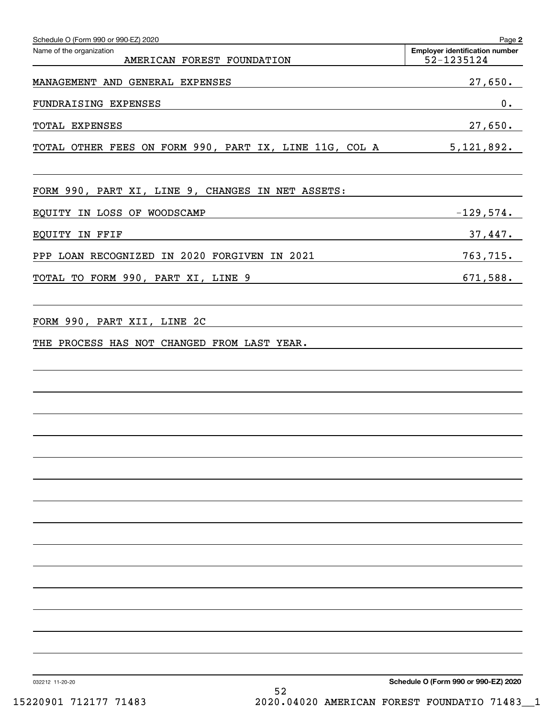| Schedule O (Form 990 or 990-EZ) 2020<br>Name of the organization<br>AMERICAN FOREST FOUNDATION                                  | Page 2<br><b>Employer identification number</b><br>52-1235124 |
|---------------------------------------------------------------------------------------------------------------------------------|---------------------------------------------------------------|
| MANAGEMENT AND GENERAL EXPENSES                                                                                                 | 27,650.                                                       |
| FUNDRAISING EXPENSES                                                                                                            | 0.                                                            |
| TOTAL EXPENSES                                                                                                                  | 27,650.                                                       |
| TOTAL OTHER FEES ON FORM 990, PART IX, LINE 11G, COL A                                                                          | 5,121,892.                                                    |
| FORM 990, PART XI, LINE 9, CHANGES IN NET ASSETS:                                                                               |                                                               |
| EQUITY IN LOSS OF WOODSCAMP                                                                                                     | $-129,574.$                                                   |
| EQUITY IN FFIF                                                                                                                  | 37,447.                                                       |
| PPP LOAN RECOGNIZED IN 2020 FORGIVEN IN 2021                                                                                    | 763, 715.                                                     |
| TOTAL TO FORM 990, PART XI, LINE 9<br>the control of the control of the control of the control of the control of the control of | 671,588.                                                      |
| THE PROCESS HAS NOT CHANGED FROM LAST YEAR.                                                                                     |                                                               |
| 032212 11-20-20<br>52                                                                                                           | Schedule O (Form 990 or 990-EZ) 2020                          |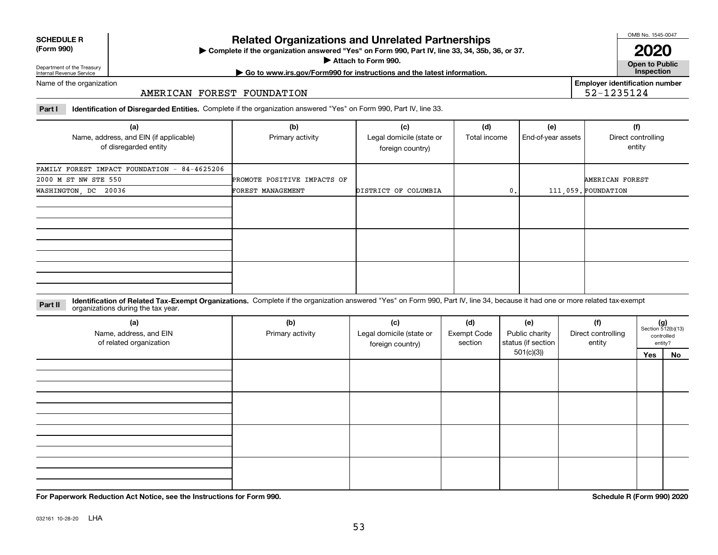| <b>SCHEDULE R</b>                          |  |
|--------------------------------------------|--|
| $\mathbf{r}$ , $\mathbf{r}$ , $\mathbf{r}$ |  |

#### **(Form 990)**

# **Related Organizations and Unrelated Partnerships**

**Complete if the organization answered "Yes" on Form 990, Part IV, line 33, 34, 35b, 36, or 37.** |

**Attach to Form 990.**  |

OMB No. 1545-0047

**Open to Public | Go to www.irs.gov/Form990 for instructions and the latest information. Inspection 2020**

**Employer identification number**

52-1235124

Department of the Treasury Internal Revenue Service Name of the organization

## AMERICAN FOREST FOUNDATION

**Part I Identification of Disregarded Entities.**  Complete if the organization answered "Yes" on Form 990, Part IV, line 33.

| (a)<br>Name, address, and EIN (if applicable)<br>of disregarded entity | (b)<br>Primary activity     | (c)<br>Legal domicile (state or<br>foreign country) | (d)<br>Total income | (e)<br>End-of-year assets | (f)<br>Direct controlling<br>entity |
|------------------------------------------------------------------------|-----------------------------|-----------------------------------------------------|---------------------|---------------------------|-------------------------------------|
| FAMILY FOREST IMPACT FOUNDATION - 84-4625206                           |                             |                                                     |                     |                           |                                     |
| 2000 M ST NW STE 550                                                   | PROMOTE POSITIVE IMPACTS OF |                                                     |                     |                           | AMERICAN FOREST                     |
| WASHINGTON, DC 20036                                                   | FOREST MANAGEMENT           | DISTRICT OF COLUMBIA                                | 0.                  |                           | 111,059. FOUNDATION                 |
|                                                                        |                             |                                                     |                     |                           |                                     |
|                                                                        |                             |                                                     |                     |                           |                                     |
|                                                                        |                             |                                                     |                     |                           |                                     |

**Identification of Related Tax-Exempt Organizations.** Complete if the organization answered "Yes" on Form 990, Part IV, line 34, because it had one or more related tax-exempt **Part II** organizations during the tax year.

| (a)<br>Name, address, and EIN<br>of related organization | (b)<br>Primary activity | (c)<br>Legal domicile (state or<br>foreign country) | (d)<br><b>Exempt Code</b><br>section | (e)<br>Public charity<br>status (if section | (f)<br>Direct controlling<br>entity |     | $(g)$<br>Section 512(b)(13)<br>controlled<br>entity? |  |
|----------------------------------------------------------|-------------------------|-----------------------------------------------------|--------------------------------------|---------------------------------------------|-------------------------------------|-----|------------------------------------------------------|--|
|                                                          |                         |                                                     |                                      | 501(c)(3)                                   |                                     | Yes | No                                                   |  |
|                                                          |                         |                                                     |                                      |                                             |                                     |     |                                                      |  |
|                                                          |                         |                                                     |                                      |                                             |                                     |     |                                                      |  |
|                                                          |                         |                                                     |                                      |                                             |                                     |     |                                                      |  |
|                                                          |                         |                                                     |                                      |                                             |                                     |     |                                                      |  |

**For Paperwork Reduction Act Notice, see the Instructions for Form 990. Schedule R (Form 990) 2020**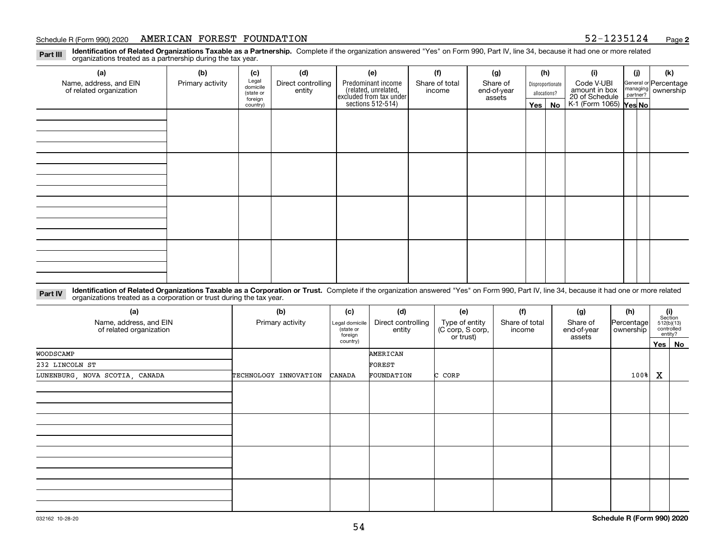#### Schedule R (Form 990) 2020 Page AMERICAN FOREST FOUNDATION 52-1235124

**2**

**Identification of Related Organizations Taxable as a Partnership.** Complete if the organization answered "Yes" on Form 990, Part IV, line 34, because it had one or more related **Part III** organizations treated as a partnership during the tax year.

| (a)                     | (b)              | (d)<br>(e)<br>(f)<br>(c) |                    | (g)                                                                 | (h)            |                       |              |                  | (i)                                      | (j) | (k)                   |
|-------------------------|------------------|--------------------------|--------------------|---------------------------------------------------------------------|----------------|-----------------------|--------------|------------------|------------------------------------------|-----|-----------------------|
| Name, address, and EIN  | Primary activity | Legal<br>domicile        | Direct controlling | Predominant income                                                  | Share of total | Share of              |              | Disproportionate | Code V-UBI                               |     | General or Percentage |
| of related organization |                  | (state or<br>foreign     | entity             | related, unrelated,<br>excluded from tax under<br>sections 512-514) | income         | end-of-year<br>assets | allocations? |                  | amount in box                            |     | managing ownership    |
|                         |                  | country)                 |                    |                                                                     |                |                       | Yes $ $      | No               | 20 of Schedule<br>K-1 (Form 1065) Yes No |     |                       |
|                         |                  |                          |                    |                                                                     |                |                       |              |                  |                                          |     |                       |
|                         |                  |                          |                    |                                                                     |                |                       |              |                  |                                          |     |                       |
|                         |                  |                          |                    |                                                                     |                |                       |              |                  |                                          |     |                       |
|                         |                  |                          |                    |                                                                     |                |                       |              |                  |                                          |     |                       |
|                         |                  |                          |                    |                                                                     |                |                       |              |                  |                                          |     |                       |
|                         |                  |                          |                    |                                                                     |                |                       |              |                  |                                          |     |                       |
|                         |                  |                          |                    |                                                                     |                |                       |              |                  |                                          |     |                       |
|                         |                  |                          |                    |                                                                     |                |                       |              |                  |                                          |     |                       |
|                         |                  |                          |                    |                                                                     |                |                       |              |                  |                                          |     |                       |
|                         |                  |                          |                    |                                                                     |                |                       |              |                  |                                          |     |                       |
|                         |                  |                          |                    |                                                                     |                |                       |              |                  |                                          |     |                       |
|                         |                  |                          |                    |                                                                     |                |                       |              |                  |                                          |     |                       |
|                         |                  |                          |                    |                                                                     |                |                       |              |                  |                                          |     |                       |
|                         |                  |                          |                    |                                                                     |                |                       |              |                  |                                          |     |                       |
|                         |                  |                          |                    |                                                                     |                |                       |              |                  |                                          |     |                       |
|                         |                  |                          |                    |                                                                     |                |                       |              |                  |                                          |     |                       |
|                         |                  |                          |                    |                                                                     |                |                       |              |                  |                                          |     |                       |

**Identification of Related Organizations Taxable as a Corporation or Trust.** Complete if the organization answered "Yes" on Form 990, Part IV, line 34, because it had one or more related **Part IV** organizations treated as a corporation or trust during the tax year.

| (a)<br>Name, address, and EIN<br>of related organization | (b)<br>Primary activity | (c)<br>Legal domicile<br>(state or<br>foreign | (d)<br>Direct controlling<br>entity | (e)<br>Type of entity<br>(C corp, S corp,<br>or trust) | (f)<br>Share of total<br>income | (g)<br>Share of<br>end-of-year<br>assets | (h)<br> Percentage <br>ownership |         | (i)<br>Section<br>512(b)(13)<br>controlled<br>entity? |
|----------------------------------------------------------|-------------------------|-----------------------------------------------|-------------------------------------|--------------------------------------------------------|---------------------------------|------------------------------------------|----------------------------------|---------|-------------------------------------------------------|
|                                                          |                         | country)                                      |                                     |                                                        |                                 |                                          |                                  | Yes $ $ | No                                                    |
| WOODSCAMP                                                |                         |                                               | <b>AMERICAN</b>                     |                                                        |                                 |                                          |                                  |         |                                                       |
| 232 LINCOLN ST                                           |                         |                                               | FOREST                              |                                                        |                                 |                                          |                                  |         |                                                       |
| LUNENBURG, NOVA SCOTIA, CANADA                           | TECHNOLOGY INNOVATION   | CANADA                                        | FOUNDATION                          | C CORP                                                 |                                 |                                          | $100$ <sup>8</sup>               | X       |                                                       |
|                                                          |                         |                                               |                                     |                                                        |                                 |                                          |                                  |         |                                                       |
|                                                          |                         |                                               |                                     |                                                        |                                 |                                          |                                  |         |                                                       |
|                                                          |                         |                                               |                                     |                                                        |                                 |                                          |                                  |         |                                                       |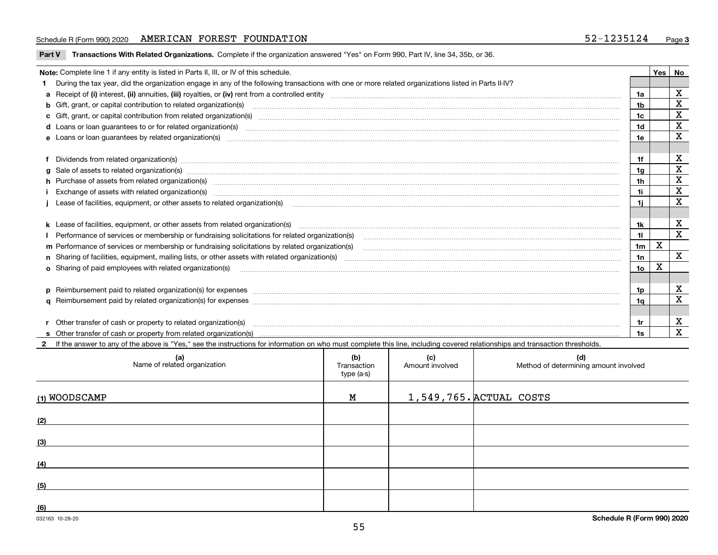#### Schedule R (Form 990) 2020 Page AMERICAN FOREST FOUNDATION 52-1235124

**Part V** T**ransactions With Related Organizations.** Complete if the organization answered "Yes" on Form 990, Part IV, line 34, 35b, or 36.

| Note: Complete line 1 if any entity is listed in Parts II, III, or IV of this schedule.                                                                                                                                           |                | Yes | No                      |
|-----------------------------------------------------------------------------------------------------------------------------------------------------------------------------------------------------------------------------------|----------------|-----|-------------------------|
| 1 During the tax year, did the organization engage in any of the following transactions with one or more related organizations listed in Parts II-IV?                                                                             |                |     |                         |
|                                                                                                                                                                                                                                   | 1a             |     | х                       |
|                                                                                                                                                                                                                                   | 1b             |     | X                       |
| c Gift, grant, or capital contribution from related organization(s) manufaction contribution from related organization(s) manufaction contribution from related organization(s) manufaction contribution from related organiza    | 1c             |     | X                       |
| d Loans or loan guarantees to or for related organization(s) committion contracts are constructed as a control or contract or contract or contract or contract or contract or contract or contract or contract or contract or     | 1 <sub>d</sub> |     | $\mathbf X$             |
|                                                                                                                                                                                                                                   | 1e             |     | X                       |
|                                                                                                                                                                                                                                   |                |     |                         |
| f Dividends from related organization(s) material contents and content and content of the content of the content of the content of the content of the content of the content of the content of the content of the content of t    | 1f             |     | х                       |
| g Sale of assets to related organization(s) www.communicallycommunicallycommunicallycommunicallycommunicallycommunicallycommunicallycommunicallycommunicallycommunicallycommunicallycommunicallycommunicallycommunicallycommun    | 1a             |     | X                       |
| h Purchase of assets from related organization(s) manufactured and content to content the content of assets from related organization(s)                                                                                          | 1h             |     | х                       |
| Exchange of assets with related organization(s) www.communically.communically contract the contract of assets with related organization(s) www.communically.communically contract the contract of assets with related organiza    | 1i.            |     | X                       |
| Lease of facilities, equipment, or other assets to related organization(s) Chromomeron content in the set of facilities, equipment, or other assets to related organization(s) Chromomeron content in the set of the set of th    | 1i.            |     | $\mathbf X$             |
|                                                                                                                                                                                                                                   |                |     |                         |
|                                                                                                                                                                                                                                   | 1k             |     | X                       |
|                                                                                                                                                                                                                                   | 11.            |     | $\overline{\mathbf{x}}$ |
| m Performance of services or membership or fundraising solicitations by related organization(s)                                                                                                                                   | 1m             | X   |                         |
|                                                                                                                                                                                                                                   | 1n             |     | X                       |
| <b>o</b> Sharing of paid employees with related organization(s)                                                                                                                                                                   | 1o             | х   |                         |
|                                                                                                                                                                                                                                   |                |     |                         |
|                                                                                                                                                                                                                                   | 1p             |     | X                       |
|                                                                                                                                                                                                                                   | 1q             |     | X                       |
|                                                                                                                                                                                                                                   |                |     |                         |
| r Other transfer of cash or property to related organization(s)                                                                                                                                                                   | 1r             |     | X                       |
| r Other transfer of cash or property to related organization(s) www.community.com/www.community.com/www.communi<br>S Other transfer of cash or property from related organization(s) www.community.community.community.community. | 1s             |     | $\mathbf X$             |
| 2 If the answer to any of the above is "Yes." see the instructions for information on who must complete this line, including covered relationships and transaction thresholds.                                                    |                |     |                         |

| (a)<br>Name of related organization | (b)<br>Transaction<br>type (a-s) | (c)<br>Amount involved | (d)<br>Method of determining amount involved |
|-------------------------------------|----------------------------------|------------------------|----------------------------------------------|
| (1) WOODSCAMP                       | M                                |                        | 1,549,765. ACTUAL COSTS                      |
| (2)                                 |                                  |                        |                                              |
| (3)                                 |                                  |                        |                                              |
| (4)                                 |                                  |                        |                                              |
| (5)                                 |                                  |                        |                                              |
| (6)                                 |                                  |                        |                                              |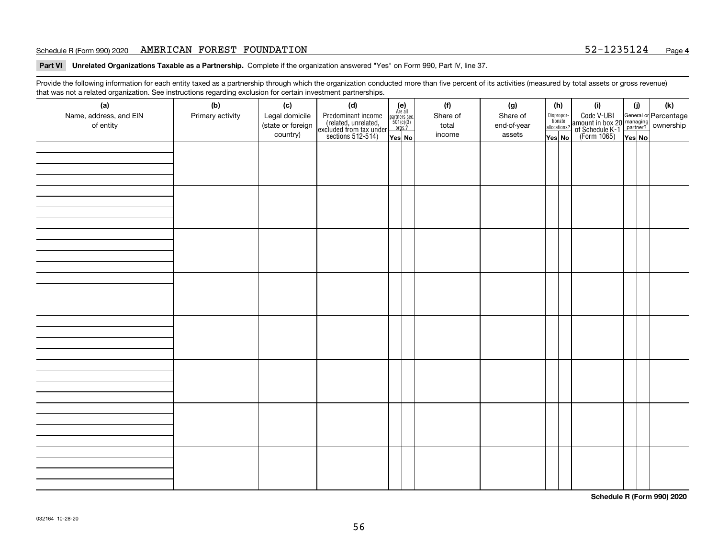#### Schedule R (Form 990) 2020 Page AMERICAN FOREST FOUNDATION 52-1235124

**Part VI Unrelated Organizations Taxable as a Partnership. Complete if the organization answered "Yes" on Form 990, Part IV, line 37.** 

Provide the following information for each entity taxed as a partnership through which the organization conducted more than five percent of its activities (measured by total assets or gross revenue) that was not a related organization. See instructions regarding exclusion for certain investment partnerships.

| ັ                      | ັ<br>ັ           |                   |                                                                                            |                                                                                              |          |             |                                  |                                                                                                  |        |     |
|------------------------|------------------|-------------------|--------------------------------------------------------------------------------------------|----------------------------------------------------------------------------------------------|----------|-------------|----------------------------------|--------------------------------------------------------------------------------------------------|--------|-----|
| (a)                    | (b)              | (c)               | (d)                                                                                        | $(e)$<br>Are all                                                                             | (f)      | (g)         | (h)                              | (i)                                                                                              | (i)    | (k) |
| Name, address, and EIN | Primary activity | Legal domicile    | Predominant income<br>(related, unrelated,<br>excluded from tax under<br>sections 512-514) |                                                                                              | Share of | Share of    | Disproportionate<br>allocations? | Code V-UBI<br>amount in box 20 managing<br>of Schedule K-1<br>(Form 1065)<br>$\overline{Yes}$ No |        |     |
| of entity              |                  | (state or foreign |                                                                                            | $\begin{array}{c}\n\text{partners} & \text{sec.} \\ 501(c)(3) & \text{orgs.?} \n\end{array}$ | total    | end-of-year |                                  |                                                                                                  |        |     |
|                        |                  | country)          |                                                                                            |                                                                                              | income   |             |                                  |                                                                                                  |        |     |
|                        |                  |                   |                                                                                            | Yes No                                                                                       |          | assets      | Yes No                           |                                                                                                  | Yes No |     |
|                        |                  |                   |                                                                                            |                                                                                              |          |             |                                  |                                                                                                  |        |     |
|                        |                  |                   |                                                                                            |                                                                                              |          |             |                                  |                                                                                                  |        |     |
|                        |                  |                   |                                                                                            |                                                                                              |          |             |                                  |                                                                                                  |        |     |
|                        |                  |                   |                                                                                            |                                                                                              |          |             |                                  |                                                                                                  |        |     |
|                        |                  |                   |                                                                                            |                                                                                              |          |             |                                  |                                                                                                  |        |     |
|                        |                  |                   |                                                                                            |                                                                                              |          |             |                                  |                                                                                                  |        |     |
|                        |                  |                   |                                                                                            |                                                                                              |          |             |                                  |                                                                                                  |        |     |
|                        |                  |                   |                                                                                            |                                                                                              |          |             |                                  |                                                                                                  |        |     |
|                        |                  |                   |                                                                                            |                                                                                              |          |             |                                  |                                                                                                  |        |     |
|                        |                  |                   |                                                                                            |                                                                                              |          |             |                                  |                                                                                                  |        |     |
|                        |                  |                   |                                                                                            |                                                                                              |          |             |                                  |                                                                                                  |        |     |
|                        |                  |                   |                                                                                            |                                                                                              |          |             |                                  |                                                                                                  |        |     |
|                        |                  |                   |                                                                                            |                                                                                              |          |             |                                  |                                                                                                  |        |     |
|                        |                  |                   |                                                                                            |                                                                                              |          |             |                                  |                                                                                                  |        |     |
|                        |                  |                   |                                                                                            |                                                                                              |          |             |                                  |                                                                                                  |        |     |
|                        |                  |                   |                                                                                            |                                                                                              |          |             |                                  |                                                                                                  |        |     |
|                        |                  |                   |                                                                                            |                                                                                              |          |             |                                  |                                                                                                  |        |     |
|                        |                  |                   |                                                                                            |                                                                                              |          |             |                                  |                                                                                                  |        |     |
|                        |                  |                   |                                                                                            |                                                                                              |          |             |                                  |                                                                                                  |        |     |
|                        |                  |                   |                                                                                            |                                                                                              |          |             |                                  |                                                                                                  |        |     |
|                        |                  |                   |                                                                                            |                                                                                              |          |             |                                  |                                                                                                  |        |     |
|                        |                  |                   |                                                                                            |                                                                                              |          |             |                                  |                                                                                                  |        |     |
|                        |                  |                   |                                                                                            |                                                                                              |          |             |                                  |                                                                                                  |        |     |
|                        |                  |                   |                                                                                            |                                                                                              |          |             |                                  |                                                                                                  |        |     |
|                        |                  |                   |                                                                                            |                                                                                              |          |             |                                  |                                                                                                  |        |     |
|                        |                  |                   |                                                                                            |                                                                                              |          |             |                                  |                                                                                                  |        |     |
|                        |                  |                   |                                                                                            |                                                                                              |          |             |                                  |                                                                                                  |        |     |
|                        |                  |                   |                                                                                            |                                                                                              |          |             |                                  |                                                                                                  |        |     |
|                        |                  |                   |                                                                                            |                                                                                              |          |             |                                  |                                                                                                  |        |     |
|                        |                  |                   |                                                                                            |                                                                                              |          |             |                                  |                                                                                                  |        |     |
|                        |                  |                   |                                                                                            |                                                                                              |          |             |                                  |                                                                                                  |        |     |
|                        |                  |                   |                                                                                            |                                                                                              |          |             |                                  |                                                                                                  |        |     |
|                        |                  |                   |                                                                                            |                                                                                              |          |             |                                  |                                                                                                  |        |     |
|                        |                  |                   |                                                                                            |                                                                                              |          |             |                                  |                                                                                                  |        |     |
|                        |                  |                   |                                                                                            |                                                                                              |          |             |                                  |                                                                                                  |        |     |
|                        |                  |                   |                                                                                            |                                                                                              |          |             |                                  |                                                                                                  |        |     |
|                        |                  |                   |                                                                                            |                                                                                              |          |             |                                  |                                                                                                  |        |     |
|                        |                  |                   |                                                                                            |                                                                                              |          |             |                                  |                                                                                                  |        |     |
|                        |                  |                   |                                                                                            |                                                                                              |          |             |                                  |                                                                                                  |        |     |
|                        |                  |                   |                                                                                            |                                                                                              |          |             |                                  |                                                                                                  |        |     |
|                        |                  |                   |                                                                                            |                                                                                              |          |             |                                  |                                                                                                  |        |     |
|                        |                  |                   |                                                                                            |                                                                                              |          |             |                                  |                                                                                                  |        |     |
|                        |                  |                   |                                                                                            |                                                                                              |          |             |                                  |                                                                                                  |        |     |
|                        |                  |                   |                                                                                            |                                                                                              |          |             |                                  |                                                                                                  |        |     |

**Schedule R (Form 990) 2020**